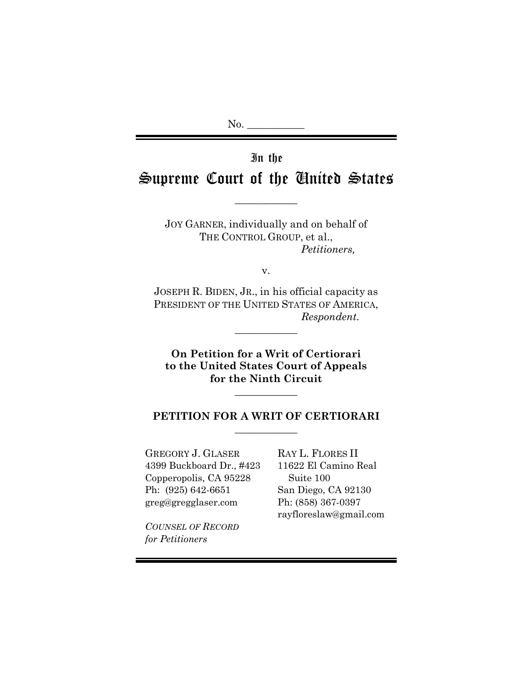$No.$ 

# In the

# Supreme Court of the United States

 $\overline{\phantom{a}}$  , where  $\overline{\phantom{a}}$ 

JOY GARNER, individually and on behalf of THE CONTROL GROUP, et al., *Petitioners,* 

v.

JOSEPH R. BIDEN, JR., in his official capacity as PRESIDENT OF THE UNITED STATES OF AMERICA, *Respondent.* 

 $\overline{\phantom{a}}$  , we can also the set of  $\overline{\phantom{a}}$ 

**On Petition for a Writ of Certiorari to the United States Court of Appeals for the Ninth Circuit** 

### **PETITION FOR A WRIT OF CERTIORARI**   $\overline{\phantom{a}}$  , we can also the set of  $\overline{\phantom{a}}$

 $\overline{\phantom{a}}$  , we can also the set of  $\overline{\phantom{a}}$ 

GREGORY J. GLASER RAY L. FLORES II 4399 Buckboard Dr., #423 11622 El Camino Real Copperopolis, CA 95228 Suite 100 Ph: (925) 642-6651 San Diego, CA 92130 greg@gregglaser.com Ph: (858) 367-0397

rayfloreslaw@gmail.com

*COUNSEL OF RECORD for Petitioners*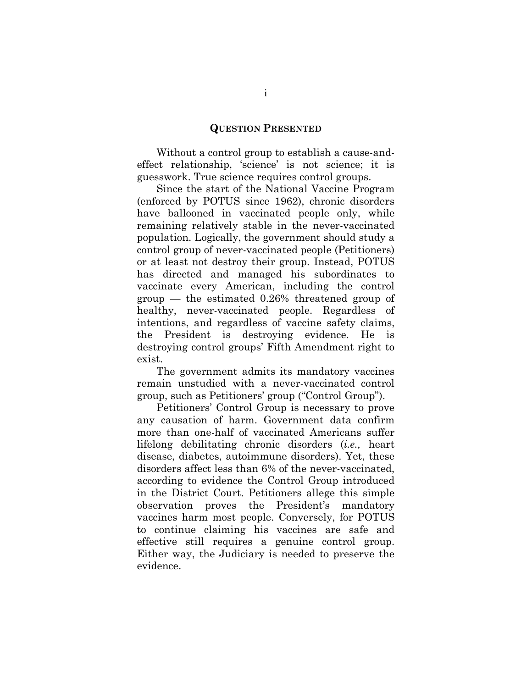#### **QUESTION PRESENTED**

 Without a control group to establish a cause-andeffect relationship, 'science' is not science; it is guesswork. True science requires control groups.

 Since the start of the National Vaccine Program (enforced by POTUS since 1962), chronic disorders have ballooned in vaccinated people only, while remaining relatively stable in the never-vaccinated population. Logically, the government should study a control group of never-vaccinated people (Petitioners) or at least not destroy their group. Instead, POTUS has directed and managed his subordinates to vaccinate every American, including the control group — the estimated 0.26% threatened group of healthy, never-vaccinated people. Regardless of intentions, and regardless of vaccine safety claims, the President is destroying evidence. He is destroying control groups' Fifth Amendment right to exist.

 The government admits its mandatory vaccines remain unstudied with a never-vaccinated control group, such as Petitioners' group ("Control Group").

 Petitioners' Control Group is necessary to prove any causation of harm. Government data confirm more than one-half of vaccinated Americans suffer lifelong debilitating chronic disorders (*i.e.,* heart disease, diabetes, autoimmune disorders). Yet, these disorders affect less than 6% of the never-vaccinated, according to evidence the Control Group introduced in the District Court. Petitioners allege this simple observation proves the President's mandatory vaccines harm most people. Conversely, for POTUS to continue claiming his vaccines are safe and effective still requires a genuine control group. Either way, the Judiciary is needed to preserve the evidence.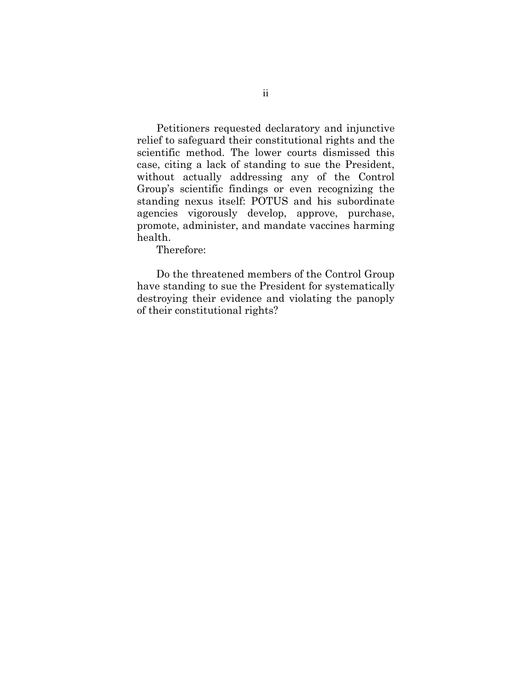Petitioners requested declaratory and injunctive relief to safeguard their constitutional rights and the scientific method. The lower courts dismissed this case, citing a lack of standing to sue the President, without actually addressing any of the Control Group's scientific findings or even recognizing the standing nexus itself: POTUS and his subordinate agencies vigorously develop, approve, purchase, promote, administer, and mandate vaccines harming health.

Therefore:

Do the threatened members of the Control Group have standing to sue the President for systematically destroying their evidence and violating the panoply of their constitutional rights?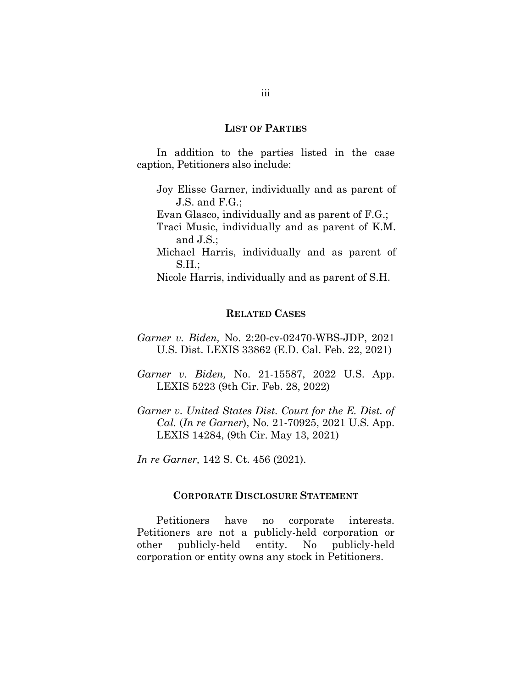#### **LIST OF PARTIES**

In addition to the parties listed in the case caption, Petitioners also include:

- Joy Elisse Garner, individually and as parent of J.S. and F.G.;
- Evan Glasco, individually and as parent of F.G.;
- Traci Music, individually and as parent of K.M. and J.S.;
- Michael Harris, individually and as parent of S.H.;

Nicole Harris, individually and as parent of S.H.

#### **RELATED CASES**

- *Garner v. Biden,* No. 2:20-cv-02470-WBS-JDP, 2021 U.S. Dist. LEXIS 33862 (E.D. Cal. Feb. 22, 2021)
- *Garner v. Biden,* No. 21-15587, 2022 U.S. App. LEXIS 5223 (9th Cir. Feb. 28, 2022)
- *Garner v. United States Dist. Court for the E. Dist. of Cal.* (*In re Garner*), No. 21-70925, 2021 U.S. App. LEXIS 14284, (9th Cir. May 13, 2021)

*In re Garner,* 142 S. Ct. 456 (2021).

#### **CORPORATE DISCLOSURE STATEMENT**

Petitioners have no corporate interests. Petitioners are not a publicly-held corporation or other publicly-held entity. No publicly-held corporation or entity owns any stock in Petitioners.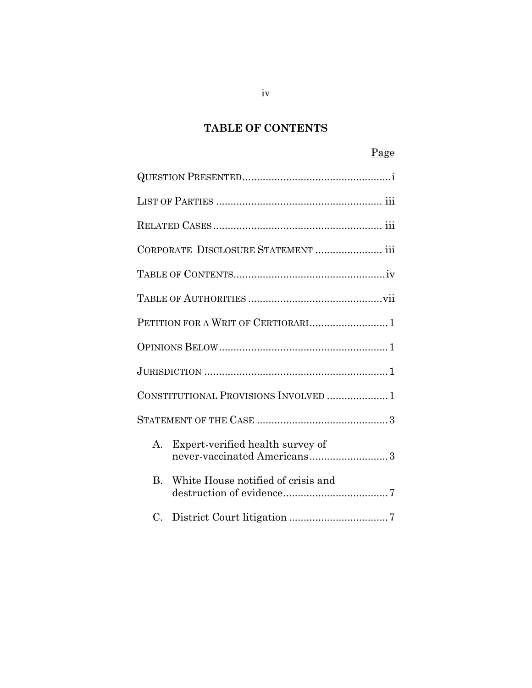# **TABLE OF CONTENTS**

# Page

|                | CORPORATE DISCLOSURE STATEMENT  iii                             |
|----------------|-----------------------------------------------------------------|
|                |                                                                 |
|                |                                                                 |
|                |                                                                 |
|                |                                                                 |
|                |                                                                 |
|                | CONSTITUTIONAL PROVISIONS INVOLVED 1                            |
|                |                                                                 |
| A.             | Expert-verified health survey of<br>never-vaccinated Americans3 |
| B <sub>1</sub> | White House notified of crisis and                              |
| C.             |                                                                 |

iv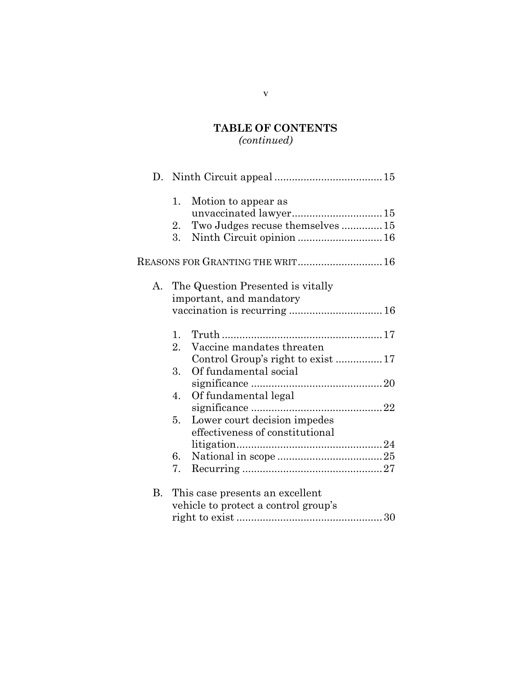# **TABLE OF CONTENTS**

# *(continued)*

|    | 1.<br>Motion to appear as              |
|----|----------------------------------------|
|    |                                        |
|    | Two Judges recuse themselves  15<br>2. |
|    | 3.                                     |
|    | REASONS FOR GRANTING THE WRIT 16       |
| А. | The Question Presented is vitally      |
|    | important, and mandatory               |
|    | vaccination is recurring  16           |
|    | 1.                                     |
|    | 2.<br>Vaccine mandates threaten        |
|    |                                        |
|    | Of fundamental social<br>3.            |
|    |                                        |
|    | Of fundamental legal<br>4.             |
|    |                                        |
|    | Lower court decision impedes<br>5.     |
|    | effectiveness of constitutional        |
|    |                                        |
|    | 6.                                     |
|    | 7.                                     |
| В. | This case presents an excellent        |
|    | vehicle to protect a control group's   |
|    |                                        |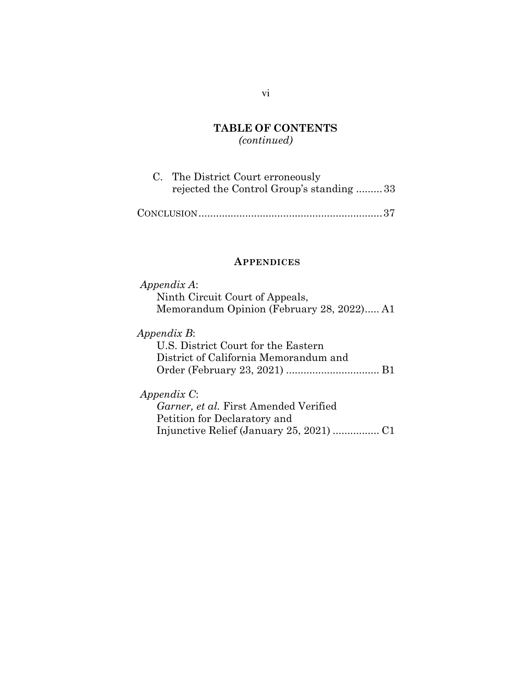### **TABLE OF CONTENTS**  *(continued)*

| C. The District Court erroneously        |
|------------------------------------------|
| rejected the Control Group's standing 33 |

|--|--|

#### **APPENDICES**

### *Appendix A*: Ninth Circuit Court of Appeals, Memorandum Opinion (February 28, 2022) ..... A1

#### *Appendix B*:

U.S. District Court for the Eastern District of California Memorandum and Order (February 23, 2021) ................................ B1

#### *Appendix C*:

*Garner, et al.* First Amended Verified Petition for Declaratory and Injunctive Relief (January 25, 2021) ................ C1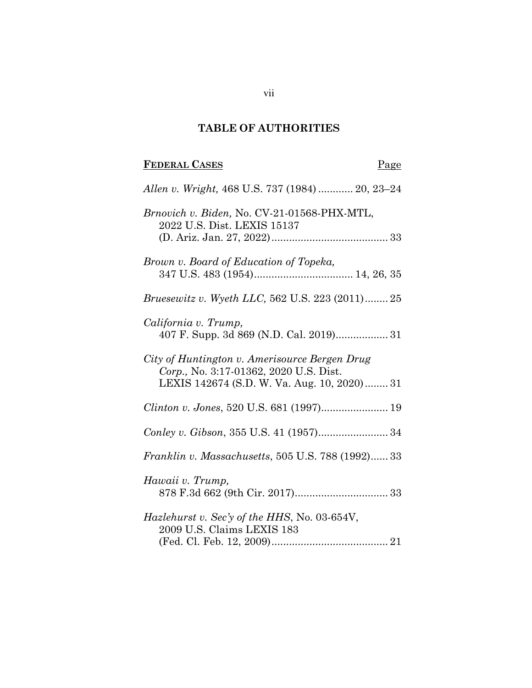# **TABLE OF AUTHORITIES**

# **FEDERAL CASES** Page

| Allen v. Wright, 468 U.S. 737 (1984)  20, 23–24                                                                                        |
|----------------------------------------------------------------------------------------------------------------------------------------|
| Brnovich v. Biden, No. CV-21-01568-PHX-MTL,<br>2022 U.S. Dist. LEXIS 15137                                                             |
| Brown v. Board of Education of Topeka,                                                                                                 |
| <i>Bruesewitz v. Wyeth LLC, 562 U.S. 223 (2011)25</i>                                                                                  |
| California v. Trump,<br>407 F. Supp. 3d 869 (N.D. Cal. 2019) 31                                                                        |
| City of Huntington v. Amerisource Bergen Drug<br>Corp., No. 3:17-01362, 2020 U.S. Dist.<br>LEXIS 142674 (S.D. W. Va. Aug. 10, 2020) 31 |
|                                                                                                                                        |
|                                                                                                                                        |
| Franklin v. Massachusetts, 505 U.S. 788 (1992) 33                                                                                      |
| Hawaii v. Trump,                                                                                                                       |
| Hazlehurst v. Sec'y of the HHS, No. 03-654V,<br>2009 U.S. Claims LEXIS 183                                                             |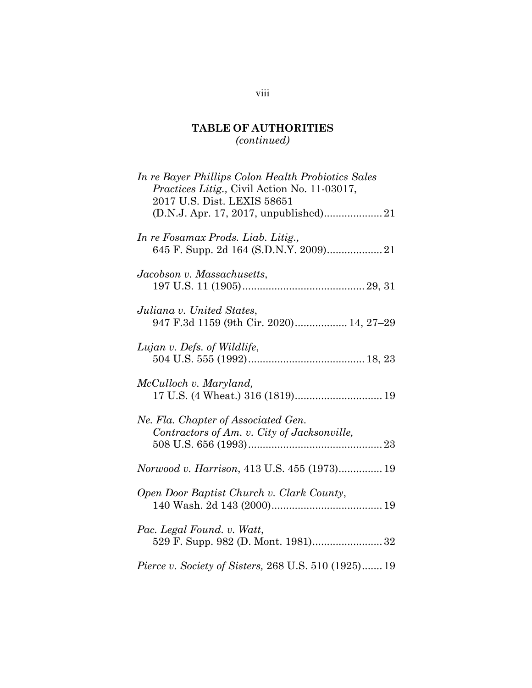# **TABLE OF AUTHORITIES**

*(continued)* 

| In re Bayer Phillips Colon Health Probiotics Sales<br>Practices Litig., Civil Action No. 11-03017,<br>2017 U.S. Dist. LEXIS 58651 |
|-----------------------------------------------------------------------------------------------------------------------------------|
| In re Fosamax Prods. Liab. Litig.,                                                                                                |
| Jacobson v. Massachusetts,                                                                                                        |
| Juliana v. United States,<br>947 F.3d 1159 (9th Cir. 2020) 14, 27-29                                                              |
| Lujan v. Defs. of Wildlife,                                                                                                       |
| McCulloch v. Maryland,                                                                                                            |
| Ne. Fla. Chapter of Associated Gen.<br>Contractors of Am. v. City of Jacksonville,                                                |
| Norwood v. Harrison, 413 U.S. 455 (1973) 19                                                                                       |
| Open Door Baptist Church v. Clark County,                                                                                         |
| Pac. Legal Found. v. Watt,<br>529 F. Supp. 982 (D. Mont. 1981) 32                                                                 |
| <i>Pierce v. Society of Sisters, 268 U.S. 510 (1925) 19</i>                                                                       |

# viii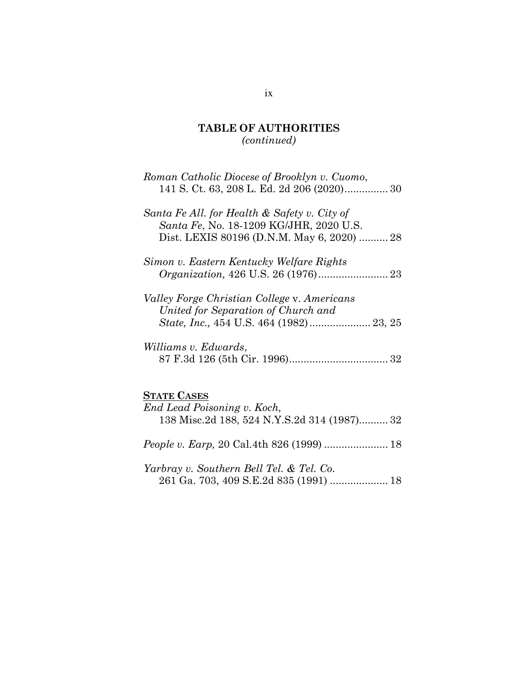# **TABLE OF AUTHORITIES**  *(continued)*

| Roman Catholic Diocese of Brooklyn v. Cuomo,<br>141 S. Ct. 63, 208 L. Ed. 2d 206 (2020) 30                                                   |
|----------------------------------------------------------------------------------------------------------------------------------------------|
| Santa Fe All. for Health & Safety v. City of<br><i>Santa Fe, No.</i> 18-1209 KG/JHR, 2020 U.S.<br>Dist. LEXIS 80196 (D.N.M. May 6, 2020)  28 |
| Simon v. Eastern Kentucky Welfare Rights                                                                                                     |
| Valley Forge Christian College v. Americans<br>United for Separation of Church and                                                           |
| Williams v. Edwards,                                                                                                                         |
| <b>STATE CASES</b><br>End Lead Poisoning v. Koch,<br>138 Misc.2d 188, 524 N.Y.S.2d 314 (1987)32                                              |
|                                                                                                                                              |
|                                                                                                                                              |

*Yarbray v. Southern Bell Tel. & Tel. Co.*  261 Ga. 703, 409 S.E.2d 835 (1991) .................... 18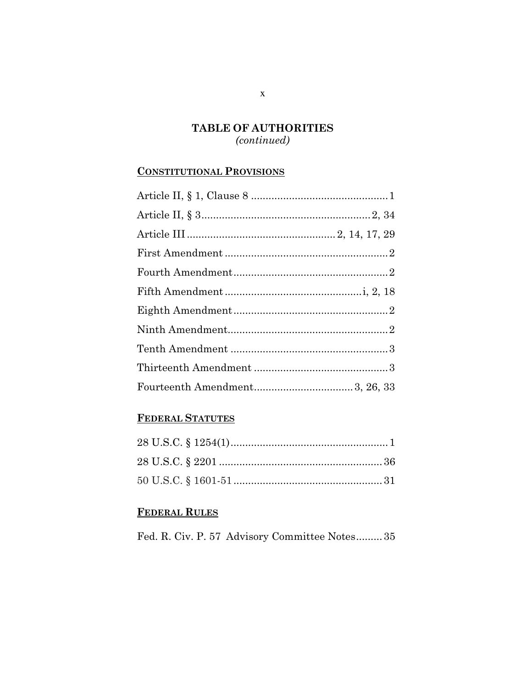# **TABLE OF AUTHORITIES**  *(continued)*

### **CONSTITUTIONAL PROVISIONS**

# **FEDERAL STATUTES**

# **FEDERAL RULES**

Fed. R. Civ. P. 57 Advisory Committee Notes ......... 35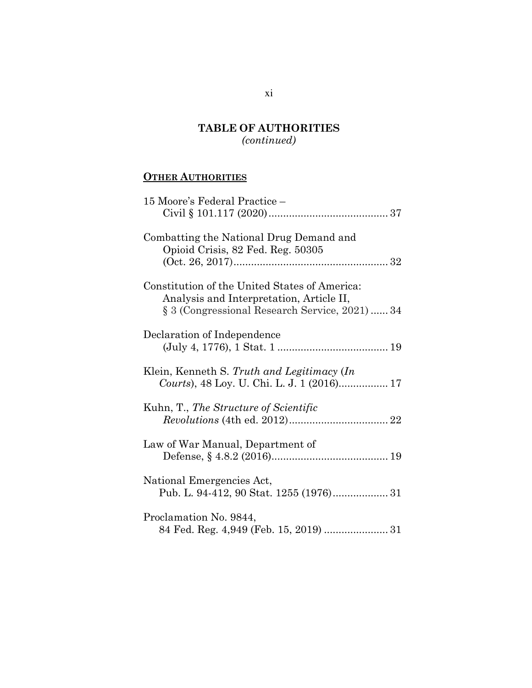# **TABLE OF AUTHORITIES**

*(continued)* 

# **OTHER AUTHORITIES**

| 15 Moore's Federal Practice -                                                                                                               |
|---------------------------------------------------------------------------------------------------------------------------------------------|
| Combatting the National Drug Demand and<br>Opioid Crisis, 82 Fed. Reg. 50305                                                                |
| Constitution of the United States of America:<br>Analysis and Interpretation, Article II,<br>§ 3 (Congressional Research Service, 2021)  34 |
| Declaration of Independence                                                                                                                 |
| Klein, Kenneth S. Truth and Legitimacy (In                                                                                                  |
| Kuhn, T., The Structure of Scientific                                                                                                       |
| Law of War Manual, Department of                                                                                                            |
| National Emergencies Act,                                                                                                                   |
| Proclamation No. 9844,<br>84 Fed. Reg. 4,949 (Feb. 15, 2019)  31                                                                            |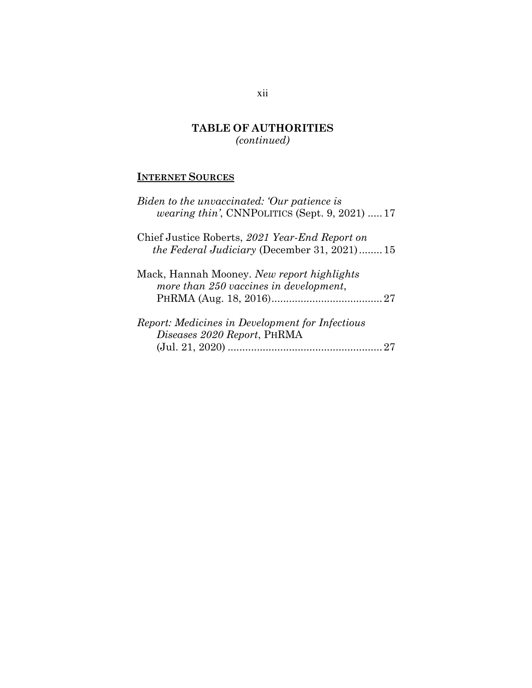# **TABLE OF AUTHORITIES**  *(continued)*

# **INTERNET SOURCES**

| Biden to the unvaccinated: Our patience is<br><i>wearing thin'</i> , CNNPOLITICS (Sept. $9, 2021$ )  17 |
|---------------------------------------------------------------------------------------------------------|
| Chief Justice Roberts, 2021 Year-End Report on<br><i>the Federal Judiciary</i> (December 31, 2021)15    |
| Mack, Hannah Mooney. New report highlights<br>more than 250 vaccines in development,                    |
| <i>Report: Medicines in Development for Infectious</i><br>Diseases 2020 Report, PHRMA                   |

## xii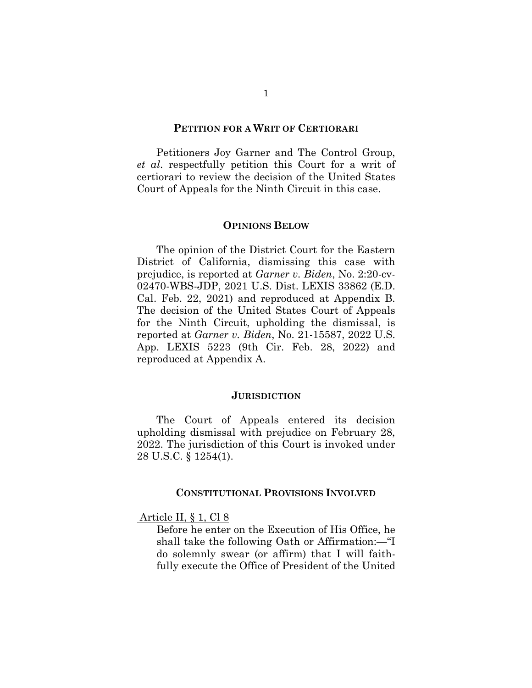#### **PETITION FOR A WRIT OF CERTIORARI**

 Petitioners Joy Garner and The Control Group, *et al*. respectfully petition this Court for a writ of certiorari to review the decision of the United States Court of Appeals for the Ninth Circuit in this case.

#### **OPINIONS BELOW**

 The opinion of the District Court for the Eastern District of California, dismissing this case with prejudice, is reported at *Garner v. Biden*, No. 2:20-cv-02470-WBS-JDP, 2021 U.S. Dist. LEXIS 33862 (E.D. Cal. Feb. 22, 2021) and reproduced at Appendix B. The decision of the United States Court of Appeals for the Ninth Circuit, upholding the dismissal, is reported at *Garner v. Biden*, No. 21-15587, 2022 U.S. App. LEXIS 5223 (9th Cir. Feb. 28, 2022) and reproduced at Appendix A.

#### **JURISDICTION**

 The Court of Appeals entered its decision upholding dismissal with prejudice on February 28, 2022. The jurisdiction of this Court is invoked under 28 U.S.C. § 1254(1).

#### **CONSTITUTIONAL PROVISIONS INVOLVED**

#### Article II, § 1, Cl 8

Before he enter on the Execution of His Office, he shall take the following Oath or Affirmation:—"I do solemnly swear (or affirm) that I will faithfully execute the Office of President of the United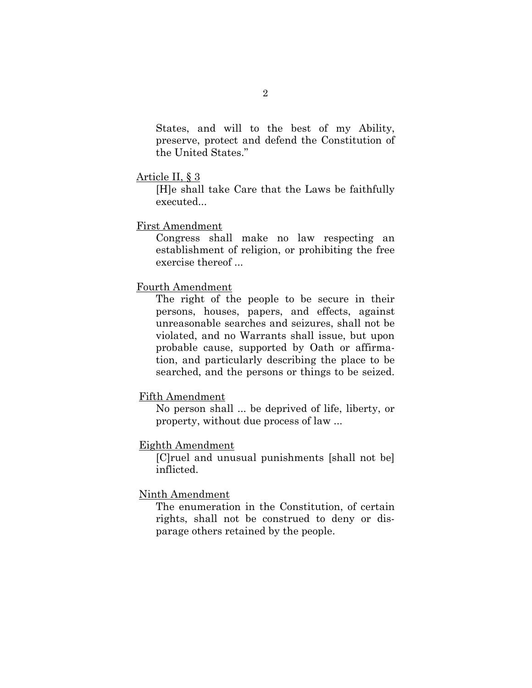States, and will to the best of my Ability, preserve, protect and defend the Constitution of the United States."

#### Article II, § 3

[H]e shall take Care that the Laws be faithfully executed...

#### First Amendment

Congress shall make no law respecting an establishment of religion, or prohibiting the free exercise thereof ...

#### Fourth Amendment

The right of the people to be secure in their persons, houses, papers, and effects, against unreasonable searches and seizures, shall not be violated, and no Warrants shall issue, but upon probable cause, supported by Oath or affirmation, and particularly describing the place to be searched, and the persons or things to be seized.

#### Fifth Amendment

No person shall ... be deprived of life, liberty, or property, without due process of law ...

#### Eighth Amendment

[C]ruel and unusual punishments [shall not be] inflicted.

#### Ninth Amendment

The enumeration in the Constitution, of certain rights, shall not be construed to deny or disparage others retained by the people.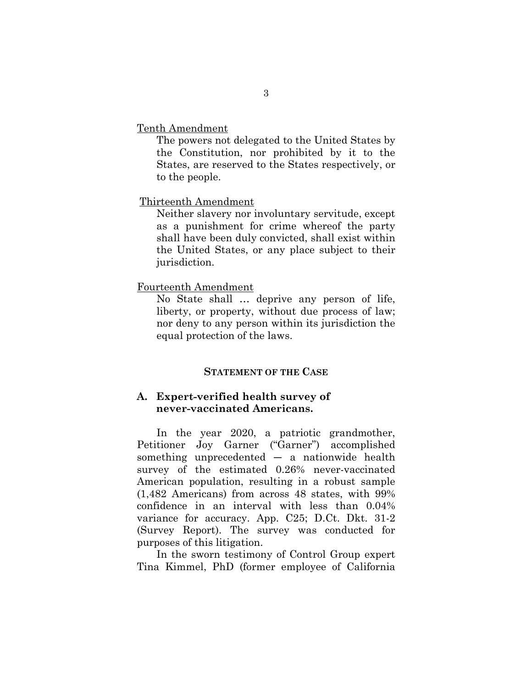Tenth Amendment

The powers not delegated to the United States by the Constitution, nor prohibited by it to the States, are reserved to the States respectively, or to the people.

#### Thirteenth Amendment

Neither slavery nor involuntary servitude, except as a punishment for crime whereof the party shall have been duly convicted, shall exist within the United States, or any place subject to their jurisdiction.

#### Fourteenth Amendment

No State shall … deprive any person of life, liberty, or property, without due process of law; nor deny to any person within its jurisdiction the equal protection of the laws.

#### **STATEMENT OF THE CASE**

#### **A. Expert-verified health survey of never-vaccinated Americans.**

In the year 2020, a patriotic grandmother, Petitioner Joy Garner ("Garner") accomplished something unprecedented  $-$  a nationwide health survey of the estimated 0.26% never-vaccinated American population, resulting in a robust sample (1,482 Americans) from across 48 states, with 99% confidence in an interval with less than 0.04% variance for accuracy. App. C25; D.Ct. Dkt. 31-2 (Survey Report). The survey was conducted for purposes of this litigation.

In the sworn testimony of Control Group expert Tina Kimmel, PhD (former employee of California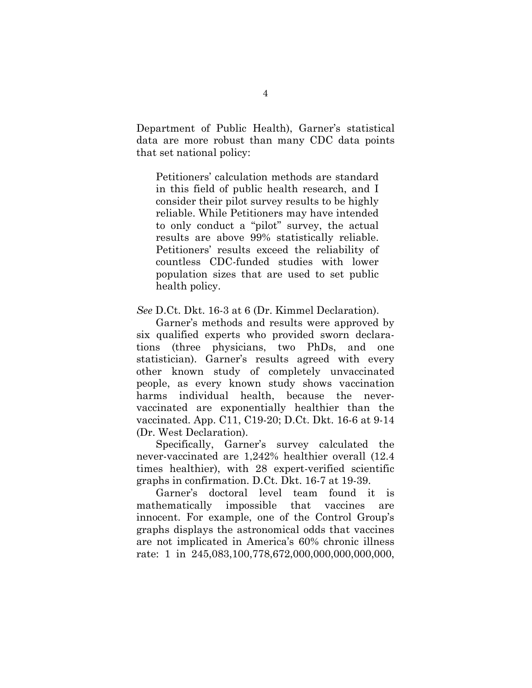Department of Public Health), Garner's statistical data are more robust than many CDC data points that set national policy:

Petitioners' calculation methods are standard in this field of public health research, and I consider their pilot survey results to be highly reliable. While Petitioners may have intended to only conduct a "pilot" survey, the actual results are above 99% statistically reliable. Petitioners' results exceed the reliability of countless CDC-funded studies with lower population sizes that are used to set public health policy.

*See* D.Ct. Dkt. 16-3 at 6 (Dr. Kimmel Declaration).

Garner's methods and results were approved by six qualified experts who provided sworn declarations (three physicians, two PhDs, and one statistician). Garner's results agreed with every other known study of completely unvaccinated people, as every known study shows vaccination harms individual health, because the nevervaccinated are exponentially healthier than the vaccinated. App. C11, C19-20; D.Ct. Dkt. 16-6 at 9-14 (Dr. West Declaration).

Specifically, Garner's survey calculated the never-vaccinated are 1,242% healthier overall (12.4 times healthier), with 28 expert-verified scientific graphs in confirmation. D.Ct. Dkt. 16-7 at 19-39.

Garner's doctoral level team found it is mathematically impossible that vaccines are innocent. For example, one of the Control Group's graphs displays the astronomical odds that vaccines are not implicated in America's 60% chronic illness rate: 1 in 245,083,100,778,672,000,000,000,000,000,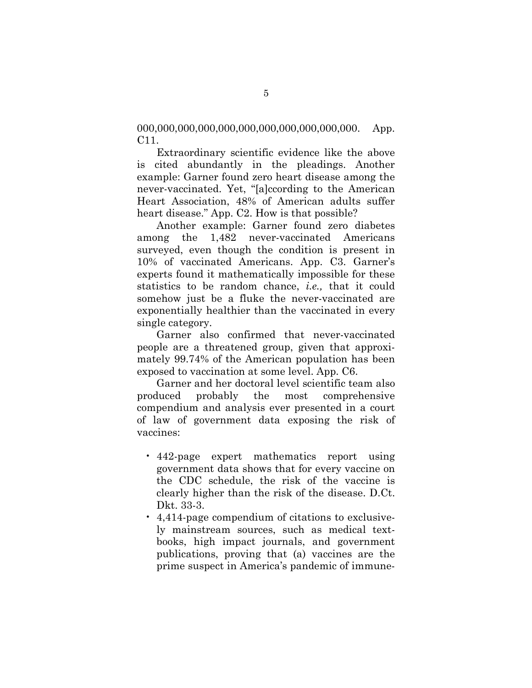000,000,000,000,000,000,000,000,000,000,000. App. C11.

Extraordinary scientific evidence like the above is cited abundantly in the pleadings. Another example: Garner found zero heart disease among the never-vaccinated. Yet, "[a]ccording to the American Heart Association, 48% of American adults suffer heart disease." App. C2. How is that possible?

Another example: Garner found zero diabetes among the 1,482 never-vaccinated Americans surveyed, even though the condition is present in 10% of vaccinated Americans. App. C3. Garner's experts found it mathematically impossible for these statistics to be random chance, *i.e.,* that it could somehow just be a fluke the never-vaccinated are exponentially healthier than the vaccinated in every single category.

Garner also confirmed that never-vaccinated people are a threatened group, given that approximately 99.74% of the American population has been exposed to vaccination at some level. App. C6.

Garner and her doctoral level scientific team also produced probably the most comprehensive compendium and analysis ever presented in a court of law of government data exposing the risk of vaccines:

- 442-page expert mathematics report using government data shows that for every vaccine on the CDC schedule, the risk of the vaccine is clearly higher than the risk of the disease. D.Ct. Dkt. 33-3.
- 4,414-page compendium of citations to exclusively mainstream sources, such as medical textbooks, high impact journals, and government publications, proving that (a) vaccines are the prime suspect in America's pandemic of immune-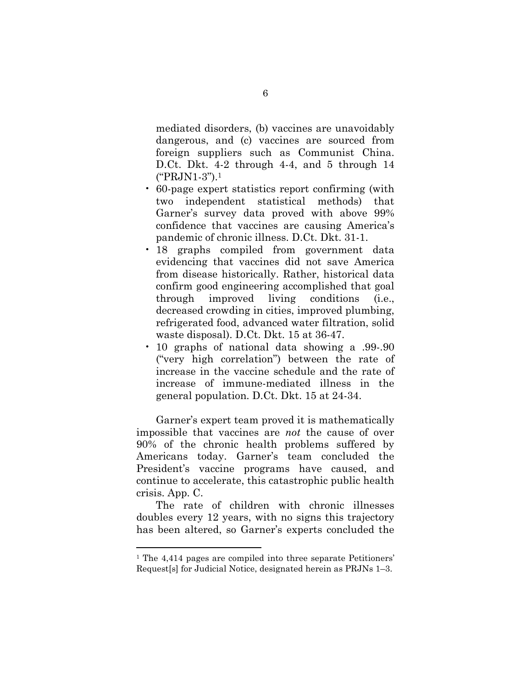mediated disorders, (b) vaccines are unavoidably dangerous, and (c) vaccines are sourced from foreign suppliers such as Communist China. D.Ct. Dkt. 4-2 through 4-4, and 5 through 14 ("PRJN1-3").<sup>1</sup>

- 60-page expert statistics report confirming (with two independent statistical methods) that Garner's survey data proved with above 99% confidence that vaccines are causing America's pandemic of chronic illness. D.Ct. Dkt. 31-1.
- 18 graphs compiled from government data evidencing that vaccines did not save America from disease historically. Rather, historical data confirm good engineering accomplished that goal through improved living conditions (i.e., decreased crowding in cities, improved plumbing, refrigerated food, advanced water filtration, solid waste disposal). D.Ct. Dkt. 15 at 36-47.
- 10 graphs of national data showing a .99-.90 ("very high correlation") between the rate of increase in the vaccine schedule and the rate of increase of immune-mediated illness in the general population. D.Ct. Dkt. 15 at 24-34.

Garner's expert team proved it is mathematically impossible that vaccines are *not* the cause of over 90% of the chronic health problems suffered by Americans today. Garner's team concluded the President's vaccine programs have caused, and continue to accelerate, this catastrophic public health crisis. App. C.

The rate of children with chronic illnesses doubles every 12 years, with no signs this trajectory has been altered, so Garner's experts concluded the

l.

<sup>1</sup> The 4,414 pages are compiled into three separate Petitioners' Request[s] for Judicial Notice, designated herein as PRJNs 1–3.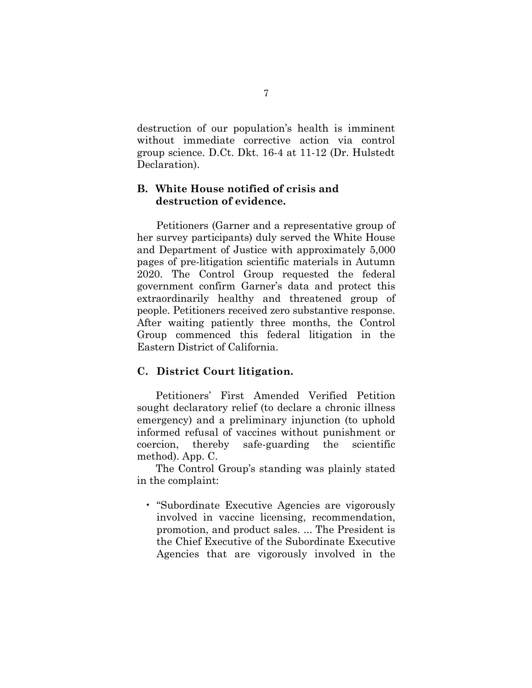destruction of our population's health is imminent without immediate corrective action via control group science. D.Ct. Dkt. 16-4 at 11-12 (Dr. Hulstedt Declaration).

### **B. White House notified of crisis and destruction of evidence.**

Petitioners (Garner and a representative group of her survey participants) duly served the White House and Department of Justice with approximately 5,000 pages of pre-litigation scientific materials in Autumn 2020. The Control Group requested the federal government confirm Garner's data and protect this extraordinarily healthy and threatened group of people. Petitioners received zero substantive response. After waiting patiently three months, the Control Group commenced this federal litigation in the Eastern District of California.

### **C. District Court litigation.**

Petitioners' First Amended Verified Petition sought declaratory relief (to declare a chronic illness emergency) and a preliminary injunction (to uphold informed refusal of vaccines without punishment or coercion, thereby safe-guarding the scientific method). App. C.

The Control Group's standing was plainly stated in the complaint:

• "Subordinate Executive Agencies are vigorously involved in vaccine licensing, recommendation, promotion, and product sales. ... The President is the Chief Executive of the Subordinate Executive Agencies that are vigorously involved in the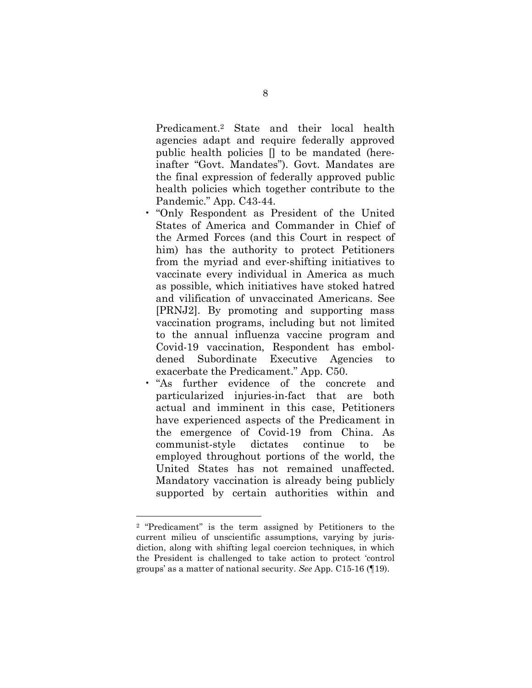Predicament.2 State and their local health agencies adapt and require federally approved public health policies [] to be mandated (hereinafter "Govt. Mandates"). Govt. Mandates are the final expression of federally approved public health policies which together contribute to the Pandemic." App. C43-44.

- "Only Respondent as President of the United States of America and Commander in Chief of the Armed Forces (and this Court in respect of him) has the authority to protect Petitioners from the myriad and ever-shifting initiatives to vaccinate every individual in America as much as possible, which initiatives have stoked hatred and vilification of unvaccinated Americans. See [PRNJ2]. By promoting and supporting mass vaccination programs, including but not limited to the annual influenza vaccine program and Covid-19 vaccination, Respondent has emboldened Subordinate Executive Agencies to exacerbate the Predicament." App. C50.
- "As further evidence of the concrete and particularized injuries-in-fact that are both actual and imminent in this case, Petitioners have experienced aspects of the Predicament in the emergence of Covid-19 from China. As communist-style dictates continue to be employed throughout portions of the world, the United States has not remained unaffected. Mandatory vaccination is already being publicly supported by certain authorities within and

 $\overline{a}$ 

<sup>2</sup> "Predicament" is the term assigned by Petitioners to the current milieu of unscientific assumptions, varying by jurisdiction, along with shifting legal coercion techniques, in which the President is challenged to take action to protect 'control groups' as a matter of national security. *See* App. C15-16 (¶19).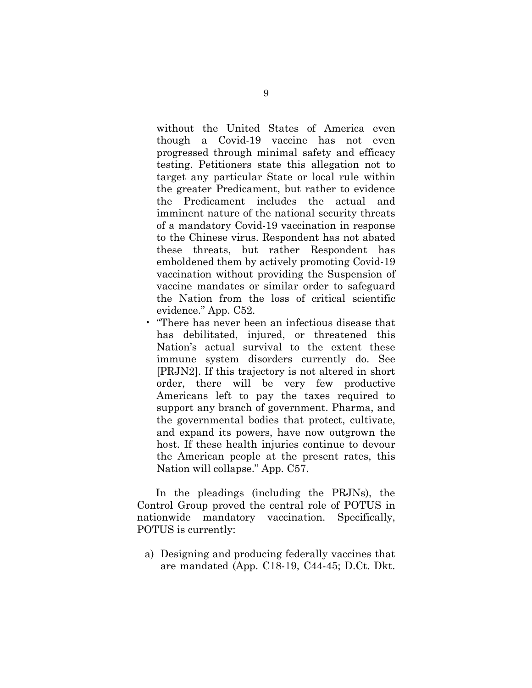without the United States of America even though a Covid-19 vaccine has not even progressed through minimal safety and efficacy testing. Petitioners state this allegation not to target any particular State or local rule within the greater Predicament, but rather to evidence the Predicament includes the actual and imminent nature of the national security threats of a mandatory Covid-19 vaccination in response to the Chinese virus. Respondent has not abated these threats, but rather Respondent has emboldened them by actively promoting Covid-19 vaccination without providing the Suspension of vaccine mandates or similar order to safeguard the Nation from the loss of critical scientific evidence." App. C52.

• "There has never been an infectious disease that has debilitated, injured, or threatened this Nation's actual survival to the extent these immune system disorders currently do. See [PRJN2]. If this trajectory is not altered in short order, there will be very few productive Americans left to pay the taxes required to support any branch of government. Pharma, and the governmental bodies that protect, cultivate, and expand its powers, have now outgrown the host. If these health injuries continue to devour the American people at the present rates, this Nation will collapse." App. C57.

In the pleadings (including the PRJNs), the Control Group proved the central role of POTUS in nationwide mandatory vaccination. Specifically, POTUS is currently:

a) Designing and producing federally vaccines that are mandated (App. C18-19, C44-45; D.Ct. Dkt.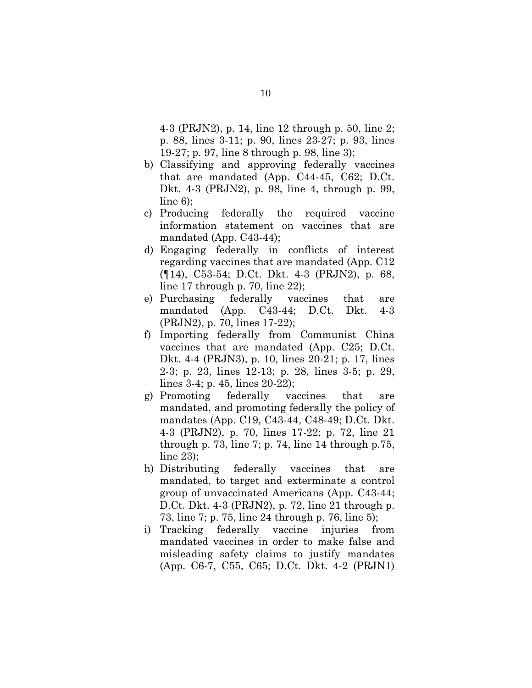4-3 (PRJN2), p. 14, line 12 through p. 50, line 2; p. 88, lines 3-11; p. 90, lines 23-27; p. 93, lines 19-27; p. 97, line 8 through p. 98, line 3);

- b) Classifying and approving federally vaccines that are mandated (App. C44-45, C62; D.Ct. Dkt. 4-3 (PRJN2), p. 98, line 4, through p. 99, line 6);
- c) Producing federally the required vaccine information statement on vaccines that are mandated (App. C43-44);
- d) Engaging federally in conflicts of interest regarding vaccines that are mandated (App. C12 (¶14), C53-54; D.Ct. Dkt. 4-3 (PRJN2), p. 68, line 17 through p. 70, line 22);
- e) Purchasing federally vaccines that are mandated (App. C43-44; D.Ct. Dkt. 4-3 (PRJN2), p. 70, lines 17-22);
- f) Importing federally from Communist China vaccines that are mandated (App. C25; D.Ct. Dkt. 4-4 (PRJN3), p. 10, lines 20-21; p. 17, lines 2-3; p. 23, lines 12-13; p. 28, lines 3-5; p. 29, lines 3-4; p. 45, lines 20-22);
- g) Promoting federally vaccines that are mandated, and promoting federally the policy of mandates (App. C19, C43-44, C48-49; D.Ct. Dkt. 4-3 (PRJN2), p. 70, lines 17-22; p. 72, line 21 through p. 73, line 7; p. 74, line  $14$  through p. 75, line 23);
- h) Distributing federally vaccines that are mandated, to target and exterminate a control group of unvaccinated Americans (App. C43-44; D.Ct. Dkt. 4-3 (PRJN2), p. 72, line 21 through p. 73, line 7; p. 75, line 24 through p. 76, line 5);
- i) Tracking federally vaccine injuries from mandated vaccines in order to make false and misleading safety claims to justify mandates (App. C6-7, C55, C65; D.Ct. Dkt. 4-2 (PRJN1)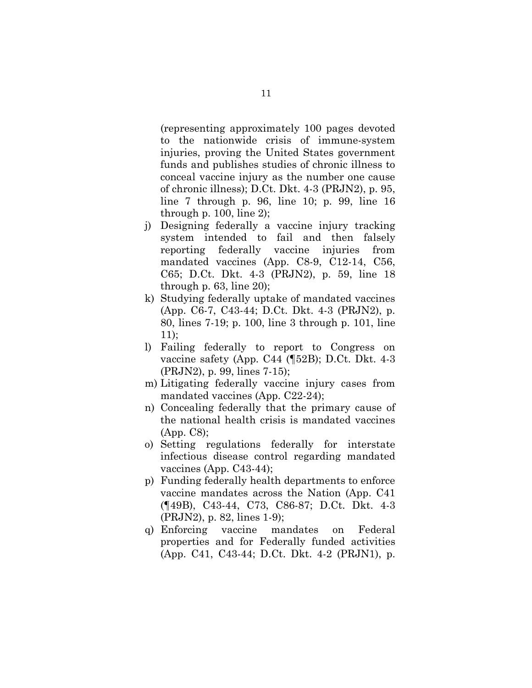(representing approximately 100 pages devoted to the nationwide crisis of immune-system injuries, proving the United States government funds and publishes studies of chronic illness to conceal vaccine injury as the number one cause of chronic illness); D.Ct. Dkt. 4-3 (PRJN2), p. 95, line 7 through p. 96, line 10; p. 99, line 16 through p. 100, line 2);

- j) Designing federally a vaccine injury tracking system intended to fail and then falsely reporting federally vaccine injuries from mandated vaccines (App. C8-9, C12-14, C56, C65; D.Ct. Dkt. 4-3 (PRJN2), p. 59, line 18 through p.  $63$ , line  $20$ ;
- k) Studying federally uptake of mandated vaccines (App. C6-7, C43-44; D.Ct. Dkt. 4-3 (PRJN2), p. 80, lines 7-19; p. 100, line 3 through p. 101, line 11);
- l) Failing federally to report to Congress on vaccine safety (App. C44 (¶52B); D.Ct. Dkt. 4-3 (PRJN2), p. 99, lines 7-15);
- m) Litigating federally vaccine injury cases from mandated vaccines (App. C22-24);
- n) Concealing federally that the primary cause of the national health crisis is mandated vaccines (App. C8);
- o) Setting regulations federally for interstate infectious disease control regarding mandated vaccines (App. C43-44);
- p) Funding federally health departments to enforce vaccine mandates across the Nation (App. C41 (¶49B), C43-44, C73, C86-87; D.Ct. Dkt. 4-3 (PRJN2), p. 82, lines 1-9);
- q) Enforcing vaccine mandates on Federal properties and for Federally funded activities (App. C41, C43-44; D.Ct. Dkt. 4-2 (PRJN1), p.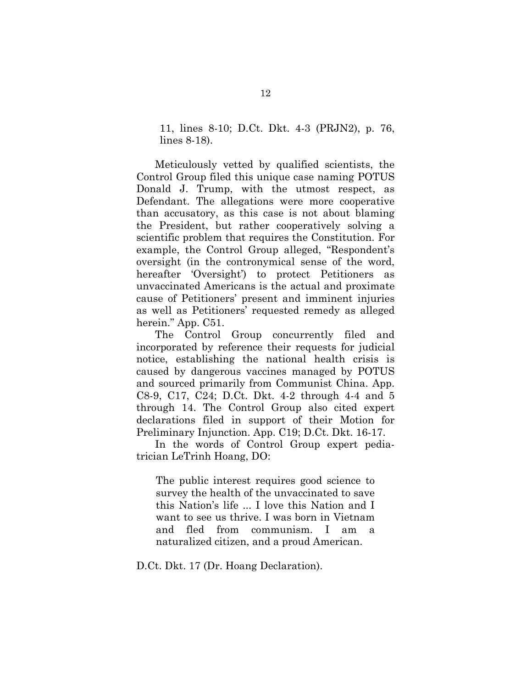11, lines 8-10; D.Ct. Dkt. 4-3 (PRJN2), p. 76, lines 8-18).

Meticulously vetted by qualified scientists, the Control Group filed this unique case naming POTUS Donald J. Trump, with the utmost respect, as Defendant. The allegations were more cooperative than accusatory, as this case is not about blaming the President, but rather cooperatively solving a scientific problem that requires the Constitution. For example, the Control Group alleged, "Respondent's oversight (in the contronymical sense of the word, hereafter 'Oversight') to protect Petitioners as unvaccinated Americans is the actual and proximate cause of Petitioners' present and imminent injuries as well as Petitioners' requested remedy as alleged herein." App. C51.

The Control Group concurrently filed and incorporated by reference their requests for judicial notice, establishing the national health crisis is caused by dangerous vaccines managed by POTUS and sourced primarily from Communist China. App. C8-9, C17, C24; D.Ct. Dkt. 4-2 through 4-4 and 5 through 14. The Control Group also cited expert declarations filed in support of their Motion for Preliminary Injunction. App. C19; D.Ct. Dkt. 16-17.

In the words of Control Group expert pediatrician LeTrinh Hoang, DO:

The public interest requires good science to survey the health of the unvaccinated to save this Nation's life ... I love this Nation and I want to see us thrive. I was born in Vietnam and fled from communism. I am a naturalized citizen, and a proud American.

D.Ct. Dkt. 17 (Dr. Hoang Declaration).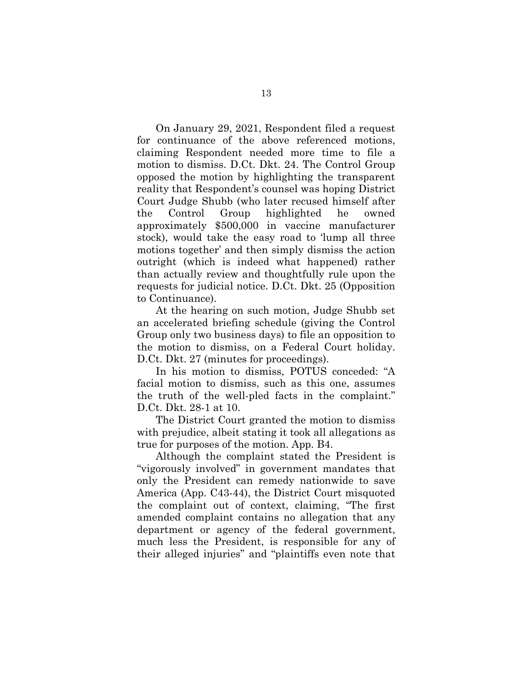On January 29, 2021, Respondent filed a request for continuance of the above referenced motions, claiming Respondent needed more time to file a motion to dismiss. D.Ct. Dkt. 24. The Control Group opposed the motion by highlighting the transparent reality that Respondent's counsel was hoping District Court Judge Shubb (who later recused himself after the Control Group highlighted he owned approximately \$500,000 in vaccine manufacturer stock), would take the easy road to 'lump all three motions together' and then simply dismiss the action outright (which is indeed what happened) rather than actually review and thoughtfully rule upon the requests for judicial notice. D.Ct. Dkt. 25 (Opposition to Continuance).

At the hearing on such motion, Judge Shubb set an accelerated briefing schedule (giving the Control Group only two business days) to file an opposition to the motion to dismiss, on a Federal Court holiday. D.Ct. Dkt. 27 (minutes for proceedings).

In his motion to dismiss, POTUS conceded: "A facial motion to dismiss, such as this one, assumes the truth of the well-pled facts in the complaint." D.Ct. Dkt. 28-1 at 10.

The District Court granted the motion to dismiss with prejudice, albeit stating it took all allegations as true for purposes of the motion. App. B4.

Although the complaint stated the President is "vigorously involved" in government mandates that only the President can remedy nationwide to save America (App. C43-44), the District Court misquoted the complaint out of context, claiming, "The first amended complaint contains no allegation that any department or agency of the federal government, much less the President, is responsible for any of their alleged injuries" and "plaintiffs even note that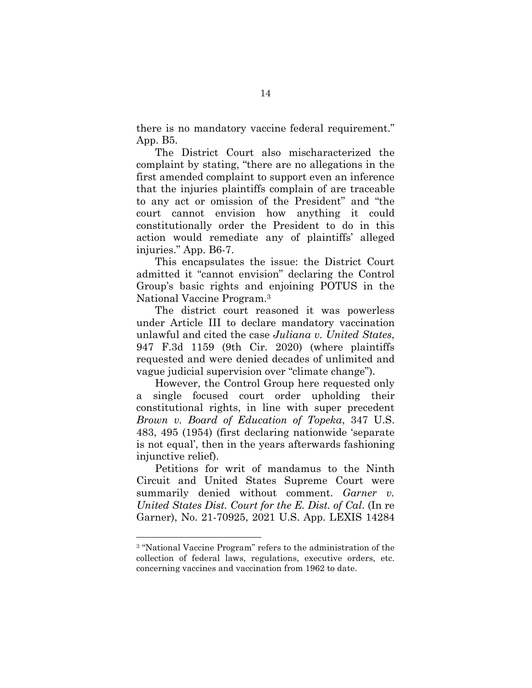there is no mandatory vaccine federal requirement." App. B5.

The District Court also mischaracterized the complaint by stating, "there are no allegations in the first amended complaint to support even an inference that the injuries plaintiffs complain of are traceable to any act or omission of the President" and "the court cannot envision how anything it could constitutionally order the President to do in this action would remediate any of plaintiffs' alleged injuries." App. B6-7.

This encapsulates the issue: the District Court admitted it "cannot envision" declaring the Control Group's basic rights and enjoining POTUS in the National Vaccine Program.<sup>3</sup>

The district court reasoned it was powerless under Article III to declare mandatory vaccination unlawful and cited the case *Juliana v. United States*, 947 F.3d 1159 (9th Cir. 2020) (where plaintiffs requested and were denied decades of unlimited and vague judicial supervision over "climate change").

However, the Control Group here requested only a single focused court order upholding their constitutional rights, in line with super precedent *Brown v. Board of Education of Topeka*, 347 U.S. 483, 495 (1954) (first declaring nationwide 'separate is not equal', then in the years afterwards fashioning injunctive relief).

Petitions for writ of mandamus to the Ninth Circuit and United States Supreme Court were summarily denied without comment. *Garner v. United States Dist. Court for the E. Dist. of Cal*. (In re Garner), No. 21-70925, 2021 U.S. App. LEXIS 14284

l.

<sup>3</sup> "National Vaccine Program" refers to the administration of the collection of federal laws, regulations, executive orders, etc. concerning vaccines and vaccination from 1962 to date.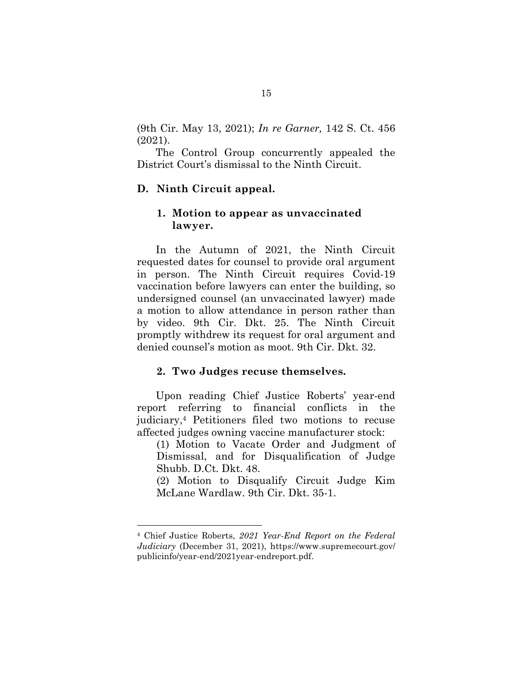(9th Cir. May 13, 2021); *In re Garner,* 142 S. Ct. 456 (2021).

The Control Group concurrently appealed the District Court's dismissal to the Ninth Circuit.

#### **D. Ninth Circuit appeal.**

#### **1. Motion to appear as unvaccinated lawyer.**

In the Autumn of 2021, the Ninth Circuit requested dates for counsel to provide oral argument in person. The Ninth Circuit requires Covid-19 vaccination before lawyers can enter the building, so undersigned counsel (an unvaccinated lawyer) made a motion to allow attendance in person rather than by video. 9th Cir. Dkt. 25. The Ninth Circuit promptly withdrew its request for oral argument and denied counsel's motion as moot. 9th Cir. Dkt. 32.

#### **2. Two Judges recuse themselves.**

Upon reading Chief Justice Roberts' year-end report referring to financial conflicts in the judiciary,4 Petitioners filed two motions to recuse affected judges owning vaccine manufacturer stock:

(1) Motion to Vacate Order and Judgment of Dismissal, and for Disqualification of Judge Shubb. D.Ct. Dkt. 48.

(2) Motion to Disqualify Circuit Judge Kim McLane Wardlaw. 9th Cir. Dkt. 35-1.

l.

<sup>4</sup> Chief Justice Roberts, *2021 Year-End Report on the Federal Judiciary* (December 31, 2021), https://www.supremecourt.gov/ publicinfo/year-end/2021year-endreport.pdf.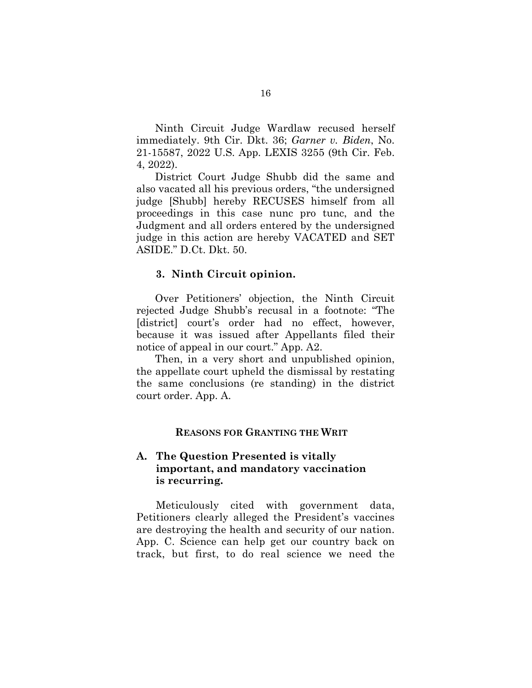Ninth Circuit Judge Wardlaw recused herself immediately. 9th Cir. Dkt. 36; *Garner v. Biden*, No. 21-15587, 2022 U.S. App. LEXIS 3255 (9th Cir. Feb. 4, 2022).

District Court Judge Shubb did the same and also vacated all his previous orders, "the undersigned judge [Shubb] hereby RECUSES himself from all proceedings in this case nunc pro tunc, and the Judgment and all orders entered by the undersigned judge in this action are hereby VACATED and SET ASIDE." D.Ct. Dkt. 50.

#### **3. Ninth Circuit opinion.**

Over Petitioners' objection, the Ninth Circuit rejected Judge Shubb's recusal in a footnote: "The [district] court's order had no effect, however, because it was issued after Appellants filed their notice of appeal in our court." App. A2.

Then, in a very short and unpublished opinion, the appellate court upheld the dismissal by restating the same conclusions (re standing) in the district court order. App. A.

#### **REASONS FOR GRANTING THE WRIT**

#### **A. The Question Presented is vitally important, and mandatory vaccination is recurring.**

 Meticulously cited with government data, Petitioners clearly alleged the President's vaccines are destroying the health and security of our nation. App. C. Science can help get our country back on track, but first, to do real science we need the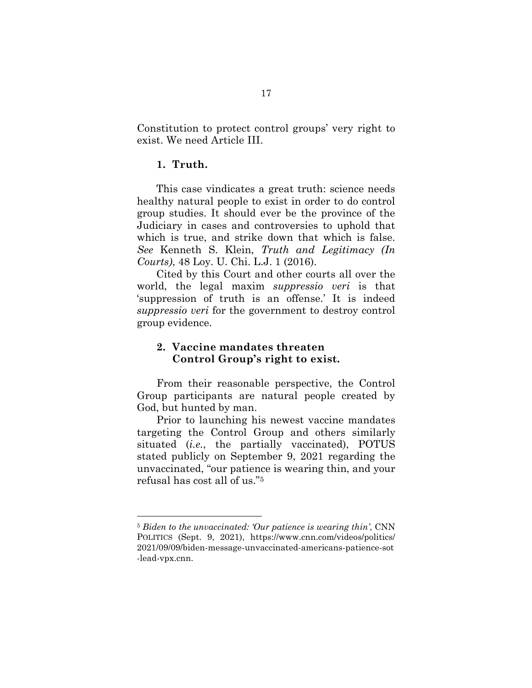Constitution to protect control groups' very right to exist. We need Article III.

### **1. Truth.**

l.

This case vindicates a great truth: science needs healthy natural people to exist in order to do control group studies. It should ever be the province of the Judiciary in cases and controversies to uphold that which is true, and strike down that which is false. *See* Kenneth S. Klein, *Truth and Legitimacy (In Courts)*, 48 Loy. U. Chi. L.J. 1 (2016).

Cited by this Court and other courts all over the world, the legal maxim *suppressio veri* is that 'suppression of truth is an offense.' It is indeed *suppressio veri* for the government to destroy control group evidence.

#### **2. Vaccine mandates threaten Control Group's right to exist.**

From their reasonable perspective, the Control Group participants are natural people created by God, but hunted by man.

Prior to launching his newest vaccine mandates targeting the Control Group and others similarly situated (*i.e.*, the partially vaccinated), POTUS stated publicly on September 9, 2021 regarding the unvaccinated, "our patience is wearing thin, and your refusal has cost all of us."<sup>5</sup>

<sup>5</sup> *Biden to the unvaccinated: 'Our patience is wearing thin'*, CNN POLITICS (Sept. 9, 2021), https://www.cnn.com/videos/politics/ 2021/09/09/biden-message-unvaccinated-americans-patience-sot -lead-vpx.cnn.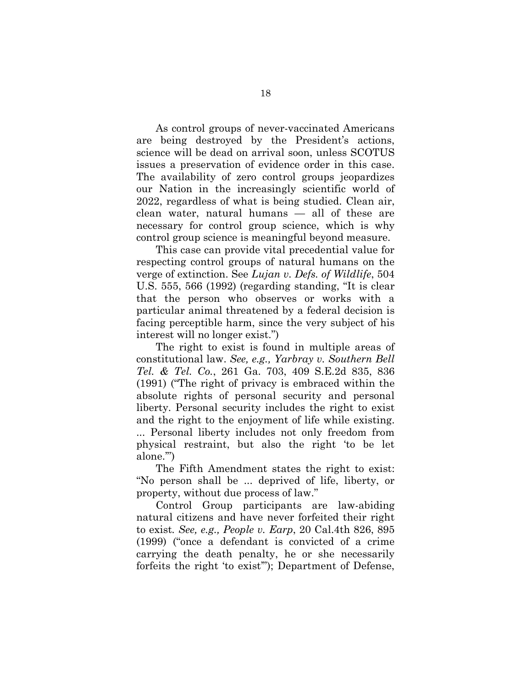As control groups of never-vaccinated Americans are being destroyed by the President's actions, science will be dead on arrival soon, unless SCOTUS issues a preservation of evidence order in this case. The availability of zero control groups jeopardizes our Nation in the increasingly scientific world of 2022, regardless of what is being studied. Clean air, clean water, natural humans — all of these are necessary for control group science, which is why control group science is meaningful beyond measure.

This case can provide vital precedential value for respecting control groups of natural humans on the verge of extinction. See *Lujan v. Defs. of Wildlife*, 504 U.S. 555, 566 (1992) (regarding standing, "It is clear that the person who observes or works with a particular animal threatened by a federal decision is facing perceptible harm, since the very subject of his interest will no longer exist.")

The right to exist is found in multiple areas of constitutional law. *See, e.g., Yarbray v. Southern Bell Tel. & Tel. Co.*, 261 Ga. 703, 409 S.E.2d 835, 836 (1991) ("The right of privacy is embraced within the absolute rights of personal security and personal liberty. Personal security includes the right to exist and the right to the enjoyment of life while existing. ... Personal liberty includes not only freedom from physical restraint, but also the right 'to be let alone.'")

The Fifth Amendment states the right to exist: "No person shall be ... deprived of life, liberty, or property, without due process of law."

Control Group participants are law-abiding natural citizens and have never forfeited their right to exist*. See, e.g., People v. Earp*, 20 Cal.4th 826, 895 (1999) ("once a defendant is convicted of a crime carrying the death penalty, he or she necessarily forfeits the right 'to exist'"); Department of Defense,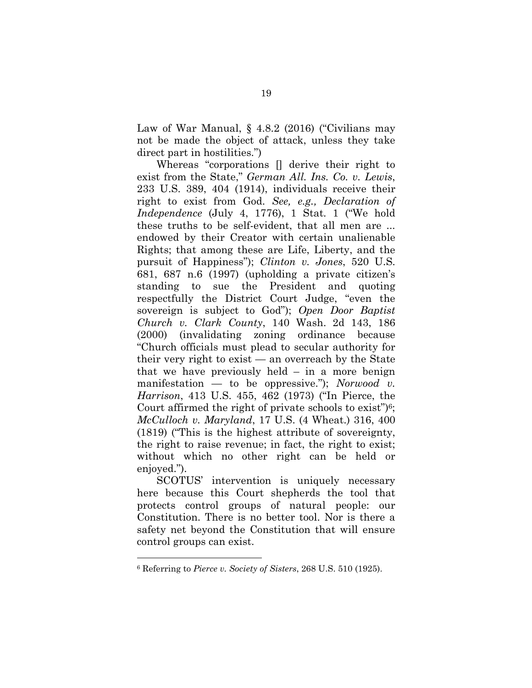Law of War Manual, § 4.8.2 (2016) ("Civilians may not be made the object of attack, unless they take direct part in hostilities.")

Whereas "corporations [] derive their right to exist from the State," *German All. Ins. Co. v. Lewis*, 233 U.S. 389, 404 (1914), individuals receive their right to exist from God. *See, e.g., Declaration of Independence* (July 4, 1776), 1 Stat. 1 ("We hold these truths to be self-evident, that all men are ... endowed by their Creator with certain unalienable Rights; that among these are Life, Liberty, and the pursuit of Happiness"); *Clinton v. Jones*, 520 U.S. 681, 687 n.6 (1997) (upholding a private citizen's standing to sue the President and quoting respectfully the District Court Judge, "even the sovereign is subject to God"); *Open Door Baptist Church v. Clark County*, 140 Wash. 2d 143, 186 (2000) (invalidating zoning ordinance because "Church officials must plead to secular authority for their very right to exist  $-$  an overreach by the State that we have previously held – in a more benign manifestation — to be oppressive."); *Norwood v. Harrison*, 413 U.S. 455, 462 (1973) ("In Pierce, the Court affirmed the right of private schools to exist")6; *McCulloch v. Maryland*, 17 U.S. (4 Wheat.) 316, 400 (1819) ("This is the highest attribute of sovereignty, the right to raise revenue; in fact, the right to exist; without which no other right can be held or enjoyed.").

SCOTUS' intervention is uniquely necessary here because this Court shepherds the tool that protects control groups of natural people: our Constitution. There is no better tool. Nor is there a safety net beyond the Constitution that will ensure control groups can exist.

l.

<sup>6</sup> Referring to *Pierce v. Society of Sisters*, 268 U.S. 510 (1925).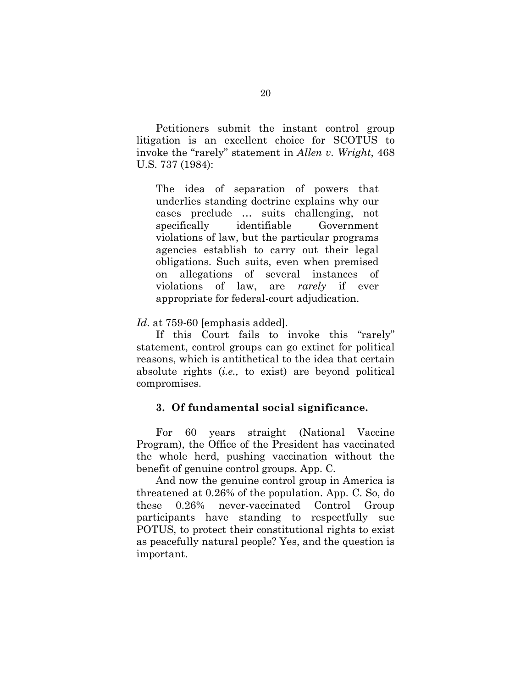Petitioners submit the instant control group litigation is an excellent choice for SCOTUS to invoke the "rarely" statement in *Allen v. Wright*, 468 U.S. 737 (1984):

The idea of separation of powers that underlies standing doctrine explains why our cases preclude … suits challenging, not specifically identifiable Government violations of law, but the particular programs agencies establish to carry out their legal obligations. Such suits, even when premised on allegations of several instances of violations of law, are *rarely* if ever appropriate for federal-court adjudication.

*Id*. at 759-60 [emphasis added].

If this Court fails to invoke this "rarely" statement, control groups can go extinct for political reasons, which is antithetical to the idea that certain absolute rights (*i.e.,* to exist) are beyond political compromises.

#### **3. Of fundamental social significance.**

For 60 years straight (National Vaccine Program), the Office of the President has vaccinated the whole herd, pushing vaccination without the benefit of genuine control groups. App. C.

And now the genuine control group in America is threatened at 0.26% of the population. App. C. So, do these 0.26% never-vaccinated Control Group participants have standing to respectfully sue POTUS, to protect their constitutional rights to exist as peacefully natural people? Yes, and the question is important.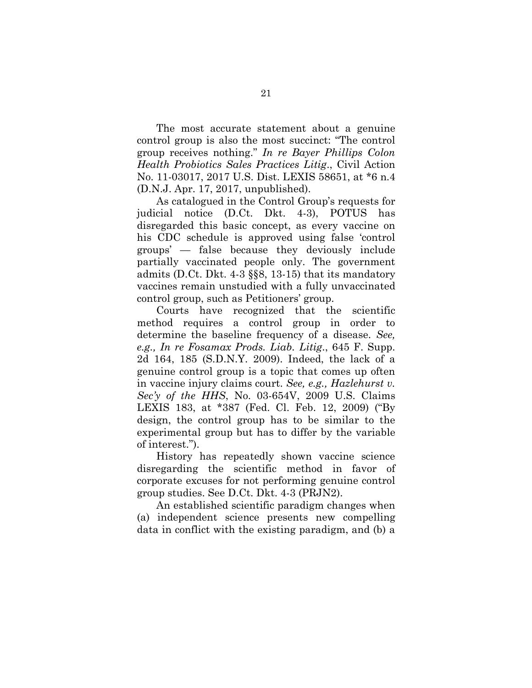The most accurate statement about a genuine control group is also the most succinct: "The control group receives nothing." *In re Bayer Phillips Colon Health Probiotics Sales Practices Litig*., Civil Action No. 11-03017, 2017 U.S. Dist. LEXIS 58651, at \*6 n.4 (D.N.J. Apr. 17, 2017, unpublished).

As catalogued in the Control Group's requests for judicial notice (D.Ct. Dkt. 4-3), POTUS has disregarded this basic concept, as every vaccine on his CDC schedule is approved using false 'control groups' — false because they deviously include partially vaccinated people only. The government admits (D.Ct. Dkt. 4-3 §§8, 13-15) that its mandatory vaccines remain unstudied with a fully unvaccinated control group, such as Petitioners' group.

Courts have recognized that the scientific method requires a control group in order to determine the baseline frequency of a disease. *See, e.g., In re Fosamax Prods. Liab. Litig*., 645 F. Supp. 2d 164, 185 (S.D.N.Y. 2009). Indeed, the lack of a genuine control group is a topic that comes up often in vaccine injury claims court. *See, e.g., Hazlehurst v. Sec'y of the HHS*, No. 03-654V, 2009 U.S. Claims LEXIS 183, at \*387 (Fed. Cl. Feb. 12, 2009) ("By design, the control group has to be similar to the experimental group but has to differ by the variable of interest.").

History has repeatedly shown vaccine science disregarding the scientific method in favor of corporate excuses for not performing genuine control group studies. See D.Ct. Dkt. 4-3 (PRJN2).

An established scientific paradigm changes when (a) independent science presents new compelling data in conflict with the existing paradigm, and (b) a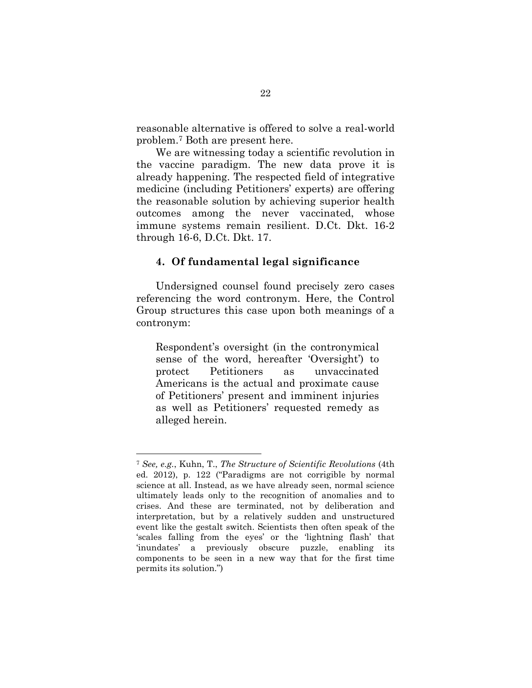reasonable alternative is offered to solve a real-world problem.7 Both are present here.

We are witnessing today a scientific revolution in the vaccine paradigm. The new data prove it is already happening. The respected field of integrative medicine (including Petitioners' experts) are offering the reasonable solution by achieving superior health outcomes among the never vaccinated, whose immune systems remain resilient. D.Ct. Dkt. 16-2 through 16-6, D.Ct. Dkt. 17.

#### **4. Of fundamental legal significance**

Undersigned counsel found precisely zero cases referencing the word contronym. Here, the Control Group structures this case upon both meanings of a contronym:

Respondent's oversight (in the contronymical sense of the word, hereafter 'Oversight') to protect Petitioners as unvaccinated Americans is the actual and proximate cause of Petitioners' present and imminent injuries as well as Petitioners' requested remedy as alleged herein.

l.

<sup>7</sup> *See, e.g.*, Kuhn, T., *The Structure of Scientific Revolutions* (4th ed. 2012), p. 122 ("Paradigms are not corrigible by normal science at all. Instead, as we have already seen, normal science ultimately leads only to the recognition of anomalies and to crises. And these are terminated, not by deliberation and interpretation, but by a relatively sudden and unstructured event like the gestalt switch. Scientists then often speak of the 'scales falling from the eyes' or the 'lightning flash' that 'inundates' a previously obscure puzzle, enabling its components to be seen in a new way that for the first time permits its solution.")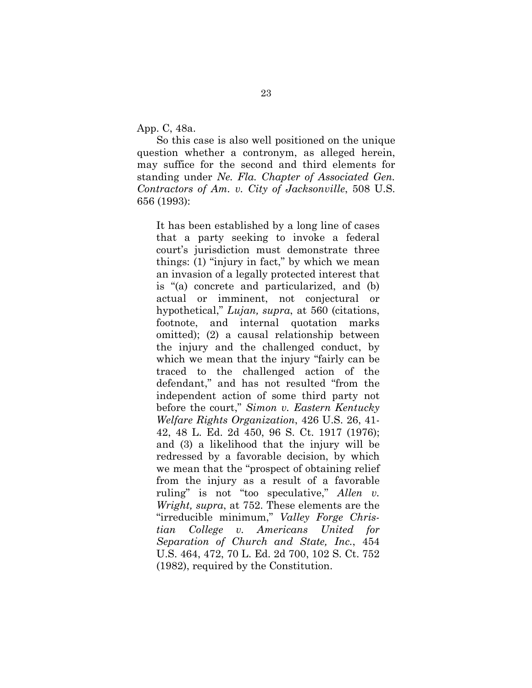App. C, 48a.

So this case is also well positioned on the unique question whether a contronym, as alleged herein, may suffice for the second and third elements for standing under *Ne. Fla. Chapter of Associated Gen. Contractors of Am. v. City of Jacksonville*, 508 U.S. 656 (1993):

It has been established by a long line of cases that a party seeking to invoke a federal court's jurisdiction must demonstrate three things: (1) "injury in fact," by which we mean an invasion of a legally protected interest that is "(a) concrete and particularized, and (b) actual or imminent, not conjectural or hypothetical," *Lujan, supra*, at 560 (citations, footnote, and internal quotation marks omitted); (2) a causal relationship between the injury and the challenged conduct, by which we mean that the injury "fairly can be traced to the challenged action of the defendant," and has not resulted "from the independent action of some third party not before the court," *Simon v. Eastern Kentucky Welfare Rights Organization*, 426 U.S. 26, 41- 42, 48 L. Ed. 2d 450, 96 S. Ct. 1917 (1976); and (3) a likelihood that the injury will be redressed by a favorable decision, by which we mean that the "prospect of obtaining relief from the injury as a result of a favorable ruling" is not "too speculative," *Allen v. Wright, supra*, at 752. These elements are the "irreducible minimum," *Valley Forge Christian College v. Americans United for Separation of Church and State, Inc.*, 454 U.S. 464, 472, 70 L. Ed. 2d 700, 102 S. Ct. 752 (1982), required by the Constitution.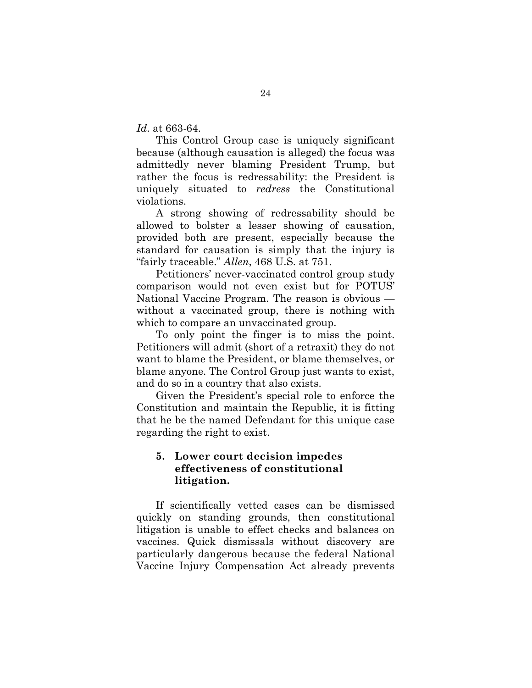*Id*. at 663-64.

This Control Group case is uniquely significant because (although causation is alleged) the focus was admittedly never blaming President Trump, but rather the focus is redressability: the President is uniquely situated to *redress* the Constitutional violations.

A strong showing of redressability should be allowed to bolster a lesser showing of causation, provided both are present, especially because the standard for causation is simply that the injury is "fairly traceable." *Allen*, 468 U.S. at 751.

Petitioners' never-vaccinated control group study comparison would not even exist but for POTUS' National Vaccine Program. The reason is obvious without a vaccinated group, there is nothing with which to compare an unvaccinated group.

To only point the finger is to miss the point. Petitioners will admit (short of a retraxit) they do not want to blame the President, or blame themselves, or blame anyone. The Control Group just wants to exist, and do so in a country that also exists.

Given the President's special role to enforce the Constitution and maintain the Republic, it is fitting that he be the named Defendant for this unique case regarding the right to exist.

## **5. Lower court decision impedes effectiveness of constitutional litigation.**

If scientifically vetted cases can be dismissed quickly on standing grounds, then constitutional litigation is unable to effect checks and balances on vaccines. Quick dismissals without discovery are particularly dangerous because the federal National Vaccine Injury Compensation Act already prevents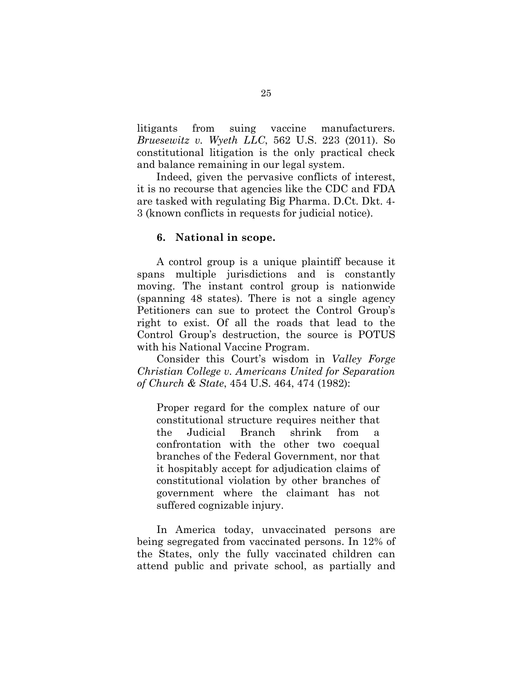litigants from suing vaccine manufacturers. *Bruesewitz v. Wyeth LLC*, 562 U.S. 223 (2011). So constitutional litigation is the only practical check and balance remaining in our legal system.

Indeed, given the pervasive conflicts of interest, it is no recourse that agencies like the CDC and FDA are tasked with regulating Big Pharma. D.Ct. Dkt. 4- 3 (known conflicts in requests for judicial notice).

#### **6. National in scope.**

A control group is a unique plaintiff because it spans multiple jurisdictions and is constantly moving. The instant control group is nationwide (spanning 48 states). There is not a single agency Petitioners can sue to protect the Control Group's right to exist. Of all the roads that lead to the Control Group's destruction, the source is POTUS with his National Vaccine Program.

Consider this Court's wisdom in *Valley Forge Christian College v. Americans United for Separation of Church & State*, 454 U.S. 464, 474 (1982):

Proper regard for the complex nature of our constitutional structure requires neither that the Judicial Branch shrink from a confrontation with the other two coequal branches of the Federal Government, nor that it hospitably accept for adjudication claims of constitutional violation by other branches of government where the claimant has not suffered cognizable injury.

In America today, unvaccinated persons are being segregated from vaccinated persons. In 12% of the States, only the fully vaccinated children can attend public and private school, as partially and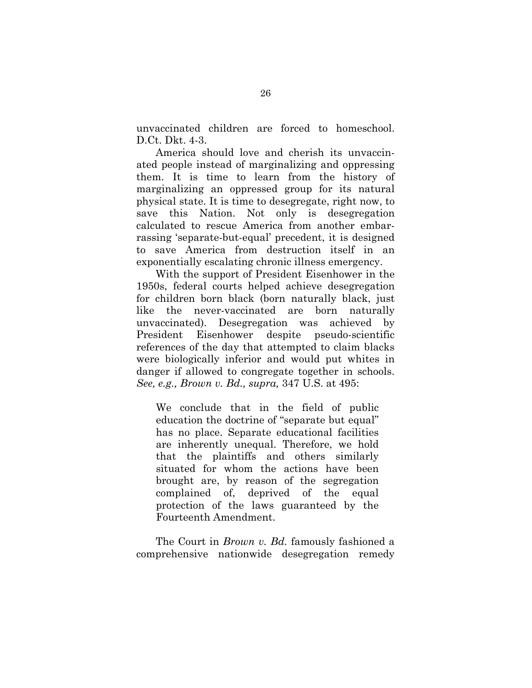unvaccinated children are forced to homeschool. D.Ct. Dkt. 4-3.

America should love and cherish its unvaccinated people instead of marginalizing and oppressing them. It is time to learn from the history of marginalizing an oppressed group for its natural physical state. It is time to desegregate, right now, to save this Nation. Not only is desegregation calculated to rescue America from another embarrassing 'separate-but-equal' precedent, it is designed to save America from destruction itself in an exponentially escalating chronic illness emergency.

With the support of President Eisenhower in the 1950s, federal courts helped achieve desegregation for children born black (born naturally black, just like the never-vaccinated are born naturally unvaccinated). Desegregation was achieved by President Eisenhower despite pseudo-scientific references of the day that attempted to claim blacks were biologically inferior and would put whites in danger if allowed to congregate together in schools. *See, e.g., Brown v. Bd., supra,* 347 U.S. at 495:

We conclude that in the field of public education the doctrine of "separate but equal" has no place. Separate educational facilities are inherently unequal. Therefore, we hold that the plaintiffs and others similarly situated for whom the actions have been brought are, by reason of the segregation complained of, deprived of the equal protection of the laws guaranteed by the Fourteenth Amendment.

The Court in *Brown v. Bd.* famously fashioned a comprehensive nationwide desegregation remedy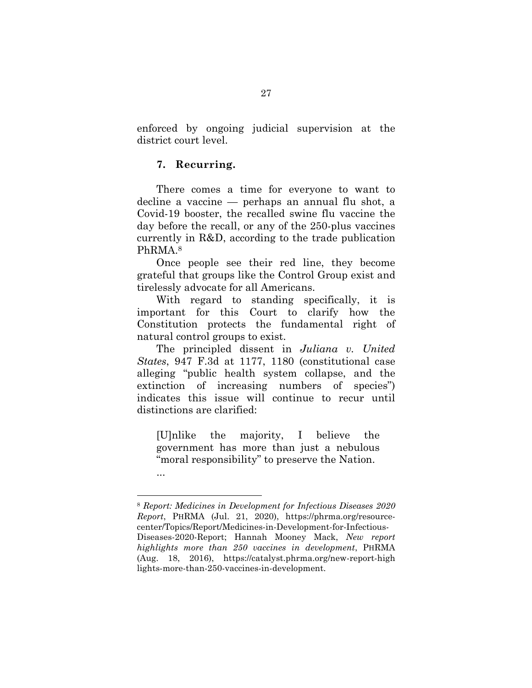enforced by ongoing judicial supervision at the district court level.

## **7. Recurring.**

l.

There comes a time for everyone to want to decline a vaccine — perhaps an annual flu shot, a Covid-19 booster, the recalled swine flu vaccine the day before the recall, or any of the 250-plus vaccines currently in R&D, according to the trade publication PhRMA.<sup>8</sup>

Once people see their red line, they become grateful that groups like the Control Group exist and tirelessly advocate for all Americans.

With regard to standing specifically, it is important for this Court to clarify how the Constitution protects the fundamental right of natural control groups to exist.

The principled dissent in *Juliana v. United States*, 947 F.3d at 1177, 1180 (constitutional case alleging "public health system collapse, and the extinction of increasing numbers of species") indicates this issue will continue to recur until distinctions are clarified:

[U]nlike the majority, I believe the government has more than just a nebulous "moral responsibility" to preserve the Nation. ...

<sup>8</sup> *Report: Medicines in Development for Infectious Diseases 2020 Report*, PHRMA (Jul. 21, 2020), https://phrma.org/resourcecenter/Topics/Report/Medicines-in-Development-for-Infectious-Diseases-2020-Report; Hannah Mooney Mack, *New report highlights more than 250 vaccines in development*, PHRMA (Aug. 18, 2016), https://catalyst.phrma.org/new-report-high lights-more-than-250-vaccines-in-development.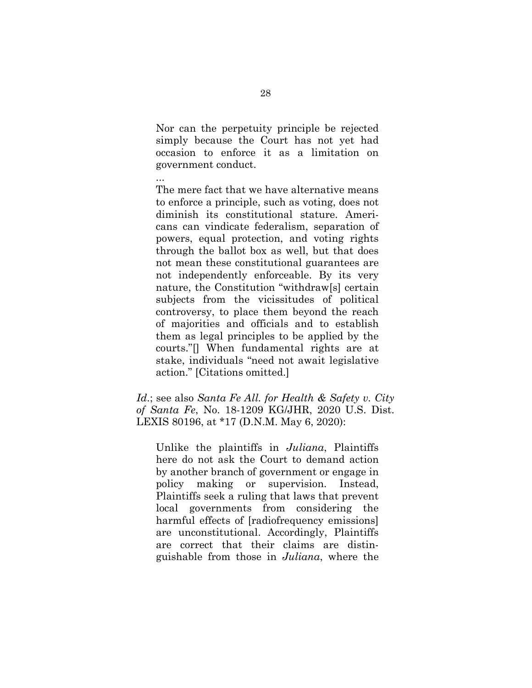Nor can the perpetuity principle be rejected simply because the Court has not yet had occasion to enforce it as a limitation on government conduct.

...

The mere fact that we have alternative means to enforce a principle, such as voting, does not diminish its constitutional stature. Americans can vindicate federalism, separation of powers, equal protection, and voting rights through the ballot box as well, but that does not mean these constitutional guarantees are not independently enforceable. By its very nature, the Constitution "withdraw[s] certain subjects from the vicissitudes of political controversy, to place them beyond the reach of majorities and officials and to establish them as legal principles to be applied by the courts."[] When fundamental rights are at stake, individuals "need not await legislative action." [Citations omitted.]

*Id*.; see also *Santa Fe All. for Health & Safety v. City of Santa Fe*, No. 18-1209 KG/JHR, 2020 U.S. Dist. LEXIS 80196, at \*17 (D.N.M. May 6, 2020):

Unlike the plaintiffs in *Juliana*, Plaintiffs here do not ask the Court to demand action by another branch of government or engage in policy making or supervision. Instead, Plaintiffs seek a ruling that laws that prevent local governments from considering the harmful effects of [radiofrequency emissions] are unconstitutional. Accordingly, Plaintiffs are correct that their claims are distinguishable from those in *Juliana*, where the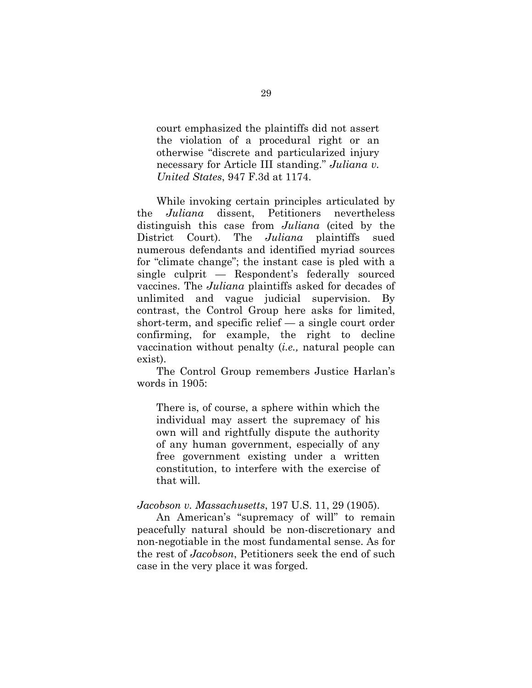court emphasized the plaintiffs did not assert the violation of a procedural right or an otherwise "discrete and particularized injury necessary for Article III standing." *Juliana v. United States*, 947 F.3d at 1174.

While invoking certain principles articulated by the *Juliana* dissent, Petitioners nevertheless distinguish this case from *Juliana* (cited by the District Court). The *Juliana* plaintiffs sued numerous defendants and identified myriad sources for "climate change"; the instant case is pled with a single culprit — Respondent's federally sourced vaccines. The *Juliana* plaintiffs asked for decades of unlimited and vague judicial supervision. By contrast, the Control Group here asks for limited, short-term, and specific relief — a single court order confirming, for example, the right to decline vaccination without penalty (*i.e.,* natural people can exist).

The Control Group remembers Justice Harlan's words in 1905:

There is, of course, a sphere within which the individual may assert the supremacy of his own will and rightfully dispute the authority of any human government, especially of any free government existing under a written constitution, to interfere with the exercise of that will.

#### *Jacobson v. Massachusetts*, 197 U.S. 11, 29 (1905).

An American's "supremacy of will" to remain peacefully natural should be non-discretionary and non-negotiable in the most fundamental sense. As for the rest of *Jacobson*, Petitioners seek the end of such case in the very place it was forged.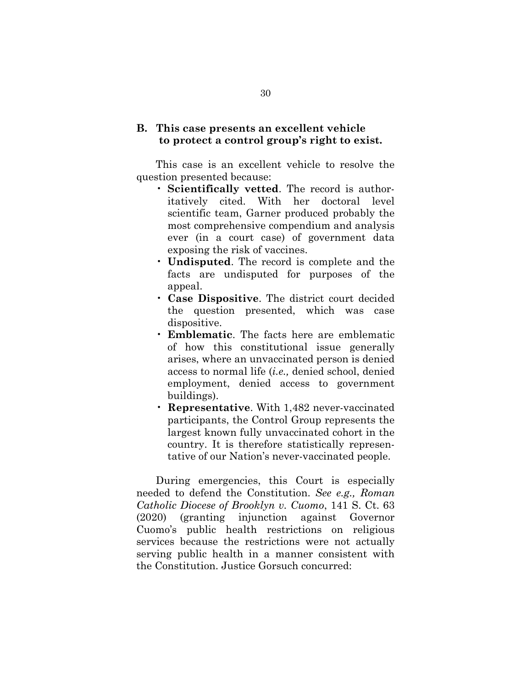## **B. This case presents an excellent vehicle to protect a control group's right to exist.**

This case is an excellent vehicle to resolve the question presented because:

- **Scientifically vetted**. The record is authoritatively cited. With her doctoral level scientific team, Garner produced probably the most comprehensive compendium and analysis ever (in a court case) of government data exposing the risk of vaccines.
- **Undisputed**. The record is complete and the facts are undisputed for purposes of the appeal.
- **Case Dispositive**. The district court decided the question presented, which was case dispositive.
- **Emblematic**. The facts here are emblematic of how this constitutional issue generally arises, where an unvaccinated person is denied access to normal life (*i.e.,* denied school, denied employment, denied access to government buildings).
- **Representative**. With 1,482 never-vaccinated participants, the Control Group represents the largest known fully unvaccinated cohort in the country. It is therefore statistically representative of our Nation's never-vaccinated people.

During emergencies, this Court is especially needed to defend the Constitution. *See e.g., Roman Catholic Diocese of Brooklyn v. Cuomo*, 141 S. Ct. 63 (2020) (granting injunction against Governor Cuomo's public health restrictions on religious services because the restrictions were not actually serving public health in a manner consistent with the Constitution. Justice Gorsuch concurred: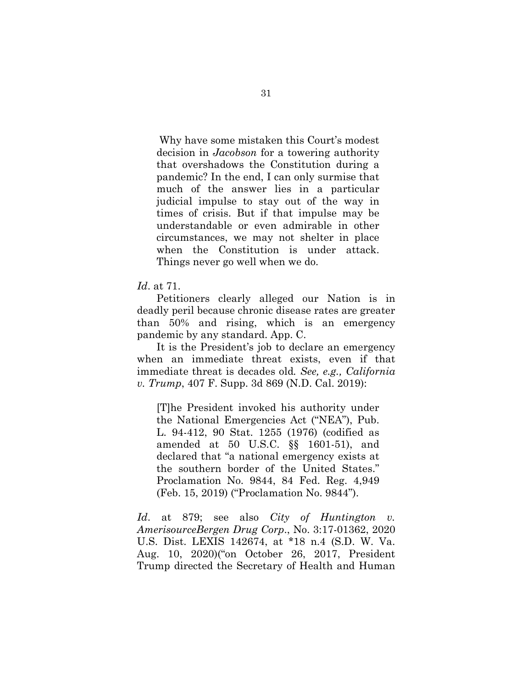Why have some mistaken this Court's modest decision in *Jacobson* for a towering authority that overshadows the Constitution during a pandemic? In the end, I can only surmise that much of the answer lies in a particular judicial impulse to stay out of the way in times of crisis. But if that impulse may be understandable or even admirable in other circumstances, we may not shelter in place when the Constitution is under attack. Things never go well when we do.

*Id*. at 71.

Petitioners clearly alleged our Nation is in deadly peril because chronic disease rates are greater than 50% and rising, which is an emergency pandemic by any standard. App. C.

It is the President's job to declare an emergency when an immediate threat exists, even if that immediate threat is decades old*. See, e.g., California v. Trump*, 407 F. Supp. 3d 869 (N.D. Cal. 2019):

[T]he President invoked his authority under the National Emergencies Act ("NEA"), Pub. L. 94-412, 90 Stat. 1255 (1976) (codified as amended at 50 U.S.C. §§ 1601-51), and declared that "a national emergency exists at the southern border of the United States." Proclamation No. 9844, 84 Fed. Reg. 4,949 (Feb. 15, 2019) ("Proclamation No. 9844").

*Id*. at 879; see also *City of Huntington v. AmerisourceBergen Drug Corp*., No. 3:17-01362, 2020 U.S. Dist. LEXIS 142674, at \*18 n.4 (S.D. W. Va. Aug. 10, 2020)("on October 26, 2017, President Trump directed the Secretary of Health and Human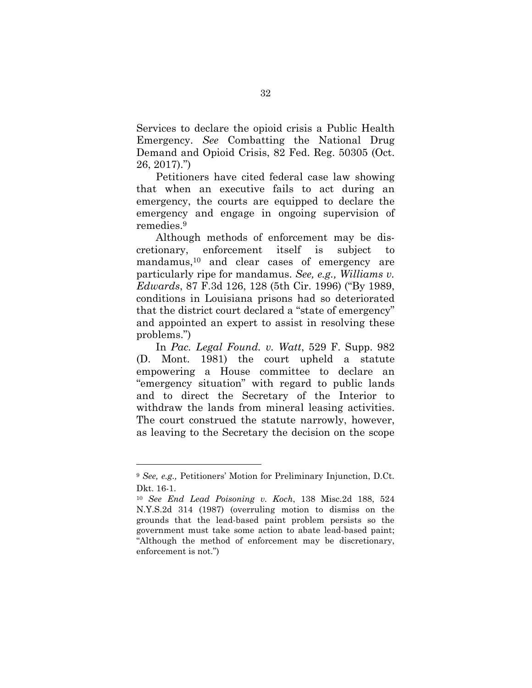Services to declare the opioid crisis a Public Health Emergency. *See* Combatting the National Drug Demand and Opioid Crisis, 82 Fed. Reg. 50305 (Oct. 26, 2017).")

Petitioners have cited federal case law showing that when an executive fails to act during an emergency, the courts are equipped to declare the emergency and engage in ongoing supervision of remedies.<sup>9</sup>

Although methods of enforcement may be discretionary, enforcement itself is subject to mandamus,10 and clear cases of emergency are particularly ripe for mandamus. *See, e.g., Williams v. Edwards*, 87 F.3d 126, 128 (5th Cir. 1996) ("By 1989, conditions in Louisiana prisons had so deteriorated that the district court declared a "state of emergency" and appointed an expert to assist in resolving these problems.")

In *Pac. Legal Found. v. Watt*, 529 F. Supp. 982 (D. Mont. 1981) the court upheld a statute empowering a House committee to declare an "emergency situation" with regard to public lands and to direct the Secretary of the Interior to withdraw the lands from mineral leasing activities. The court construed the statute narrowly, however, as leaving to the Secretary the decision on the scope

 $\overline{a}$ 

<sup>9</sup> *See, e.g.,* Petitioners' Motion for Preliminary Injunction, D.Ct. Dkt. 16-1.

<sup>10</sup> *See End Lead Poisoning v. Koch*, 138 Misc.2d 188, 524 N.Y.S.2d 314 (1987) (overruling motion to dismiss on the grounds that the lead-based paint problem persists so the government must take some action to abate lead-based paint; "Although the method of enforcement may be discretionary, enforcement is not.")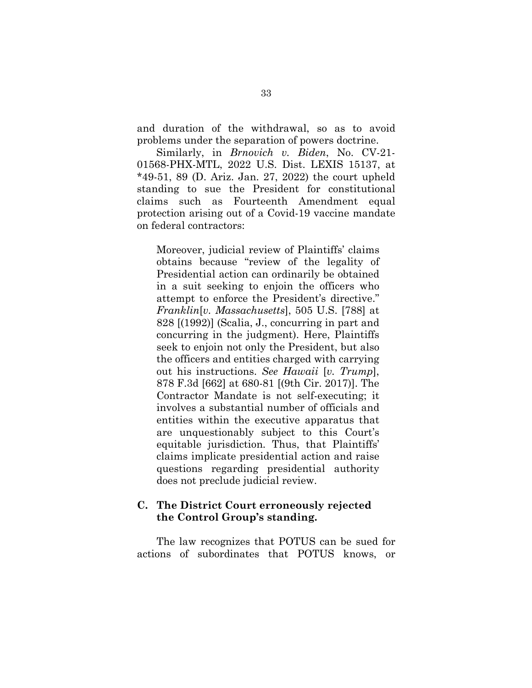and duration of the withdrawal, so as to avoid problems under the separation of powers doctrine.

Similarly, in *Brnovich v. Biden*, No. CV-21- 01568-PHX-MTL, 2022 U.S. Dist. LEXIS 15137, at \*49-51, 89 (D. Ariz. Jan. 27, 2022) the court upheld standing to sue the President for constitutional claims such as Fourteenth Amendment equal protection arising out of a Covid-19 vaccine mandate on federal contractors:

Moreover, judicial review of Plaintiffs' claims obtains because "review of the legality of Presidential action can ordinarily be obtained in a suit seeking to enjoin the officers who attempt to enforce the President's directive." *Franklin*[*v. Massachusetts*], 505 U.S. [788] at 828 [(1992)] (Scalia, J., concurring in part and concurring in the judgment). Here, Plaintiffs seek to enjoin not only the President, but also the officers and entities charged with carrying out his instructions. *See Hawaii* [*v. Trump*], 878 F.3d [662] at 680-81 [(9th Cir. 2017)]. The Contractor Mandate is not self-executing; it involves a substantial number of officials and entities within the executive apparatus that are unquestionably subject to this Court's equitable jurisdiction. Thus, that Plaintiffs' claims implicate presidential action and raise questions regarding presidential authority does not preclude judicial review.

## **C. The District Court erroneously rejected the Control Group's standing.**

The law recognizes that POTUS can be sued for actions of subordinates that POTUS knows, or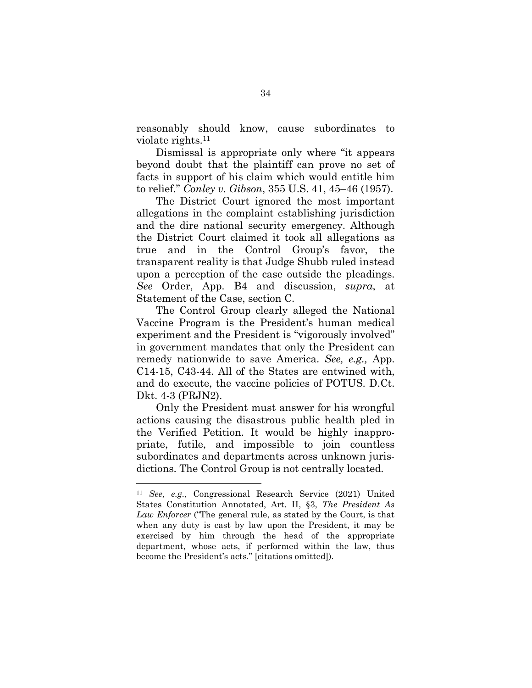reasonably should know, cause subordinates to violate rights.<sup>11</sup>

Dismissal is appropriate only where "it appears beyond doubt that the plaintiff can prove no set of facts in support of his claim which would entitle him to relief." *Conley v. Gibson*, 355 U.S. 41, 45–46 (1957).

The District Court ignored the most important allegations in the complaint establishing jurisdiction and the dire national security emergency. Although the District Court claimed it took all allegations as true and in the Control Group's favor, the transparent reality is that Judge Shubb ruled instead upon a perception of the case outside the pleadings. *See* Order, App. B4 and discussion, *supra*, at Statement of the Case, section C.

The Control Group clearly alleged the National Vaccine Program is the President's human medical experiment and the President is "vigorously involved" in government mandates that only the President can remedy nationwide to save America. *See, e.g.,* App. C14-15, C43-44. All of the States are entwined with, and do execute, the vaccine policies of POTUS. D.Ct. Dkt. 4-3 (PRJN2).

Only the President must answer for his wrongful actions causing the disastrous public health pled in the Verified Petition. It would be highly inappropriate, futile, and impossible to join countless subordinates and departments across unknown jurisdictions. The Control Group is not centrally located.

<sup>11</sup> *See, e.g.*, Congressional Research Service (2021) United States Constitution Annotated, Art. II, §3, *The President As Law Enforcer* ("The general rule, as stated by the Court, is that when any duty is cast by law upon the President, it may be exercised by him through the head of the appropriate department, whose acts, if performed within the law, thus become the President's acts." [citations omitted]).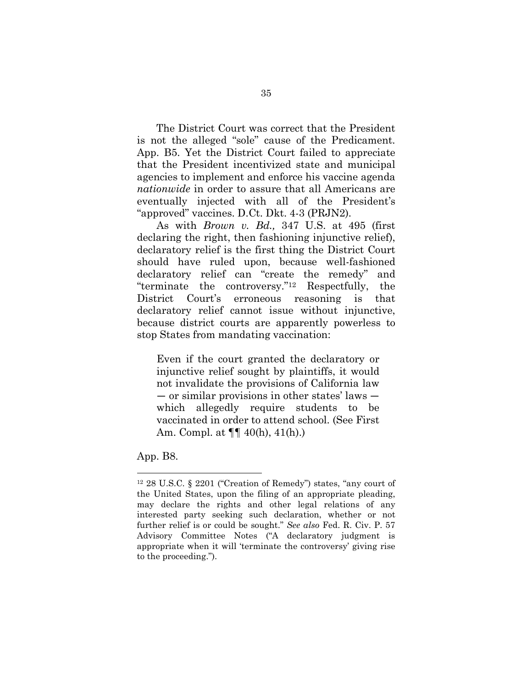The District Court was correct that the President is not the alleged "sole" cause of the Predicament. App. B5. Yet the District Court failed to appreciate that the President incentivized state and municipal agencies to implement and enforce his vaccine agenda *nationwide* in order to assure that all Americans are eventually injected with all of the President's "approved" vaccines. D.Ct. Dkt. 4-3 (PRJN2).

As with *Brown v. Bd.,* 347 U.S. at 495 (first declaring the right, then fashioning injunctive relief), declaratory relief is the first thing the District Court should have ruled upon, because well-fashioned declaratory relief can "create the remedy" and "terminate the controversy."12 Respectfully, the District Court's erroneous reasoning is that declaratory relief cannot issue without injunctive, because district courts are apparently powerless to stop States from mandating vaccination:

Even if the court granted the declaratory or injunctive relief sought by plaintiffs, it would not invalidate the provisions of California law — or similar provisions in other states' laws which allegedly require students to be vaccinated in order to attend school. (See First Am. Compl. at ¶¶ 40(h), 41(h).)

App. B8.

<sup>12</sup> 28 U.S.C. § 2201 ("Creation of Remedy") states, "any court of the United States, upon the filing of an appropriate pleading, may declare the rights and other legal relations of any interested party seeking such declaration, whether or not further relief is or could be sought." *See also* Fed. R. Civ. P. 57 Advisory Committee Notes ("A declaratory judgment is appropriate when it will 'terminate the controversy' giving rise to the proceeding.").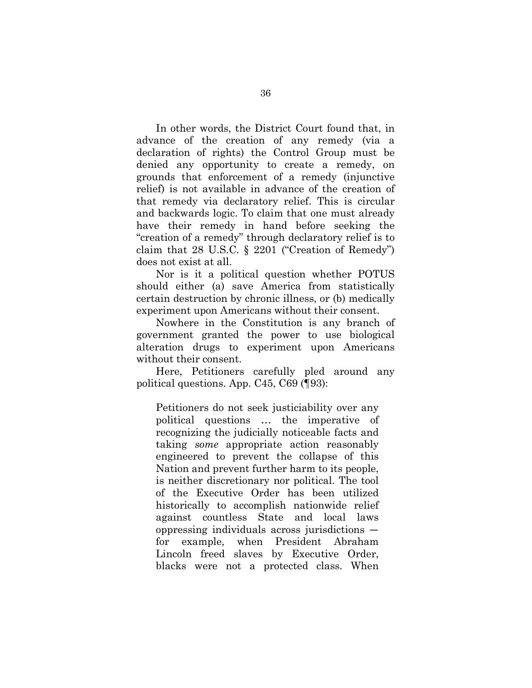In other words, the District Court found that, in advance of the creation of any remedy (via a declaration of rights) the Control Group must be denied any opportunity to create a remedy, on grounds that enforcement of a remedy (injunctive relief) is not available in advance of the creation of that remedy via declaratory relief. This is circular and backwards logic. To claim that one must already have their remedy in hand before seeking the "creation of a remedy" through declaratory relief is to claim that 28 U.S.C. § 2201 ("Creation of Remedy") does not exist at all.

Nor is it a political question whether POTUS should either (a) save America from statistically certain destruction by chronic illness, or (b) medically experiment upon Americans without their consent.

Nowhere in the Constitution is any branch of government granted the power to use biological alteration drugs to experiment upon Americans without their consent.

Here, Petitioners carefully pled around any political questions. App. C45, C69 (¶93):

Petitioners do not seek justiciability over any political questions … the imperative of recognizing the judicially noticeable facts and taking *some* appropriate action reasonably engineered to prevent the collapse of this Nation and prevent further harm to its people, is neither discretionary nor political. The tool of the Executive Order has been utilized historically to accomplish nationwide relief against countless State and local laws oppressing individuals across jurisdictions for example, when President Abraham Lincoln freed slaves by Executive Order, blacks were not a protected class. When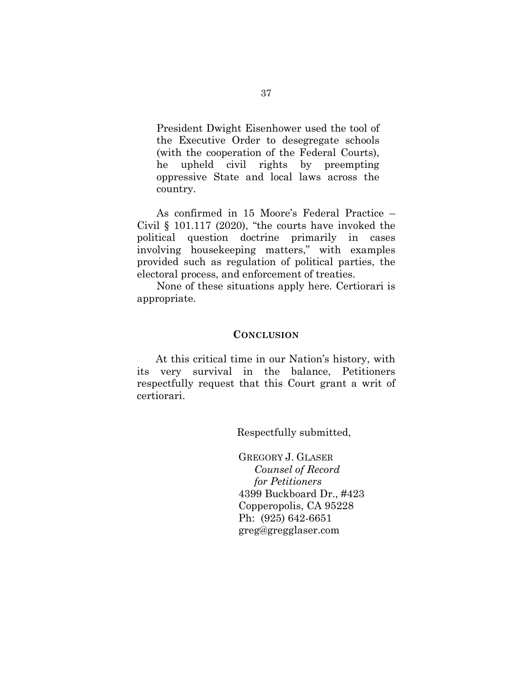President Dwight Eisenhower used the tool of the Executive Order to desegregate schools (with the cooperation of the Federal Courts), he upheld civil rights by preempting oppressive State and local laws across the country.

As confirmed in 15 Moore's Federal Practice – Civil § 101.117 (2020), "the courts have invoked the political question doctrine primarily in cases involving housekeeping matters," with examples provided such as regulation of political parties, the electoral process, and enforcement of treaties.

None of these situations apply here. Certiorari is appropriate.

#### **CONCLUSION**

At this critical time in our Nation's history, with its very survival in the balance, Petitioners respectfully request that this Court grant a writ of certiorari.

Respectfully submitted,

GREGORY J. GLASER *Counsel of Record for Petitioners*  4399 Buckboard Dr., #423 Copperopolis, CA 95228 Ph: (925) 642-6651 greg@gregglaser.com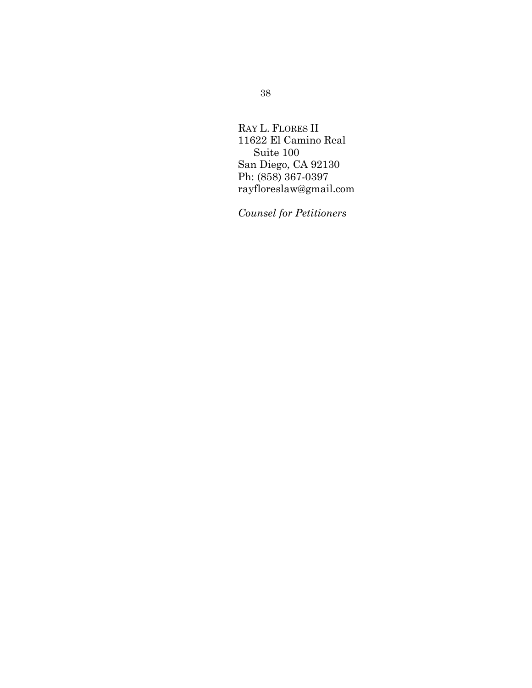RAY L. FLORES II 11622 El Camino Real Suite 100 San Diego, CA 92130 Ph: (858) 367-0397 rayfloreslaw@gmail.com

*Counsel for Petitioners*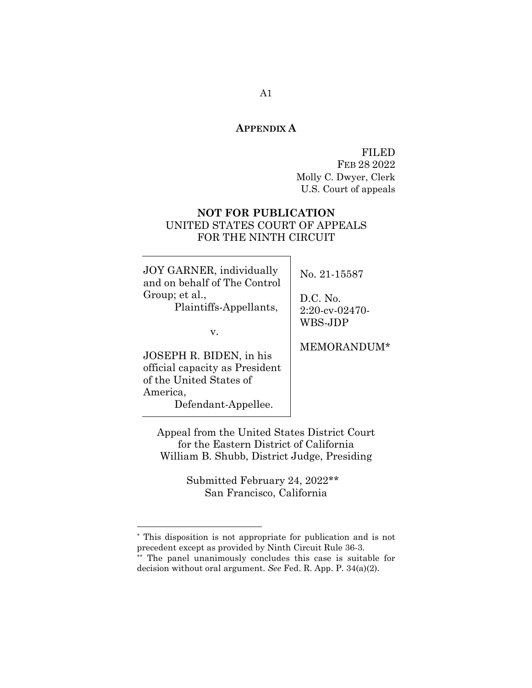#### **APPENDIX A**

FILED FEB 28 2022 Molly C. Dwyer, Clerk U.S. Court of appeals

# **NOT FOR PUBLICATION**  UNITED STATES COURT OF APPEALS FOR THE NINTH CIRCUIT

JOY GARNER, individually and on behalf of The Control Group; et al.,

Plaintiffs-Appellants,

v.

JOSEPH R. BIDEN, in his official capacity as President of the United States of America, Defendant-Appellee.

l.

No. 21-15587

D.C. No. 2:20-cv-02470- WBS-JDP

MEMORANDUM\*\*

Appeal from the United States District Court for the Eastern District of California William B. Shubb, District Judge, Presiding

> Submitted February 24, 2022\*\* San Francisco, California

<sup>\*</sup> This disposition is not appropriate for publication and is not precedent except as provided by Ninth Circuit Rule 36-3.

<sup>\*\*</sup> The panel unanimously concludes this case is suitable for decision without oral argument. *See* Fed. R. App. P. 34(a)(2).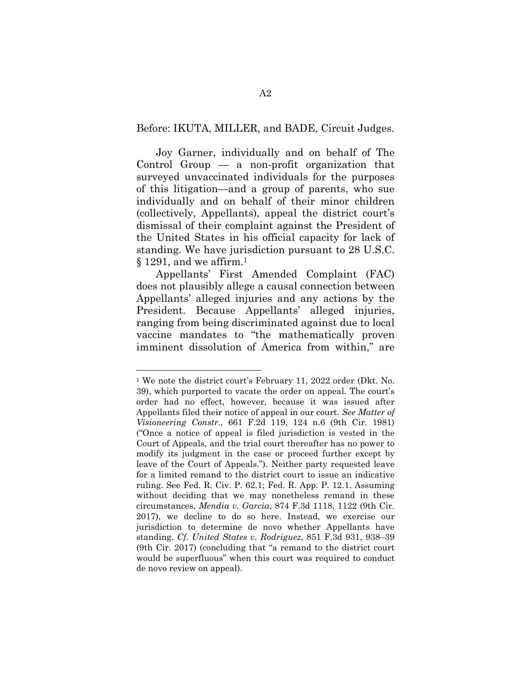#### Before: IKUTA, MILLER, and BADE, Circuit Judges.

 Joy Garner, individually and on behalf of The Control Group — a non-profit organization that surveyed unvaccinated individuals for the purposes of this litigation—and a group of parents, who sue individually and on behalf of their minor children (collectively, Appellants), appeal the district court's dismissal of their complaint against the President of the United States in his official capacity for lack of standing. We have jurisdiction pursuant to 28 U.S.C.  $\S 1291$ , and we affirm.<sup>1</sup>

Appellants' First Amended Complaint (FAC) does not plausibly allege a causal connection between Appellants' alleged injuries and any actions by the President. Because Appellants' alleged injuries, ranging from being discriminated against due to local vaccine mandates to "the mathematically proven imminent dissolution of America from within," are

<sup>1</sup> We note the district court's February 11, 2022 order (Dkt. No. 39), which purported to vacate the order on appeal. The court's order had no effect, however, because it was issued after Appellants filed their notice of appeal in our court. *See Matter of Visioneering Constr*., 661 F.2d 119, 124 n.6 (9th Cir. 1981) ("Once a notice of appeal is filed jurisdiction is vested in the Court of Appeals, and the trial court thereafter has no power to modify its judgment in the case or proceed further except by leave of the Court of Appeals."). Neither party requested leave for a limited remand to the district court to issue an indicative ruling. See Fed. R. Civ. P. 62.1; Fed. R. App. P. 12.1. Assuming without deciding that we may nonetheless remand in these circumstances, *Mendia v. Garcia*, 874 F.3d 1118, 1122 (9th Cir. 2017), we decline to do so here. Instead, we exercise our jurisdiction to determine de novo whether Appellants have standing. *Cf. United States v. Rodriguez*, 851 F.3d 931, 938–39 (9th Cir. 2017) (concluding that "a remand to the district court would be superfluous" when this court was required to conduct de novo review on appeal).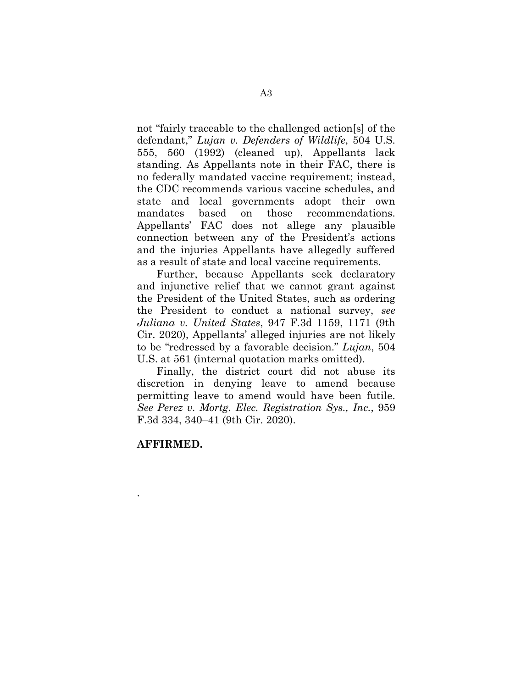not "fairly traceable to the challenged action[s] of the defendant," *Lujan v. Defenders of Wildlife*, 504 U.S. 555, 560 (1992) (cleaned up), Appellants lack standing. As Appellants note in their FAC, there is no federally mandated vaccine requirement; instead, the CDC recommends various vaccine schedules, and state and local governments adopt their own mandates based on those recommendations. Appellants' FAC does not allege any plausible connection between any of the President's actions and the injuries Appellants have allegedly suffered as a result of state and local vaccine requirements.

 Further, because Appellants seek declaratory and injunctive relief that we cannot grant against the President of the United States, such as ordering the President to conduct a national survey, *see Juliana v. United States*, 947 F.3d 1159, 1171 (9th Cir. 2020), Appellants' alleged injuries are not likely to be "redressed by a favorable decision." *Lujan*, 504 U.S. at 561 (internal quotation marks omitted).

 Finally, the district court did not abuse its discretion in denying leave to amend because permitting leave to amend would have been futile. *See Perez v. Mortg. Elec. Registration Sys., Inc.*, 959 F.3d 334, 340–41 (9th Cir. 2020).

## **AFFIRMED.**

.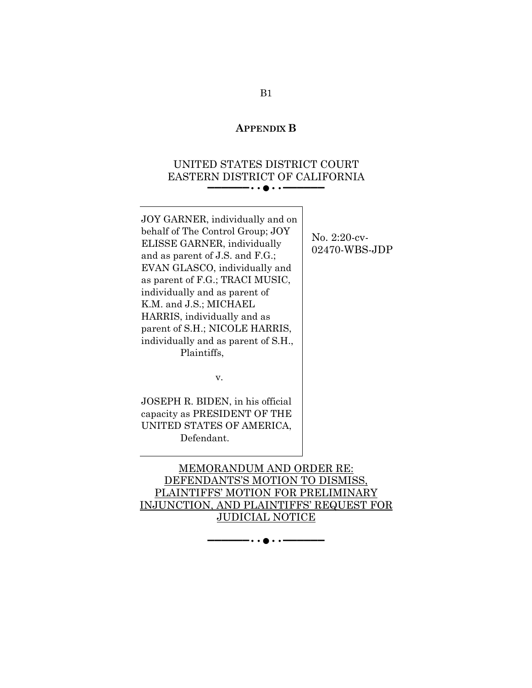#### **APPENDIX B**

# UNITED STATES DISTRICT COURT EASTERN DISTRICT OF CALIFORNIA ▬▬▬▬▬▬••●••▬▬▬▬▬▬

JOY GARNER, individually and on behalf of The Control Group; JOY ELISSE GARNER, individually and as parent of J.S. and F.G.; EVAN GLASCO, individually and as parent of F.G.; TRACI MUSIC, individually and as parent of K.M. and J.S.; MICHAEL HARRIS, individually and as parent of S.H.; NICOLE HARRIS, individually and as parent of S.H., Plaintiffs,

No. 2:20-cv-02470-WBS-JDP

v.

JOSEPH R. BIDEN, in his official capacity as PRESIDENT OF THE UNITED STATES OF AMERICA, Defendant.

MEMORANDUM AND ORDER RE: DEFENDANTS'S MOTION TO DISMISS, PLAINTIFFS' MOTION FOR PRELIMINARY INJUNCTION, AND PLAINTIFFS' REQUEST FOR JUDICIAL NOTICE

▬▬▬▬▬▬••●••▬▬▬▬▬▬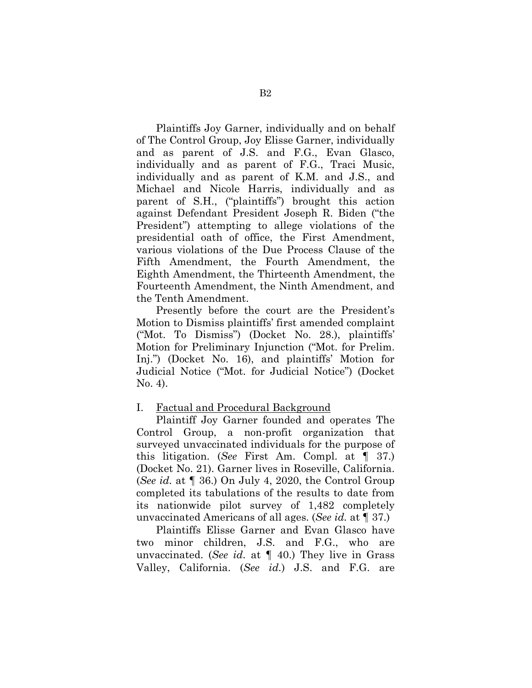Plaintiffs Joy Garner, individually and on behalf of The Control Group, Joy Elisse Garner, individually and as parent of J.S. and F.G., Evan Glasco, individually and as parent of F.G., Traci Music, individually and as parent of K.M. and J.S., and Michael and Nicole Harris, individually and as parent of S.H., ("plaintiffs") brought this action against Defendant President Joseph R. Biden ("the President") attempting to allege violations of the presidential oath of office, the First Amendment, various violations of the Due Process Clause of the Fifth Amendment, the Fourth Amendment, the Eighth Amendment, the Thirteenth Amendment, the Fourteenth Amendment, the Ninth Amendment, and the Tenth Amendment.

 Presently before the court are the President's Motion to Dismiss plaintiffs' first amended complaint ("Mot. To Dismiss") (Docket No. 28.), plaintiffs' Motion for Preliminary Injunction ("Mot. for Prelim. Inj.") (Docket No. 16), and plaintiffs' Motion for Judicial Notice ("Mot. for Judicial Notice") (Docket No. 4).

### I. Factual and Procedural Background

 Plaintiff Joy Garner founded and operates The Control Group, a non-profit organization that surveyed unvaccinated individuals for the purpose of this litigation. (*See* First Am. Compl. at ¶ 37.) (Docket No. 21). Garner lives in Roseville, California. (*See id.* at ¶ 36.) On July 4, 2020, the Control Group completed its tabulations of the results to date from its nationwide pilot survey of 1,482 completely unvaccinated Americans of all ages. (*See id.* at ¶ 37.)

 Plaintiffs Elisse Garner and Evan Glasco have two minor children, J.S. and F.G., who are unvaccinated. (*See id.* at ¶ 40.) They live in Grass Valley, California. (*See id.*) J.S. and F.G. are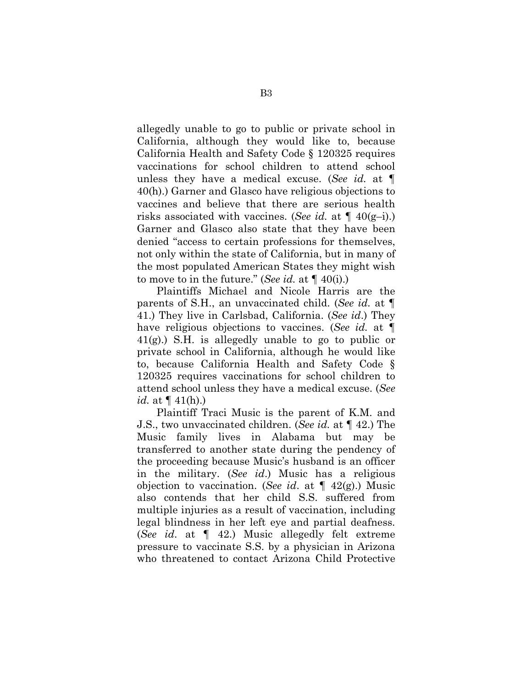allegedly unable to go to public or private school in California, although they would like to, because California Health and Safety Code § 120325 requires vaccinations for school children to attend school unless they have a medical excuse. (*See id.* at ¶ 40(h).) Garner and Glasco have religious objections to vaccines and believe that there are serious health risks associated with vaccines. (*See id.* at ¶ 40(g–i).) Garner and Glasco also state that they have been denied "access to certain professions for themselves, not only within the state of California, but in many of the most populated American States they might wish to move to in the future." (*See id.* at ¶ 40(i).)

 Plaintiffs Michael and Nicole Harris are the parents of S.H., an unvaccinated child. (*See id.* at ¶ 41.) They live in Carlsbad, California. (*See id*.) They have religious objections to vaccines. (*See id.* at ¶  $41(g)$ .) S.H. is allegedly unable to go to public or private school in California, although he would like to, because California Health and Safety Code § 120325 requires vaccinations for school children to attend school unless they have a medical excuse. (*See id.* at  $\P$  41(h).)

 Plaintiff Traci Music is the parent of K.M. and J.S., two unvaccinated children. (*See id.* at ¶ 42.) The Music family lives in Alabama but may be transferred to another state during the pendency of the proceeding because Music's husband is an officer in the military. (*See id*.) Music has a religious objection to vaccination. (*See id*. at ¶ 42(g).) Music also contends that her child S.S. suffered from multiple injuries as a result of vaccination, including legal blindness in her left eye and partial deafness. (*See id*. at ¶ 42.) Music allegedly felt extreme pressure to vaccinate S.S. by a physician in Arizona who threatened to contact Arizona Child Protective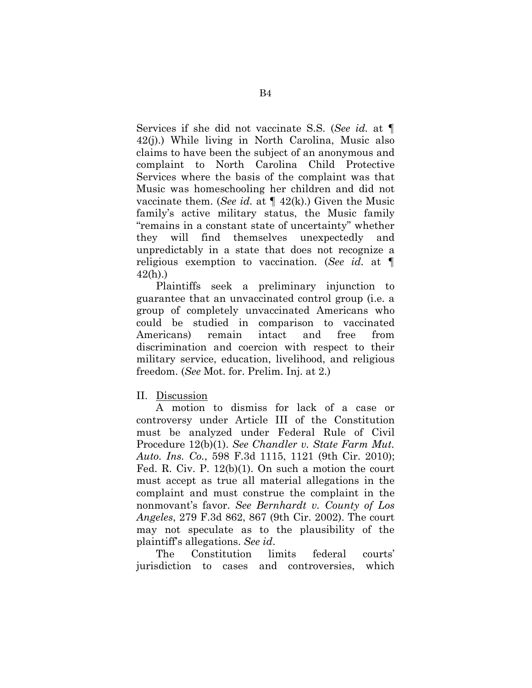Services if she did not vaccinate S.S. (*See id.* at ¶ 42(j).) While living in North Carolina, Music also claims to have been the subject of an anonymous and complaint to North Carolina Child Protective Services where the basis of the complaint was that Music was homeschooling her children and did not vaccinate them. (*See id.* at ¶ 42(k).) Given the Music family's active military status, the Music family "remains in a constant state of uncertainty" whether they will find themselves unexpectedly and unpredictably in a state that does not recognize a religious exemption to vaccination. (*See id.* at ¶ 42(h).)

 Plaintiffs seek a preliminary injunction to guarantee that an unvaccinated control group (i.e. a group of completely unvaccinated Americans who could be studied in comparison to vaccinated Americans) remain intact and free from discrimination and coercion with respect to their military service, education, livelihood, and religious freedom. (*See* Mot. for. Prelim. Inj. at 2.)

#### II. Discussion

 A motion to dismiss for lack of a case or controversy under Article III of the Constitution must be analyzed under Federal Rule of Civil Procedure 12(b)(1). *See Chandler v. State Farm Mut. Auto. Ins. Co.*, 598 F.3d 1115, 1121 (9th Cir. 2010); Fed. R. Civ. P. 12(b)(1). On such a motion the court must accept as true all material allegations in the complaint and must construe the complaint in the nonmovant's favor. *See Bernhardt v. County of Los Angeles*, 279 F.3d 862, 867 (9th Cir. 2002). The court may not speculate as to the plausibility of the plaintiff's allegations. *See id*.

 The Constitution limits federal courts' jurisdiction to cases and controversies, which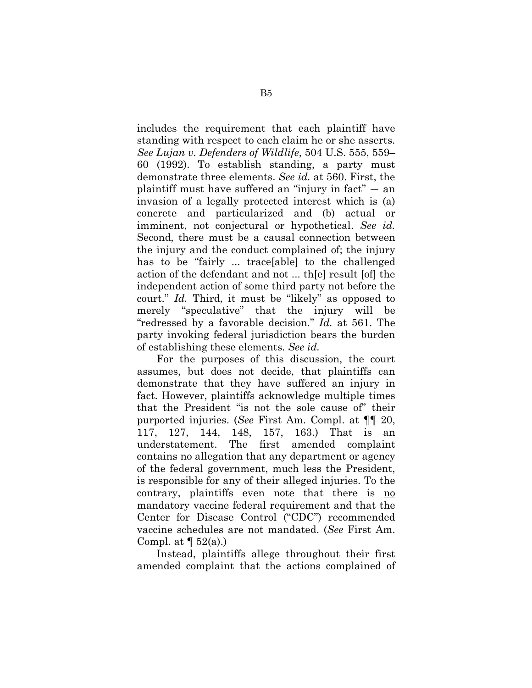includes the requirement that each plaintiff have standing with respect to each claim he or she asserts. *See Lujan v. Defenders of Wildlife*, 504 U.S. 555, 559– 60 (1992). To establish standing, a party must demonstrate three elements. *See id.* at 560. First, the plaintiff must have suffered an "injury in fact"  $-$  an invasion of a legally protected interest which is (a) concrete and particularized and (b) actual or imminent, not conjectural or hypothetical. *See id.* Second, there must be a causal connection between the injury and the conduct complained of; the injury has to be "fairly ... trace[able] to the challenged action of the defendant and not ... th[e] result [of] the independent action of some third party not before the court." *Id.* Third, it must be "likely" as opposed to merely "speculative" that the injury will be "redressed by a favorable decision." *Id.* at 561. The party invoking federal jurisdiction bears the burden of establishing these elements. *See id.*

 For the purposes of this discussion, the court assumes, but does not decide, that plaintiffs can demonstrate that they have suffered an injury in fact. However, plaintiffs acknowledge multiple times that the President "is not the sole cause of" their purported injuries. (*See* First Am. Compl. at ¶¶ 20, 117, 127, 144, 148, 157, 163.) That is an understatement. The first amended complaint contains no allegation that any department or agency of the federal government, much less the President, is responsible for any of their alleged injuries. To the contrary, plaintiffs even note that there is no mandatory vaccine federal requirement and that the Center for Disease Control ("CDC") recommended vaccine schedules are not mandated. (*See* First Am. Compl. at  $\P$  52(a).)

 Instead, plaintiffs allege throughout their first amended complaint that the actions complained of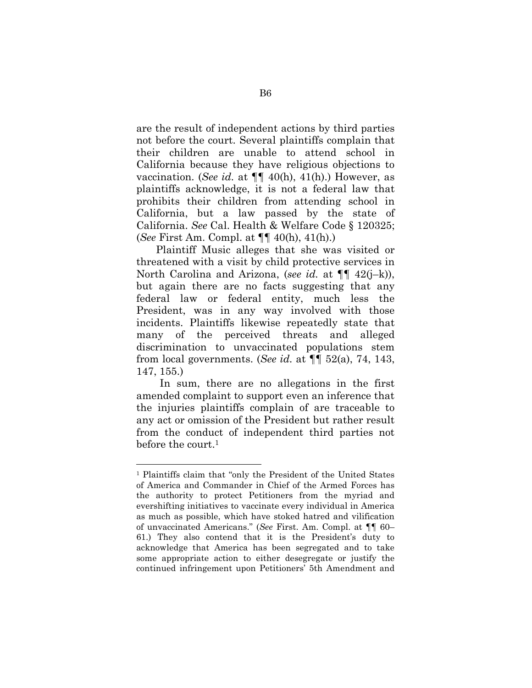are the result of independent actions by third parties not before the court. Several plaintiffs complain that their children are unable to attend school in California because they have religious objections to vaccination. (*See id.* at ¶¶ 40(h), 41(h).) However, as plaintiffs acknowledge, it is not a federal law that prohibits their children from attending school in California, but a law passed by the state of California. *See* Cal. Health & Welfare Code § 120325; (*See* First Am. Compl. at ¶¶ 40(h), 41(h).)

 Plaintiff Music alleges that she was visited or threatened with a visit by child protective services in North Carolina and Arizona, (*see id.* at ¶¶ 42(j–k)), but again there are no facts suggesting that any federal law or federal entity, much less the President, was in any way involved with those incidents. Plaintiffs likewise repeatedly state that many of the perceived threats and alleged discrimination to unvaccinated populations stem from local governments. (*See id.* at ¶¶ 52(a), 74, 143, 147, 155.)

 In sum, there are no allegations in the first amended complaint to support even an inference that the injuries plaintiffs complain of are traceable to any act or omission of the President but rather result from the conduct of independent third parties not before the court.<sup>1</sup>

<sup>1</sup> Plaintiffs claim that "only the President of the United States of America and Commander in Chief of the Armed Forces has the authority to protect Petitioners from the myriad and evershifting initiatives to vaccinate every individual in America as much as possible, which have stoked hatred and vilification of unvaccinated Americans." (*See* First. Am. Compl. at ¶¶ 60– 61.) They also contend that it is the President's duty to acknowledge that America has been segregated and to take some appropriate action to either desegregate or justify the continued infringement upon Petitioners' 5th Amendment and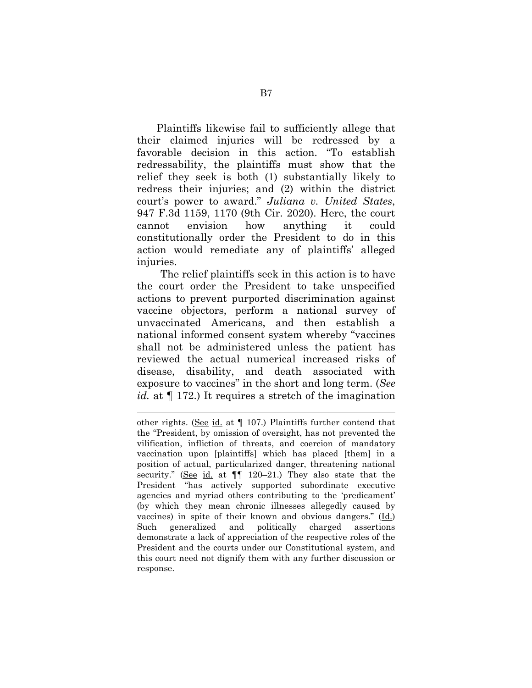Plaintiffs likewise fail to sufficiently allege that their claimed injuries will be redressed by a favorable decision in this action. "To establish redressability, the plaintiffs must show that the relief they seek is both (1) substantially likely to redress their injuries; and (2) within the district court's power to award." *Juliana v. United States*, 947 F.3d 1159, 1170 (9th Cir. 2020). Here, the court cannot envision how anything it could constitutionally order the President to do in this action would remediate any of plaintiffs' alleged injuries.

 The relief plaintiffs seek in this action is to have the court order the President to take unspecified actions to prevent purported discrimination against vaccine objectors, perform a national survey of unvaccinated Americans, and then establish a national informed consent system whereby "vaccines shall not be administered unless the patient has reviewed the actual numerical increased risks of disease, disability, and death associated with exposure to vaccines" in the short and long term. (*See id.* at ¶ 172.) It requires a stretch of the imagination

l.

other rights. (See id. at ¶ 107.) Plaintiffs further contend that the "President, by omission of oversight, has not prevented the vilification, infliction of threats, and coercion of mandatory vaccination upon [plaintiffs] which has placed [them] in a position of actual, particularized danger, threatening national security." (See id. at  $\P$  120–21.) They also state that the President "has actively supported subordinate executive agencies and myriad others contributing to the 'predicament' (by which they mean chronic illnesses allegedly caused by vaccines) in spite of their known and obvious dangers." (Id.) Such generalized and politically charged assertions demonstrate a lack of appreciation of the respective roles of the President and the courts under our Constitutional system, and this court need not dignify them with any further discussion or response.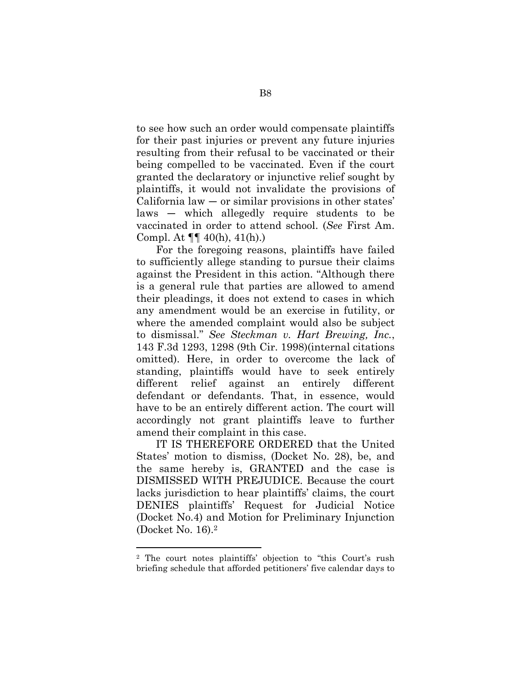to see how such an order would compensate plaintiffs for their past injuries or prevent any future injuries resulting from their refusal to be vaccinated or their being compelled to be vaccinated. Even if the court granted the declaratory or injunctive relief sought by plaintiffs, it would not invalidate the provisions of California law  $-$  or similar provisions in other states' laws — which allegedly require students to be vaccinated in order to attend school. (*See* First Am. Compl. At ¶¶ 40(h), 41(h).)

 For the foregoing reasons, plaintiffs have failed to sufficiently allege standing to pursue their claims against the President in this action. "Although there is a general rule that parties are allowed to amend their pleadings, it does not extend to cases in which any amendment would be an exercise in futility, or where the amended complaint would also be subject to dismissal." *See Steckman v. Hart Brewing, Inc.*, 143 F.3d 1293, 1298 (9th Cir. 1998)(internal citations omitted). Here, in order to overcome the lack of standing, plaintiffs would have to seek entirely different relief against an entirely different defendant or defendants. That, in essence, would have to be an entirely different action. The court will accordingly not grant plaintiffs leave to further amend their complaint in this case.

 IT IS THEREFORE ORDERED that the United States' motion to dismiss, (Docket No. 28), be, and the same hereby is, GRANTED and the case is DISMISSED WITH PREJUDICE. Because the court lacks jurisdiction to hear plaintiffs' claims, the court DENIES plaintiffs' Request for Judicial Notice (Docket No.4) and Motion for Preliminary Injunction (Docket No. 16).<sup>2</sup>

<sup>2</sup> The court notes plaintiffs' objection to "this Court's rush briefing schedule that afforded petitioners' five calendar days to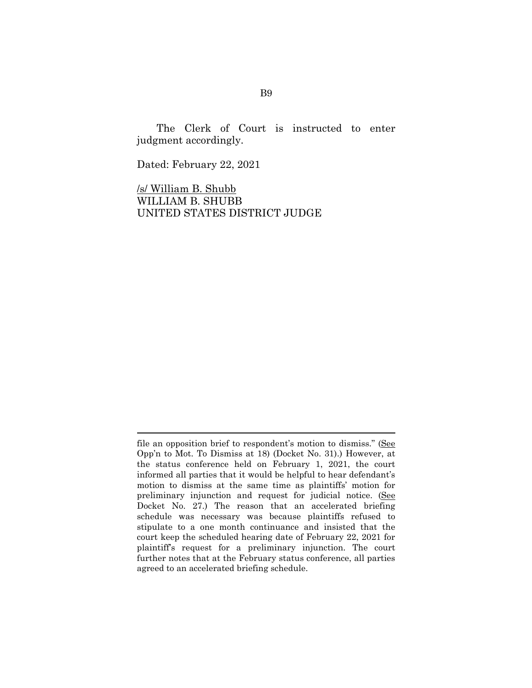The Clerk of Court is instructed to enter judgment accordingly.

Dated: February 22, 2021

l.

/s/ William B. Shubb WILLIAM B. SHUBB UNITED STATES DISTRICT JUDGE

file an opposition brief to respondent's motion to dismiss." (See Opp'n to Mot. To Dismiss at 18) (Docket No. 31).) However, at the status conference held on February 1, 2021, the court informed all parties that it would be helpful to hear defendant's motion to dismiss at the same time as plaintiffs' motion for preliminary injunction and request for judicial notice. (See Docket No. 27.) The reason that an accelerated briefing schedule was necessary was because plaintiffs refused to stipulate to a one month continuance and insisted that the court keep the scheduled hearing date of February 22, 2021 for plaintiff's request for a preliminary injunction. The court further notes that at the February status conference, all parties agreed to an accelerated briefing schedule.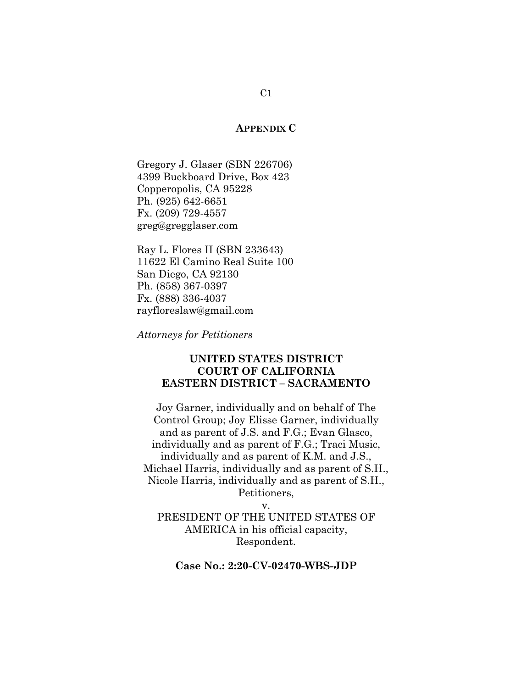#### **APPENDIX C**

Gregory J. Glaser (SBN 226706) 4399 Buckboard Drive, Box 423 Copperopolis, CA 95228 Ph. (925) 642-6651 Fx. (209) 729-4557 greg@gregglaser.com

Ray L. Flores II (SBN 233643) 11622 El Camino Real Suite 100 San Diego, CA 92130 Ph. (858) 367-0397 Fx. (888) 336-4037 rayfloreslaw@gmail.com

*Attorneys for Petitioners* 

## **UNITED STATES DISTRICT COURT OF CALIFORNIA EASTERN DISTRICT – SACRAMENTO**

Joy Garner, individually and on behalf of The Control Group; Joy Elisse Garner, individually and as parent of J.S. and F.G.; Evan Glasco, individually and as parent of F.G.; Traci Music, individually and as parent of K.M. and J.S., Michael Harris, individually and as parent of S.H., Nicole Harris, individually and as parent of S.H., Petitioners,

v.

PRESIDENT OF THE UNITED STATES OF AMERICA in his official capacity, Respondent.

### **Case No.: 2:20-CV-02470-WBS-JDP**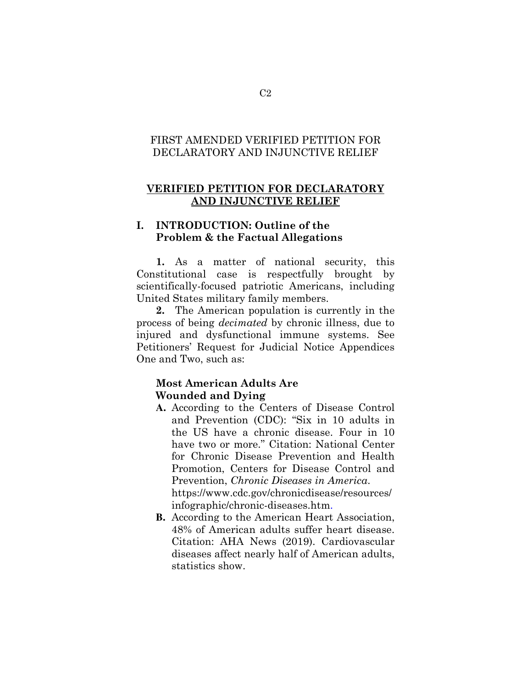# FIRST AMENDED VERIFIED PETITION FOR DECLARATORY AND INJUNCTIVE RELIEF

## **VERIFIED PETITION FOR DECLARATORY AND INJUNCTIVE RELIEF**

# **I. INTRODUCTION: Outline of the Problem & the Factual Allegations**

**1.** As a matter of national security, this Constitutional case is respectfully brought by scientifically-focused patriotic Americans, including United States military family members.

**2.** The American population is currently in the process of being *decimated* by chronic illness, due to injured and dysfunctional immune systems. See Petitioners' Request for Judicial Notice Appendices One and Two, such as:

# **Most American Adults Are Wounded and Dying**

- **A.** According to the Centers of Disease Control and Prevention (CDC): "Six in 10 adults in the US have a chronic disease. Four in 10 have two or more." Citation: National Center for Chronic Disease Prevention and Health Promotion, Centers for Disease Control and Prevention, *Chronic Diseases in America*. https://www.cdc.gov/chronicdisease/resources/ infographic/chronic-diseases.htm.
- **B.** According to the American Heart Association, 48% of American adults suffer heart disease. Citation: AHA News (2019). Cardiovascular diseases affect nearly half of American adults, statistics show.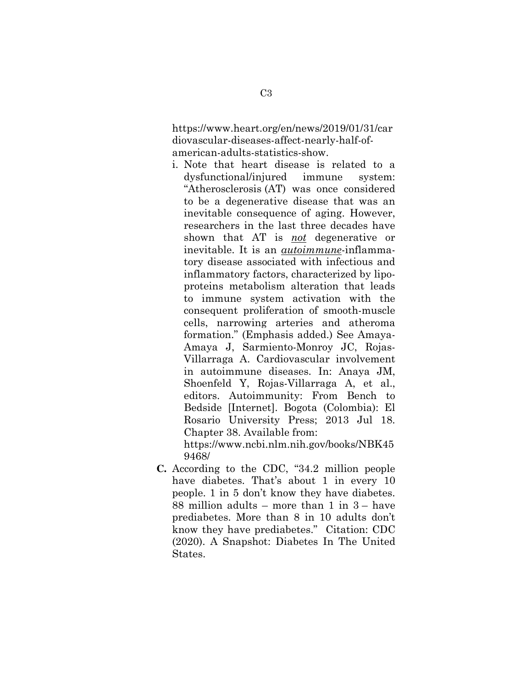https://www.heart.org/en/news/2019/01/31/car diovascular-diseases-affect-nearly-half-ofamerican-adults-statistics-show.

i. Note that heart disease is related to a dysfunctional/injured immune system: "Atherosclerosis (AT) was once considered to be a degenerative disease that was an inevitable consequence of aging. However, researchers in the last three decades have shown that AT is *not* degenerative or inevitable. It is an *autoimmune*-inflammatory disease associated with infectious and inflammatory factors, characterized by lipoproteins metabolism alteration that leads to immune system activation with the consequent proliferation of smooth-muscle cells, narrowing arteries and atheroma formation." (Emphasis added.) See Amaya-Amaya J, Sarmiento-Monroy JC, Rojas-Villarraga A. Cardiovascular involvement in autoimmune diseases. In: Anaya JM, Shoenfeld Y, Rojas-Villarraga A, et al., editors. Autoimmunity: From Bench to Bedside [Internet]. Bogota (Colombia): El Rosario University Press; 2013 Jul 18. Chapter 38. Available from:

https://www.ncbi.nlm.nih.gov/books/NBK45 9468/

**C.** According to the CDC, "34.2 million people have diabetes. That's about 1 in every 10 people. 1 in 5 don't know they have diabetes. 88 million adults – more than 1 in 3 – have prediabetes. More than 8 in 10 adults don't know they have prediabetes." Citation: CDC (2020). A Snapshot: Diabetes In The United States.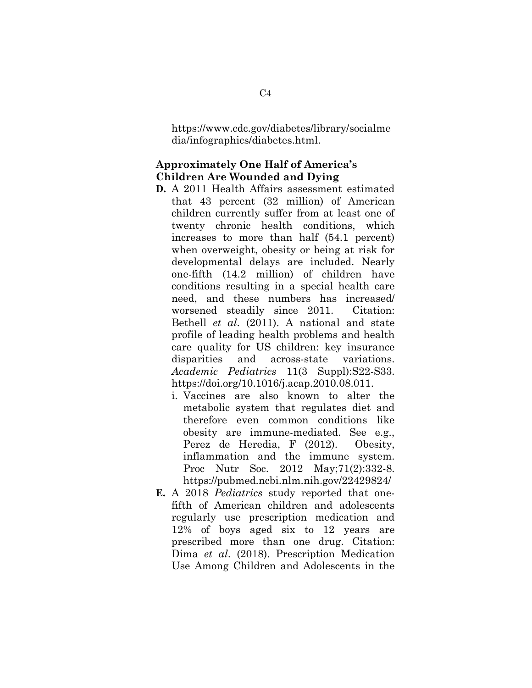https://www.cdc.gov/diabetes/library/socialme dia/infographics/diabetes.html.

# **Approximately One Half of America's Children Are Wounded and Dying**

- **D.** A 2011 Health Affairs assessment estimated that 43 percent (32 million) of American children currently suffer from at least one of twenty chronic health conditions, which increases to more than half (54.1 percent) when overweight, obesity or being at risk for developmental delays are included. Nearly one-fifth (14.2 million) of children have conditions resulting in a special health care need, and these numbers has increased/ worsened steadily since 2011. Citation: Bethell *et al*. (2011). A national and state profile of leading health problems and health care quality for US children: key insurance disparities and across-state variations. *Academic Pediatrics* 11(3 Suppl):S22-S33. https://doi.org/10.1016/j.acap.2010.08.011.
	- i. Vaccines are also known to alter the metabolic system that regulates diet and therefore even common conditions like obesity are immune-mediated. See e.g., Perez de Heredia, F (2012). Obesity, inflammation and the immune system. Proc Nutr Soc. 2012 May;71(2):332-8. https://pubmed.ncbi.nlm.nih.gov/22429824/
- **E.** A 2018 *Pediatrics* study reported that onefifth of American children and adolescents regularly use prescription medication and 12% of boys aged six to 12 years are prescribed more than one drug. Citation: Dima *et al*. (2018). Prescription Medication Use Among Children and Adolescents in the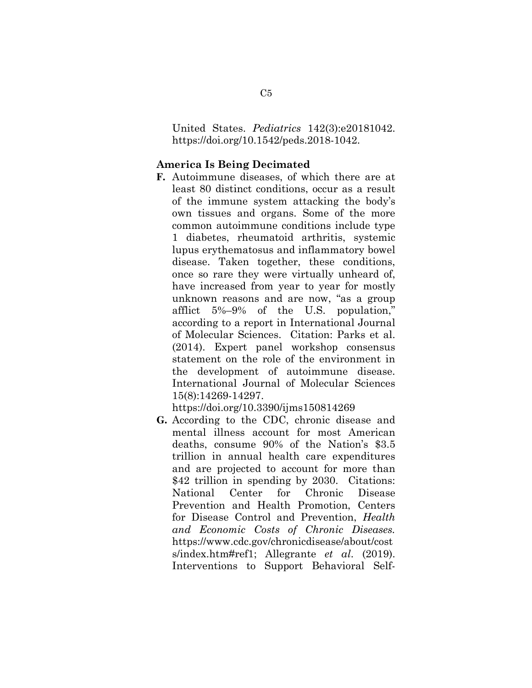United States. *Pediatrics* 142(3):e20181042. https://doi.org/10.1542/peds.2018-1042.

#### **America Is Being Decimated**

**F.** Autoimmune diseases, of which there are at least 80 distinct conditions, occur as a result of the immune system attacking the body's own tissues and organs. Some of the more common autoimmune conditions include type 1 diabetes, rheumatoid arthritis, systemic lupus erythematosus and inflammatory bowel disease. Taken together, these conditions, once so rare they were virtually unheard of, have increased from year to year for mostly unknown reasons and are now, "as a group afflict 5%–9% of the U.S. population," according to a report in International Journal of Molecular Sciences. Citation: Parks et al. (2014). Expert panel workshop consensus statement on the role of the environment in the development of autoimmune disease. International Journal of Molecular Sciences 15(8):14269-14297.

https://doi.org/10.3390/ijms150814269

**G.** According to the CDC, chronic disease and mental illness account for most American deaths, consume 90% of the Nation's \$3.5 trillion in annual health care expenditures and are projected to account for more than \$42 trillion in spending by 2030. Citations: National Center for Chronic Disease Prevention and Health Promotion, Centers for Disease Control and Prevention, *Health and Economic Costs of Chronic Diseases.*  https://www.cdc.gov/chronicdisease/about/cost s/index.htm#ref1; Allegrante *et al*. (2019). Interventions to Support Behavioral Self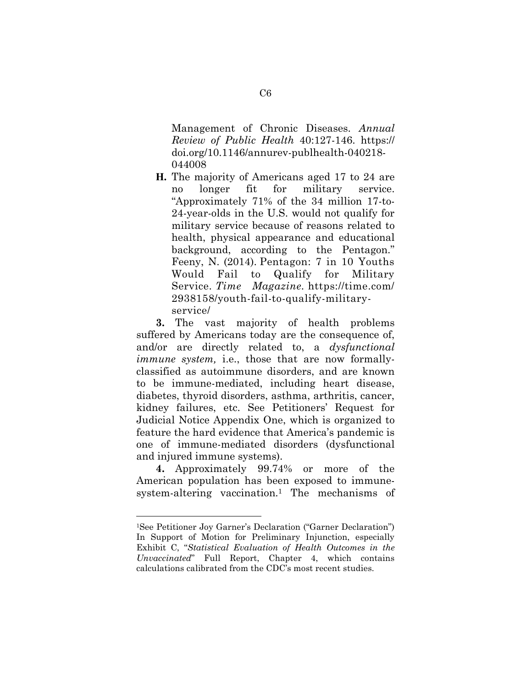Management of Chronic Diseases. *Annual Review of Public Health* 40:127-146. https:// doi.org/10.1146/annurev-publhealth-040218- 044008

**H.** The majority of Americans aged 17 to 24 are no longer fit for military service. "Approximately 71% of the 34 million 17-to-24-year-olds in the U.S. would not qualify for military service because of reasons related to health, physical appearance and educational background, according to the Pentagon." Feeny, N. (2014). Pentagon: 7 in 10 Youths Would Fail to Qualify for Military Service. *Time Magazine.* https://time.com/ 2938158/youth-fail-to-qualify-militaryservice/

**3.** The vast majority of health problems suffered by Americans today are the consequence of, and/or are directly related to, a *dysfunctional immune system,* i.e., those that are now formallyclassified as autoimmune disorders, and are known to be immune-mediated, including heart disease, diabetes, thyroid disorders, asthma, arthritis, cancer, kidney failures, etc. See Petitioners' Request for Judicial Notice Appendix One, which is organized to feature the hard evidence that America's pandemic is one of immune-mediated disorders (dysfunctional and injured immune systems).

**4.** Approximately 99.74% or more of the American population has been exposed to immunesystem-altering vaccination.1 The mechanisms of

<sup>1</sup>See Petitioner Joy Garner's Declaration ("Garner Declaration") In Support of Motion for Preliminary Injunction, especially Exhibit C, "*Statistical Evaluation of Health Outcomes in the Unvaccinated*" Full Report, Chapter 4, which contains calculations calibrated from the CDC's most recent studies.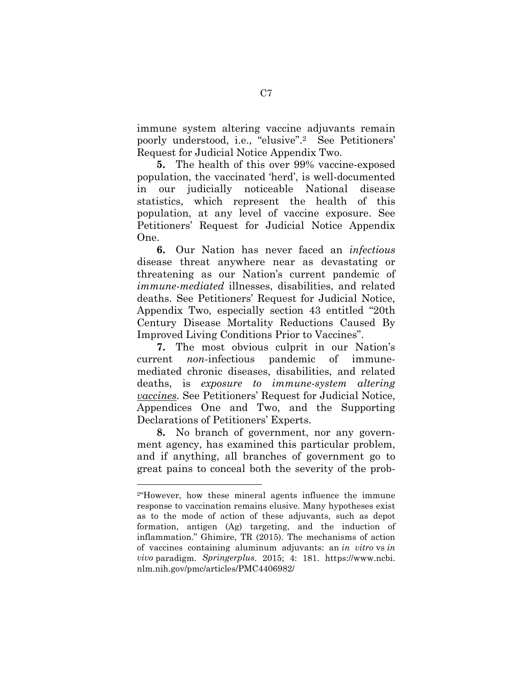immune system altering vaccine adjuvants remain poorly understood, i.e., "elusive".2 See Petitioners' Request for Judicial Notice Appendix Two.

**5.** The health of this over 99% vaccine-exposed population, the vaccinated 'herd', is well-documented in our judicially noticeable National disease statistics, which represent the health of this population, at any level of vaccine exposure. See Petitioners' Request for Judicial Notice Appendix One.

**6.** Our Nation has never faced an *infectious* disease threat anywhere near as devastating or threatening as our Nation's current pandemic of *immune-mediated* illnesses, disabilities, and related deaths. See Petitioners' Request for Judicial Notice, Appendix Two, especially section 43 entitled "20th Century Disease Mortality Reductions Caused By Improved Living Conditions Prior to Vaccines".

**7.** The most obvious culprit in our Nation's current *non*-infectious pandemic of immunemediated chronic diseases, disabilities, and related deaths, is *exposure to immune-system altering vaccines*. See Petitioners' Request for Judicial Notice, Appendices One and Two, and the Supporting Declarations of Petitioners' Experts.

**8.** No branch of government, nor any government agency, has examined this particular problem, and if anything, all branches of government go to great pains to conceal both the severity of the prob-

<sup>2</sup>"However, how these mineral agents influence the immune response to vaccination remains elusive. Many hypotheses exist as to the mode of action of these adjuvants, such as depot formation, antigen (Ag) targeting, and the induction of inflammation." Ghimire, TR (2015). The mechanisms of action of vaccines containing aluminum adjuvants: an *in vitro* vs *in vivo* paradigm. *Springerplus*. 2015; 4: 181. https://www.ncbi. nlm.nih.gov/pmc/articles/PMC4406982/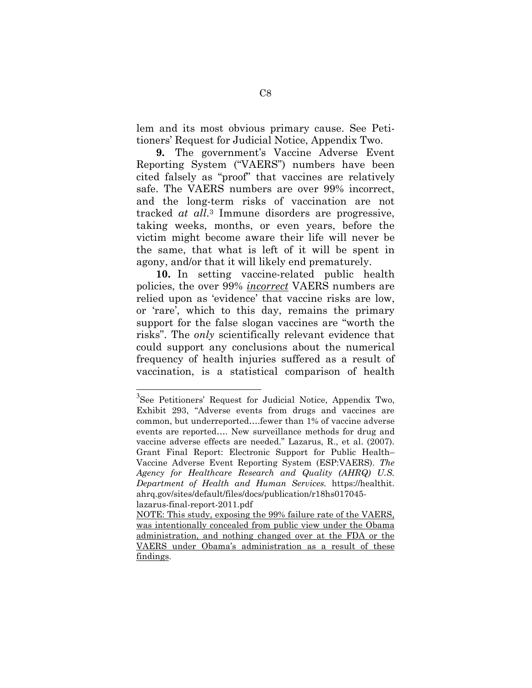lem and its most obvious primary cause. See Petitioners' Request for Judicial Notice, Appendix Two.

**9.** The government's Vaccine Adverse Event Reporting System ("VAERS") numbers have been cited falsely as "proof" that vaccines are relatively safe. The VAERS numbers are over 99% incorrect, and the long-term risks of vaccination are not tracked *at all*. <sup>3</sup> Immune disorders are progressive, taking weeks, months, or even years, before the victim might become aware their life will never be the same, that what is left of it will be spent in agony, and/or that it will likely end prematurely.

**10.** In setting vaccine-related public health policies, the over 99% *incorrect* VAERS numbers are relied upon as 'evidence' that vaccine risks are low, or 'rare', which to this day, remains the primary support for the false slogan vaccines are "worth the risks". The *only* scientifically relevant evidence that could support any conclusions about the numerical frequency of health injuries suffered as a result of vaccination, is a statistical comparison of health

<sup>&</sup>lt;sup>3</sup>See Petitioners' Request for Judicial Notice, Appendix Two, Exhibit 293, "Adverse events from drugs and vaccines are common, but underreported….fewer than 1% of vaccine adverse events are reported…. New surveillance methods for drug and vaccine adverse effects are needed." Lazarus, R., et al. (2007). Grant Final Report: Electronic Support for Public Health– Vaccine Adverse Event Reporting System (ESP:VAERS). *The Agency for Healthcare Research and Quality (AHRQ) U.S. Department of Health and Human Services.* https://healthit. ahrq.gov/sites/default/files/docs/publication/r18hs017045 lazarus-final-report-2011.pdf

NOTE: This study, exposing the 99% failure rate of the VAERS, was intentionally concealed from public view under the Obama administration, and nothing changed over at the FDA or the VAERS under Obama's administration as a result of these findings.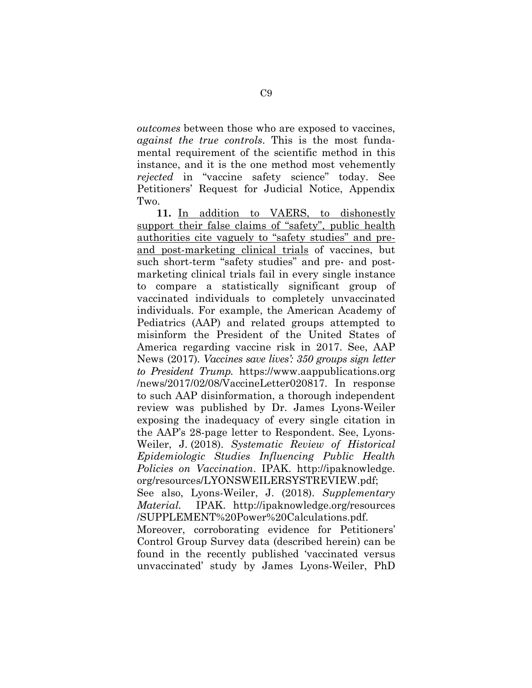*outcomes* between those who are exposed to vaccines, *against the true controls*. This is the most fundamental requirement of the scientific method in this instance, and it is the one method most vehemently *rejected* in "vaccine safety science" today. See Petitioners' Request for Judicial Notice, Appendix Two.

**11.** In addition to VAERS, to dishonestly support their false claims of "safety", public health authorities cite vaguely to "safety studies" and preand post-marketing clinical trials of vaccines, but such short-term "safety studies" and pre- and postmarketing clinical trials fail in every single instance to compare a statistically significant group of vaccinated individuals to completely unvaccinated individuals. For example, the American Academy of Pediatrics (AAP) and related groups attempted to misinform the President of the United States of America regarding vaccine risk in 2017. See, AAP News (2017)*. Vaccines save lives': 350 groups sign letter to President Trump.* https://www.aappublications.org /news/2017/02/08/VaccineLetter020817. In response to such AAP disinformation, a thorough independent review was published by Dr. James Lyons-Weiler exposing the inadequacy of every single citation in the AAP's 28-page letter to Respondent. See, Lyons-Weiler, J. (2018). *Systematic Review of Historical Epidemiologic Studies Influencing Public Health Policies on Vaccination*. IPAK. http://ipaknowledge. org/resources/LYONSWEILERSYSTREVIEW.pdf;

See also, Lyons-Weiler, J. (2018). *Supplementary Material.* IPAK. http://ipaknowledge.org/resources /SUPPLEMENT%20Power%20Calculations.pdf.

Moreover, corroborating evidence for Petitioners' Control Group Survey data (described herein) can be found in the recently published 'vaccinated versus unvaccinated' study by James Lyons-Weiler, PhD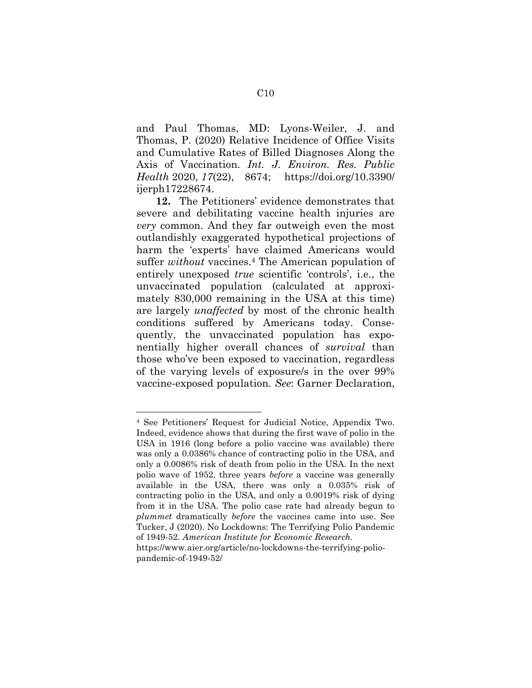and Paul Thomas, MD: Lyons-Weiler, J. and Thomas, P. (2020) Relative Incidence of Office Visits and Cumulative Rates of Billed Diagnoses Along the Axis of Vaccination. *Int. J. Environ. Res. Public Health* 2020, *17*(22), 8674; https://doi.org/10.3390/ ijerph17228674.

**12.** The Petitioners' evidence demonstrates that severe and debilitating vaccine health injuries are *very* common. And they far outweigh even the most outlandishly exaggerated hypothetical projections of harm the 'experts' have claimed Americans would suffer *without* vaccines.4 The American population of entirely unexposed *true* scientific 'controls', i.e., the unvaccinated population (calculated at approximately 830,000 remaining in the USA at this time) are largely *unaffected* by most of the chronic health conditions suffered by Americans today. Consequently, the unvaccinated population has exponentially higher overall chances of *survival* than those who've been exposed to vaccination, regardless of the varying levels of exposure/s in the over 99% vaccine-exposed population. *See*: Garner Declaration,

<sup>4</sup> See Petitioners' Request for Judicial Notice, Appendix Two. Indeed, evidence shows that during the first wave of polio in the USA in 1916 (long before a polio vaccine was available) there was only a 0.0386% chance of contracting polio in the USA, and only a 0.0086% risk of death from polio in the USA. In the next polio wave of 1952, three years *before* a vaccine was generally available in the USA, there was only a 0.035% risk of contracting polio in the USA, and only a 0.0019% risk of dying from it in the USA. The polio case rate had already begun to *plummet* dramatically *before* the vaccines came into use. See Tucker, J (2020). No Lockdowns: The Terrifying Polio Pandemic of 1949-52. *American Institute for Economic Research.* 

https://www.aier.org/article/no-lockdowns-the-terrifying-poliopandemic-of-1949-52/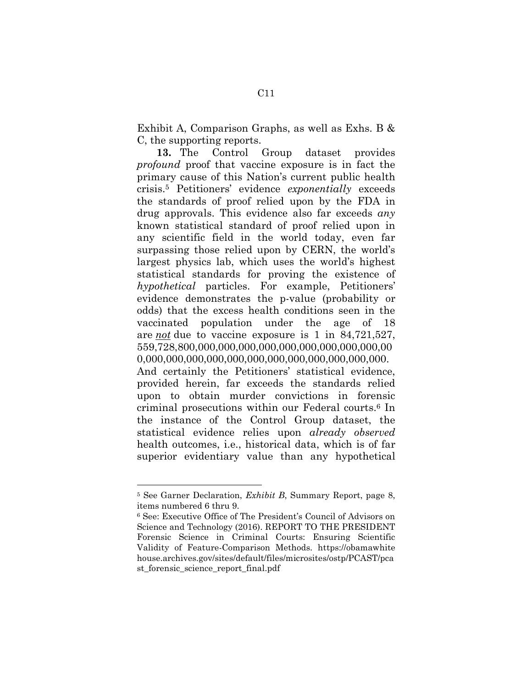Exhibit A, Comparison Graphs, as well as Exhs. B & C, the supporting reports.

**13.** The Control Group dataset provides *profound* proof that vaccine exposure is in fact the primary cause of this Nation's current public health crisis.5 Petitioners' evidence *exponentially* exceeds the standards of proof relied upon by the FDA in drug approvals. This evidence also far exceeds *any* known statistical standard of proof relied upon in any scientific field in the world today, even far surpassing those relied upon by CERN, the world's largest physics lab, which uses the world's highest statistical standards for proving the existence of *hypothetical* particles. For example, Petitioners' evidence demonstrates the p-value (probability or odds) that the excess health conditions seen in the vaccinated population under the age of 18 are *not* due to vaccine exposure is 1 in 84,721,527, 559,728,800,000,000,000,000,000,000,000,000,000,00 0,000,000,000,000,000,000,000,000,000,000,000,000. And certainly the Petitioners' statistical evidence, provided herein, far exceeds the standards relied upon to obtain murder convictions in forensic criminal prosecutions within our Federal courts.6 In the instance of the Control Group dataset, the statistical evidence relies upon *already observed* health outcomes, i.e., historical data, which is of far superior evidentiary value than any hypothetical

<sup>5</sup> See Garner Declaration, *Exhibit B*, Summary Report, page 8, items numbered 6 thru 9.

<sup>6</sup> See: Executive Office of The President's Council of Advisors on Science and Technology (2016). REPORT TO THE PRESIDENT Forensic Science in Criminal Courts: Ensuring Scientific Validity of Feature-Comparison Methods. https://obamawhite house.archives.gov/sites/default/files/microsites/ostp/PCAST/pca st forensic science report final.pdf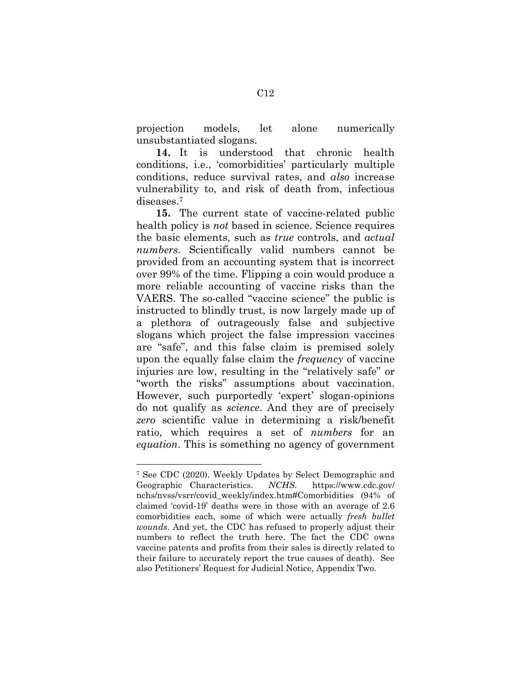projection models, let alone numerically unsubstantiated slogans.

**14.** It is understood that chronic health conditions, i.e., 'comorbidities' particularly multiple conditions, reduce survival rates, and *also* increase vulnerability to, and risk of death from, infectious diseases.<sup>7</sup>

**15.** The current state of vaccine-related public health policy is *not* based in science. Science requires the basic elements, such as *true* controls, and *actual numbers*. Scientifically valid numbers cannot be provided from an accounting system that is incorrect over 99% of the time. Flipping a coin would produce a more reliable accounting of vaccine risks than the VAERS. The so-called "vaccine science" the public is instructed to blindly trust, is now largely made up of a plethora of outrageously false and subjective slogans which project the false impression vaccines are "safe", and this false claim is premised solely upon the equally false claim the *frequency* of vaccine injuries are low, resulting in the "relatively safe" or "worth the risks" assumptions about vaccination. However, such purportedly 'expert' slogan-opinions do not qualify as *science*. And they are of precisely *zero* scientific value in determining a risk/benefit ratio, which requires a set of *numbers* for an *equation*. This is something no agency of government

<sup>7</sup> See CDC (2020). Weekly Updates by Select Demographic and Geographic Characteristics. *NCHS.* https://www.cdc.gov/ nchs/nvss/vsrr/covid\_weekly/index.htm#Comorbidities (94% of claimed 'covid-19' deaths were in those with an average of 2.6 comorbidities each, some of which were actually *fresh bullet wounds*. And yet, the CDC has refused to properly adjust their numbers to reflect the truth here. The fact the CDC owns vaccine patents and profits from their sales is directly related to their failure to accurately report the true causes of death). See also Petitioners' Request for Judicial Notice, Appendix Two.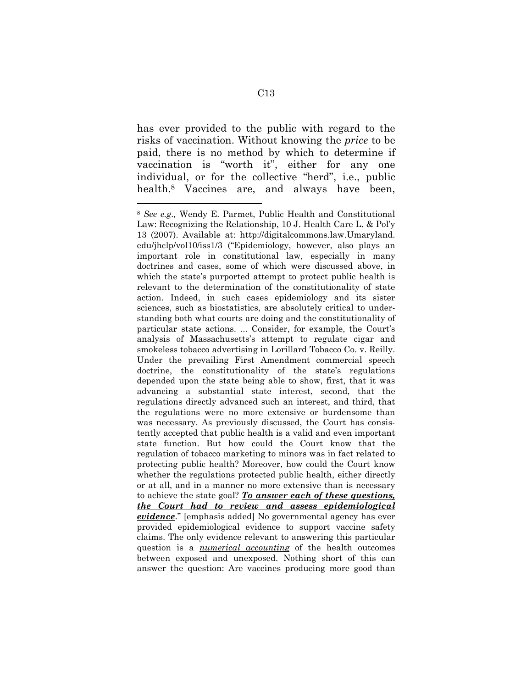has ever provided to the public with regard to the risks of vaccination. Without knowing the *price* to be paid, there is no method by which to determine if vaccination is "worth it", either for any one individual, or for the collective "herd", i.e., public health.<sup>8</sup> Vaccines are, and always have been,

<sup>8</sup> *See e.g.,* Wendy E. Parmet, Public Health and Constitutional Law: Recognizing the Relationship, 10 J. Health Care L. & Pol'y 13 (2007). Available at: http://digitalcommons.law.Umaryland. edu/jhclp/vol10/iss1/3 ("Epidemiology, however, also plays an important role in constitutional law, especially in many doctrines and cases, some of which were discussed above, in which the state's purported attempt to protect public health is relevant to the determination of the constitutionality of state action. Indeed, in such cases epidemiology and its sister sciences, such as biostatistics, are absolutely critical to understanding both what courts are doing and the constitutionality of particular state actions. ... Consider, for example, the Court's analysis of Massachusetts's attempt to regulate cigar and smokeless tobacco advertising in Lorillard Tobacco Co. v. Reilly. Under the prevailing First Amendment commercial speech doctrine, the constitutionality of the state's regulations depended upon the state being able to show, first, that it was advancing a substantial state interest, second, that the regulations directly advanced such an interest, and third, that the regulations were no more extensive or burdensome than was necessary. As previously discussed, the Court has consistently accepted that public health is a valid and even important state function. But how could the Court know that the regulation of tobacco marketing to minors was in fact related to protecting public health? Moreover, how could the Court know whether the regulations protected public health, either directly or at all, and in a manner no more extensive than is necessary to achieve the state goal? *To answer each of these questions, the Court had to review and assess epidemiological evidence*." [emphasis added] No governmental agency has ever provided epidemiological evidence to support vaccine safety claims. The only evidence relevant to answering this particular question is a *numerical accounting* of the health outcomes between exposed and unexposed. Nothing short of this can answer the question: Are vaccines producing more good than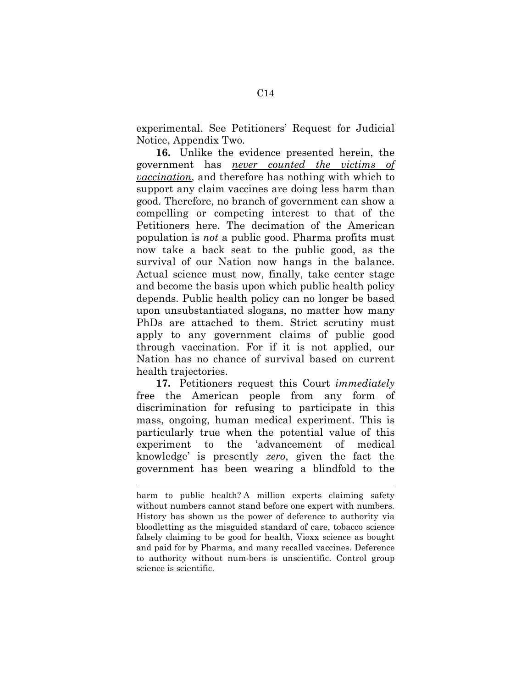experimental. See Petitioners' Request for Judicial Notice, Appendix Two.

**16.** Unlike the evidence presented herein, the government has *never counted the victims of vaccination*, and therefore has nothing with which to support any claim vaccines are doing less harm than good. Therefore, no branch of government can show a compelling or competing interest to that of the Petitioners here. The decimation of the American population is *not* a public good. Pharma profits must now take a back seat to the public good, as the survival of our Nation now hangs in the balance. Actual science must now, finally, take center stage and become the basis upon which public health policy depends. Public health policy can no longer be based upon unsubstantiated slogans, no matter how many PhDs are attached to them. Strict scrutiny must apply to any government claims of public good through vaccination. For if it is not applied, our Nation has no chance of survival based on current health trajectories.

**17.** Petitioners request this Court *immediately*  free the American people from any form of discrimination for refusing to participate in this mass, ongoing, human medical experiment. This is particularly true when the potential value of this experiment to the 'advancement of medical knowledge' is presently *zero*, given the fact the government has been wearing a blindfold to the

 $\overline{a}$ 

harm to public health? A million experts claiming safety without numbers cannot stand before one expert with numbers. History has shown us the power of deference to authority via bloodletting as the misguided standard of care, tobacco science falsely claiming to be good for health, Vioxx science as bought and paid for by Pharma, and many recalled vaccines. Deference to authority without num-bers is unscientific. Control group science is scientific.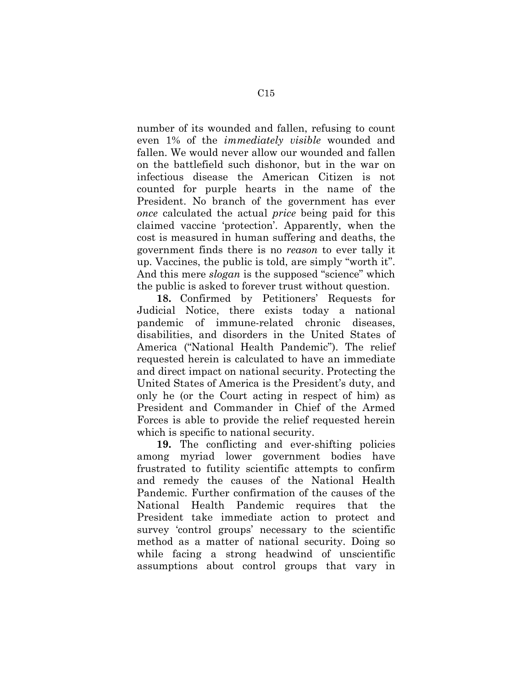number of its wounded and fallen, refusing to count even 1% of the *immediately visible* wounded and fallen. We would never allow our wounded and fallen on the battlefield such dishonor, but in the war on infectious disease the American Citizen is not counted for purple hearts in the name of the President. No branch of the government has ever *once* calculated the actual *price* being paid for this claimed vaccine 'protection'. Apparently, when the cost is measured in human suffering and deaths, the government finds there is no *reason* to ever tally it up. Vaccines, the public is told, are simply "worth it". And this mere *slogan* is the supposed "science" which the public is asked to forever trust without question.

**18.** Confirmed by Petitioners' Requests for Judicial Notice, there exists today a national pandemic of immune-related chronic diseases, disabilities, and disorders in the United States of America ("National Health Pandemic"). The relief requested herein is calculated to have an immediate and direct impact on national security. Protecting the United States of America is the President's duty, and only he (or the Court acting in respect of him) as President and Commander in Chief of the Armed Forces is able to provide the relief requested herein which is specific to national security.

**19.** The conflicting and ever-shifting policies among myriad lower government bodies have frustrated to futility scientific attempts to confirm and remedy the causes of the National Health Pandemic. Further confirmation of the causes of the National Health Pandemic requires that the President take immediate action to protect and survey 'control groups' necessary to the scientific method as a matter of national security. Doing so while facing a strong headwind of unscientific assumptions about control groups that vary in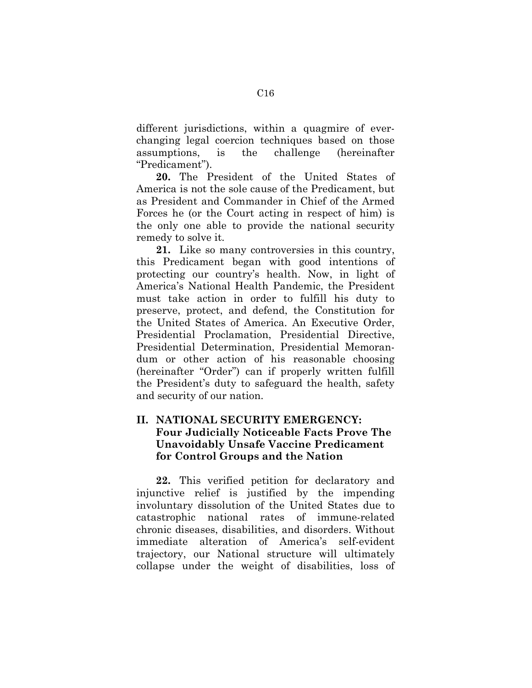different jurisdictions, within a quagmire of everchanging legal coercion techniques based on those assumptions, is the challenge (hereinafter "Predicament").

**20.** The President of the United States of America is not the sole cause of the Predicament, but as President and Commander in Chief of the Armed Forces he (or the Court acting in respect of him) is the only one able to provide the national security remedy to solve it.

**21.** Like so many controversies in this country, this Predicament began with good intentions of protecting our country's health. Now, in light of America's National Health Pandemic, the President must take action in order to fulfill his duty to preserve, protect, and defend, the Constitution for the United States of America. An Executive Order, Presidential Proclamation, Presidential Directive, Presidential Determination, Presidential Memorandum or other action of his reasonable choosing (hereinafter "Order") can if properly written fulfill the President's duty to safeguard the health, safety and security of our nation.

# **II. NATIONAL SECURITY EMERGENCY: Four Judicially Noticeable Facts Prove The Unavoidably Unsafe Vaccine Predicament for Control Groups and the Nation**

**22.** This verified petition for declaratory and injunctive relief is justified by the impending involuntary dissolution of the United States due to catastrophic national rates of immune-related chronic diseases, disabilities, and disorders. Without immediate alteration of America's self-evident trajectory, our National structure will ultimately collapse under the weight of disabilities, loss of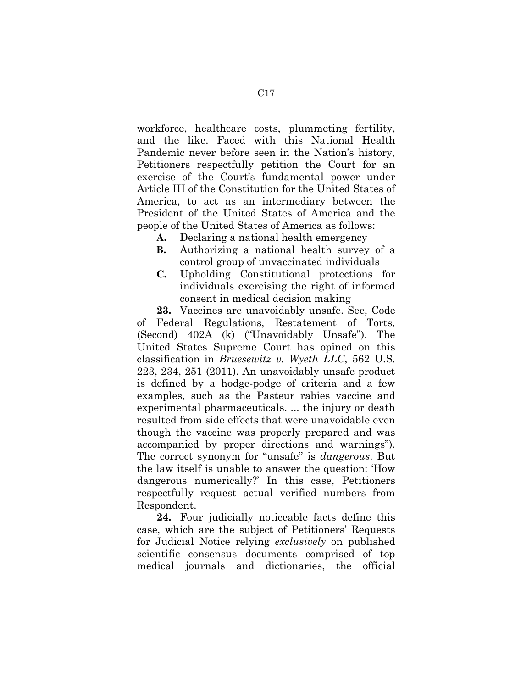workforce, healthcare costs, plummeting fertility, and the like. Faced with this National Health Pandemic never before seen in the Nation's history, Petitioners respectfully petition the Court for an exercise of the Court's fundamental power under Article III of the Constitution for the United States of America, to act as an intermediary between the President of the United States of America and the people of the United States of America as follows:

- **A.** Declaring a national health emergency
- **B.** Authorizing a national health survey of a control group of unvaccinated individuals
- **C.** Upholding Constitutional protections for individuals exercising the right of informed consent in medical decision making

**23.** Vaccines are unavoidably unsafe. See, Code of Federal Regulations, Restatement of Torts, (Second) 402A (k) ("Unavoidably Unsafe"). The United States Supreme Court has opined on this classification in *Bruesewitz v. Wyeth LLC*, 562 U.S. 223, 234, 251 (2011). An unavoidably unsafe product is defined by a hodge-podge of criteria and a few examples, such as the Pasteur rabies vaccine and experimental pharmaceuticals. ... the injury or death resulted from side effects that were unavoidable even though the vaccine was properly prepared and was accompanied by proper directions and warnings"). The correct synonym for "unsafe" is *dangerous*. But the law itself is unable to answer the question: 'How dangerous numerically?' In this case, Petitioners respectfully request actual verified numbers from Respondent.

**24.** Four judicially noticeable facts define this case, which are the subject of Petitioners' Requests for Judicial Notice relying *exclusively* on published scientific consensus documents comprised of top medical journals and dictionaries, the official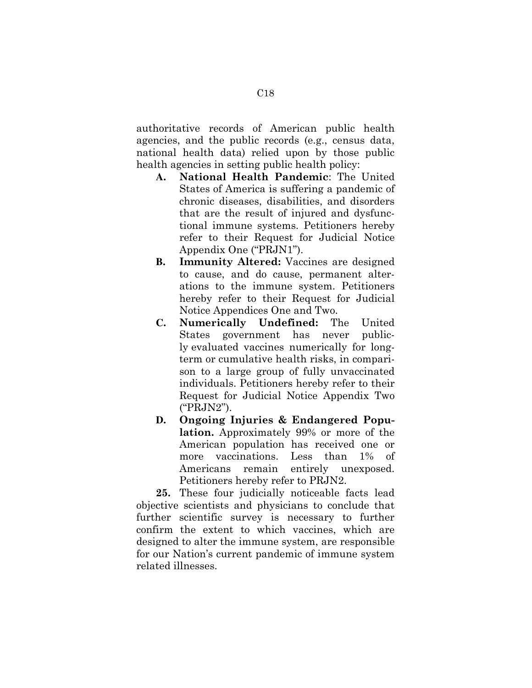authoritative records of American public health agencies, and the public records (e.g., census data, national health data) relied upon by those public health agencies in setting public health policy:

- **A. National Health Pandemic**: The United States of America is suffering a pandemic of chronic diseases, disabilities, and disorders that are the result of injured and dysfunctional immune systems. Petitioners hereby refer to their Request for Judicial Notice Appendix One ("PRJN1").
- **B. Immunity Altered:** Vaccines are designed to cause, and do cause, permanent alterations to the immune system. Petitioners hereby refer to their Request for Judicial Notice Appendices One and Two.
- **C. Numerically Undefined:** The United States government has never publicly evaluated vaccines numerically for longterm or cumulative health risks, in comparison to a large group of fully unvaccinated individuals. Petitioners hereby refer to their Request for Judicial Notice Appendix Two ("PRJN2").
- **D. Ongoing Injuries & Endangered Population.** Approximately 99% or more of the American population has received one or more vaccinations. Less than 1% of Americans remain entirely unexposed. Petitioners hereby refer to PRJN2.

**25.** These four judicially noticeable facts lead objective scientists and physicians to conclude that further scientific survey is necessary to further confirm the extent to which vaccines, which are designed to alter the immune system, are responsible for our Nation's current pandemic of immune system related illnesses.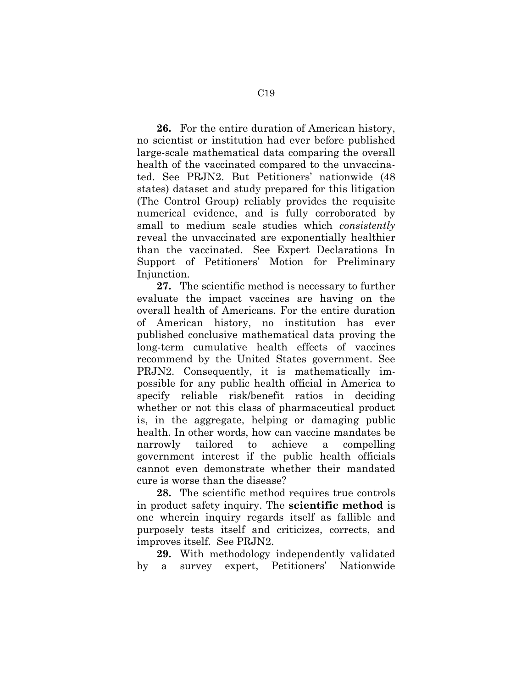**26.** For the entire duration of American history, no scientist or institution had ever before published large-scale mathematical data comparing the overall health of the vaccinated compared to the unvaccinated. See PRJN2. But Petitioners' nationwide (48 states) dataset and study prepared for this litigation (The Control Group) reliably provides the requisite numerical evidence, and is fully corroborated by small to medium scale studies which *consistently* reveal the unvaccinated are exponentially healthier than the vaccinated. See Expert Declarations In Support of Petitioners' Motion for Preliminary Injunction.

**27.** The scientific method is necessary to further evaluate the impact vaccines are having on the overall health of Americans. For the entire duration of American history, no institution has ever published conclusive mathematical data proving the long-term cumulative health effects of vaccines recommend by the United States government. See PRJN2. Consequently, it is mathematically impossible for any public health official in America to specify reliable risk/benefit ratios in deciding whether or not this class of pharmaceutical product is, in the aggregate, helping or damaging public health. In other words, how can vaccine mandates be narrowly tailored to achieve a compelling government interest if the public health officials cannot even demonstrate whether their mandated cure is worse than the disease?

**28.** The scientific method requires true controls in product safety inquiry. The **scientific method** is one wherein inquiry regards itself as fallible and purposely tests itself and criticizes, corrects, and improves itself. See PRJN2.

**29.** With methodology independently validated by a survey expert, Petitioners' Nationwide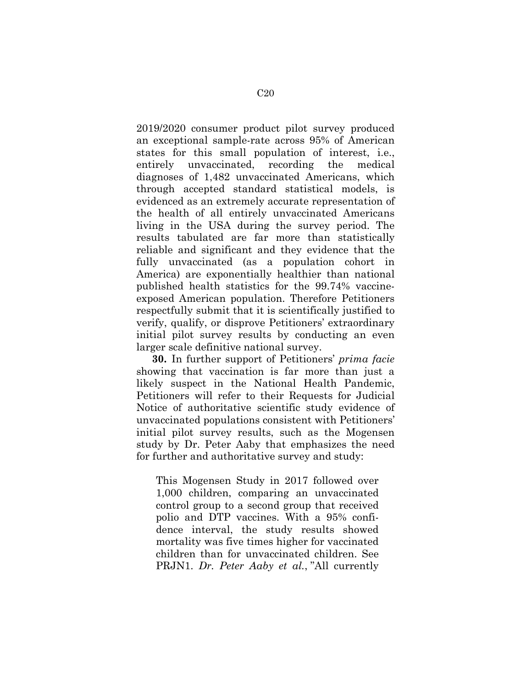2019/2020 consumer product pilot survey produced an exceptional sample-rate across 95% of American states for this small population of interest, i.e., entirely unvaccinated, recording the medical diagnoses of 1,482 unvaccinated Americans, which through accepted standard statistical models, is evidenced as an extremely accurate representation of the health of all entirely unvaccinated Americans living in the USA during the survey period. The results tabulated are far more than statistically reliable and significant and they evidence that the fully unvaccinated (as a population cohort in America) are exponentially healthier than national published health statistics for the 99.74% vaccineexposed American population. Therefore Petitioners respectfully submit that it is scientifically justified to verify, qualify, or disprove Petitioners' extraordinary initial pilot survey results by conducting an even larger scale definitive national survey.

**30.** In further support of Petitioners' *prima facie* showing that vaccination is far more than just a likely suspect in the National Health Pandemic, Petitioners will refer to their Requests for Judicial Notice of authoritative scientific study evidence of unvaccinated populations consistent with Petitioners' initial pilot survey results, such as the Mogensen study by Dr. Peter Aaby that emphasizes the need for further and authoritative survey and study:

This Mogensen Study in 2017 followed over 1,000 children, comparing an unvaccinated control group to a second group that received polio and DTP vaccines. With a 95% confidence interval, the study results showed mortality was five times higher for vaccinated children than for unvaccinated children. See PRJN1. *Dr. Peter Aaby et al.*, "All currently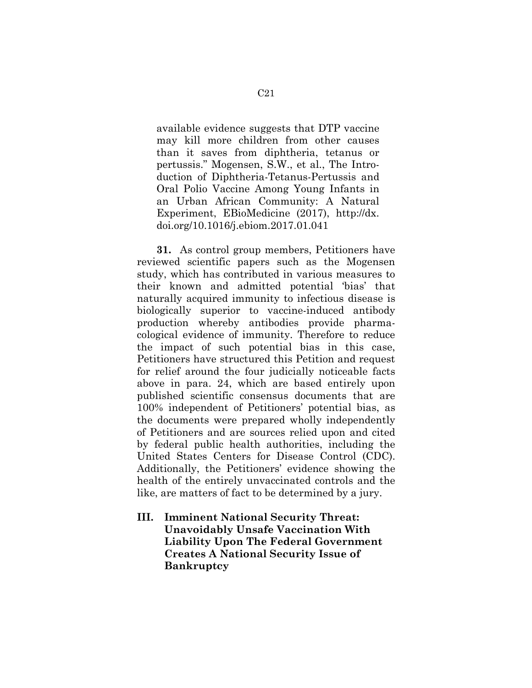available evidence suggests that DTP vaccine may kill more children from other causes than it saves from diphtheria, tetanus or pertussis." Mogensen, S.W., et al., The Introduction of Diphtheria-Tetanus-Pertussis and Oral Polio Vaccine Among Young Infants in an Urban African Community: A Natural Experiment, EBioMedicine (2017), http://dx. doi.org/10.1016/j.ebiom.2017.01.041

**31.** As control group members, Petitioners have reviewed scientific papers such as the Mogensen study, which has contributed in various measures to their known and admitted potential 'bias' that naturally acquired immunity to infectious disease is biologically superior to vaccine-induced antibody production whereby antibodies provide pharmacological evidence of immunity. Therefore to reduce the impact of such potential bias in this case, Petitioners have structured this Petition and request for relief around the four judicially noticeable facts above in para. 24, which are based entirely upon published scientific consensus documents that are 100% independent of Petitioners' potential bias, as the documents were prepared wholly independently of Petitioners and are sources relied upon and cited by federal public health authorities, including the United States Centers for Disease Control (CDC). Additionally, the Petitioners' evidence showing the health of the entirely unvaccinated controls and the like, are matters of fact to be determined by a jury.

**III. Imminent National Security Threat: Unavoidably Unsafe Vaccination With Liability Upon The Federal Government Creates A National Security Issue of Bankruptcy**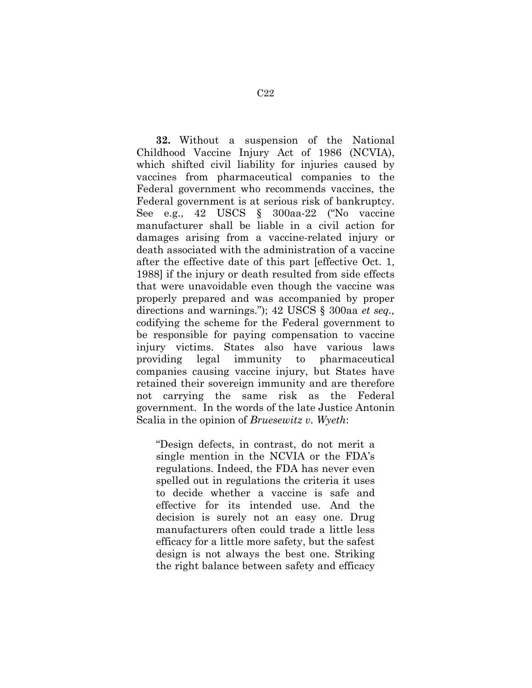**32.** Without a suspension of the National Childhood Vaccine Injury Act of 1986 (NCVIA), which shifted civil liability for injuries caused by vaccines from pharmaceutical companies to the Federal government who recommends vaccines, the Federal government is at serious risk of bankruptcy. See e.g., 42 USCS § 300aa-22 ("No vaccine manufacturer shall be liable in a civil action for damages arising from a vaccine-related injury or death associated with the administration of a vaccine after the effective date of this part [effective Oct. 1, 1988] if the injury or death resulted from side effects that were unavoidable even though the vaccine was properly prepared and was accompanied by proper directions and warnings."); 42 USCS § 300aa *et seq.,* codifying the scheme for the Federal government to be responsible for paying compensation to vaccine injury victims. States also have various laws providing legal immunity to pharmaceutical companies causing vaccine injury, but States have retained their sovereign immunity and are therefore not carrying the same risk as the Federal government. In the words of the late Justice Antonin Scalia in the opinion of *Bruesewitz v. Wyeth*:

"Design defects, in contrast, do not merit a single mention in the NCVIA or the FDA's regulations. Indeed, the FDA has never even spelled out in regulations the criteria it uses to decide whether a vaccine is safe and effective for its intended use. And the decision is surely not an easy one. Drug manufacturers often could trade a little less efficacy for a little more safety, but the safest design is not always the best one. Striking the right balance between safety and efficacy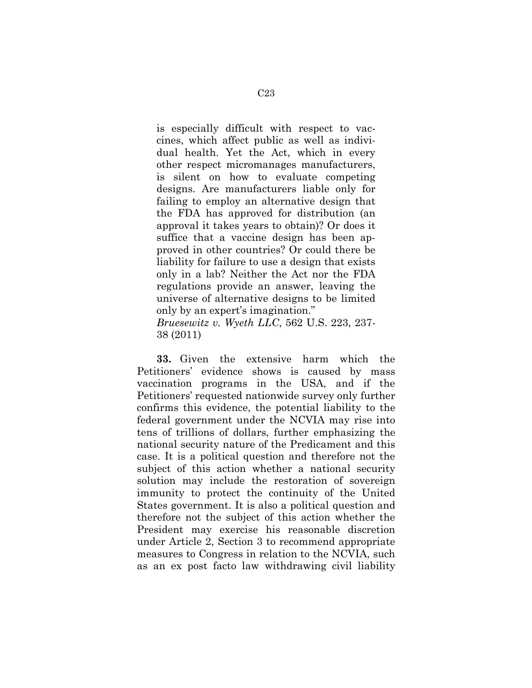is especially difficult with respect to vaccines, which affect public as well as individual health. Yet the Act, which in every other respect micromanages manufacturers, is silent on how to evaluate competing designs. Are manufacturers liable only for failing to employ an alternative design that the FDA has approved for distribution (an approval it takes years to obtain)? Or does it suffice that a vaccine design has been approved in other countries? Or could there be liability for failure to use a design that exists only in a lab? Neither the Act nor the FDA regulations provide an answer, leaving the universe of alternative designs to be limited only by an expert's imagination."

*Bruesewitz v. Wyeth LLC*, 562 U.S. 223, 237- 38 (2011)

**33.** Given the extensive harm which the Petitioners' evidence shows is caused by mass vaccination programs in the USA, and if the Petitioners' requested nationwide survey only further confirms this evidence, the potential liability to the federal government under the NCVIA may rise into tens of trillions of dollars, further emphasizing the national security nature of the Predicament and this case. It is a political question and therefore not the subject of this action whether a national security solution may include the restoration of sovereign immunity to protect the continuity of the United States government. It is also a political question and therefore not the subject of this action whether the President may exercise his reasonable discretion under Article 2, Section 3 to recommend appropriate measures to Congress in relation to the NCVIA, such as an ex post facto law withdrawing civil liability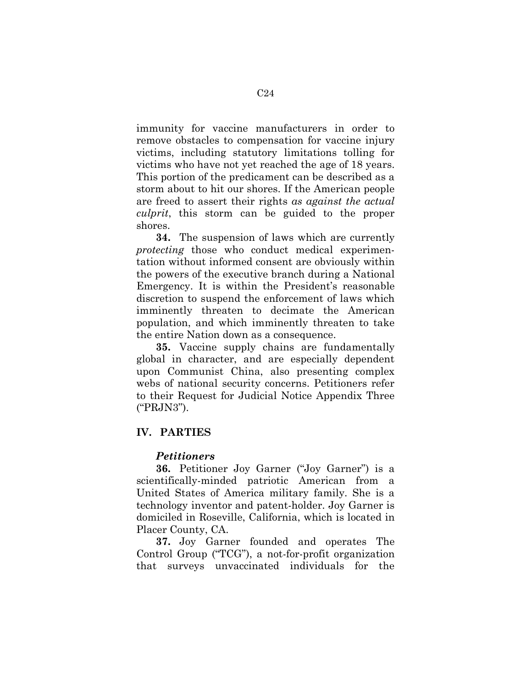immunity for vaccine manufacturers in order to remove obstacles to compensation for vaccine injury victims, including statutory limitations tolling for victims who have not yet reached the age of 18 years. This portion of the predicament can be described as a storm about to hit our shores. If the American people are freed to assert their rights *as against the actual culprit*, this storm can be guided to the proper shores.

**34.** The suspension of laws which are currently *protecting* those who conduct medical experimentation without informed consent are obviously within the powers of the executive branch during a National Emergency. It is within the President's reasonable discretion to suspend the enforcement of laws which imminently threaten to decimate the American population, and which imminently threaten to take the entire Nation down as a consequence.

**35.** Vaccine supply chains are fundamentally global in character, and are especially dependent upon Communist China, also presenting complex webs of national security concerns. Petitioners refer to their Request for Judicial Notice Appendix Three ("PRJN3").

### **IV. PARTIES**

### *Petitioners*

**36.** Petitioner Joy Garner ("Joy Garner") is a scientifically-minded patriotic American from a United States of America military family. She is a technology inventor and patent-holder. Joy Garner is domiciled in Roseville, California, which is located in Placer County, CA.

**37.** Joy Garner founded and operates The Control Group ("TCG"), a not-for-profit organization that surveys unvaccinated individuals for the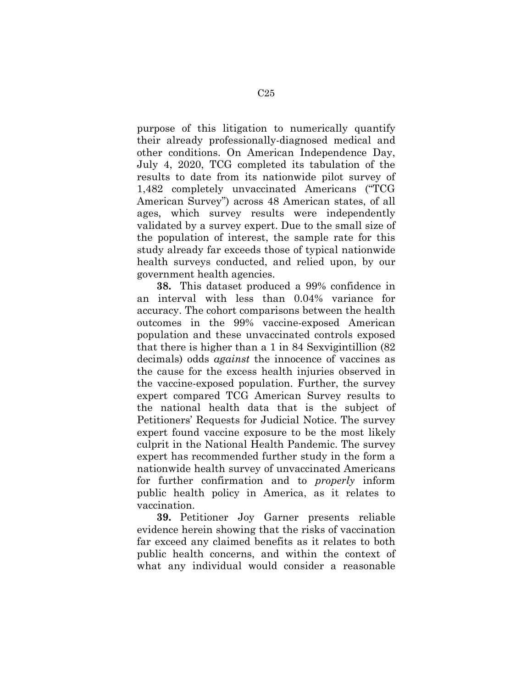purpose of this litigation to numerically quantify their already professionally-diagnosed medical and other conditions. On American Independence Day, July 4, 2020, TCG completed its tabulation of the results to date from its nationwide pilot survey of 1,482 completely unvaccinated Americans ("TCG American Survey") across 48 American states, of all ages, which survey results were independently validated by a survey expert. Due to the small size of the population of interest, the sample rate for this study already far exceeds those of typical nationwide health surveys conducted, and relied upon, by our government health agencies.

**38.** This dataset produced a 99% confidence in an interval with less than 0.04% variance for accuracy. The cohort comparisons between the health outcomes in the 99% vaccine-exposed American population and these unvaccinated controls exposed that there is higher than a 1 in 84 Sexvigintillion (82 decimals) odds *against* the innocence of vaccines as the cause for the excess health injuries observed in the vaccine-exposed population. Further, the survey expert compared TCG American Survey results to the national health data that is the subject of Petitioners' Requests for Judicial Notice. The survey expert found vaccine exposure to be the most likely culprit in the National Health Pandemic. The survey expert has recommended further study in the form a nationwide health survey of unvaccinated Americans for further confirmation and to *properly* inform public health policy in America, as it relates to vaccination.

**39.** Petitioner Joy Garner presents reliable evidence herein showing that the risks of vaccination far exceed any claimed benefits as it relates to both public health concerns, and within the context of what any individual would consider a reasonable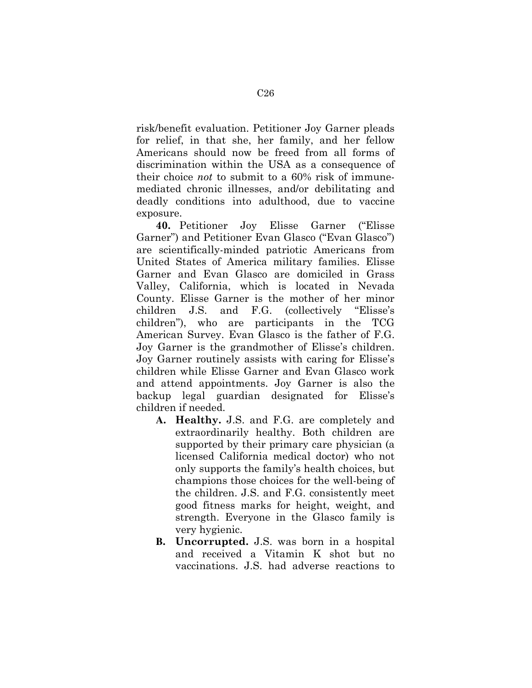risk/benefit evaluation. Petitioner Joy Garner pleads for relief, in that she, her family, and her fellow Americans should now be freed from all forms of discrimination within the USA as a consequence of their choice *not* to submit to a 60% risk of immunemediated chronic illnesses, and/or debilitating and deadly conditions into adulthood, due to vaccine exposure.

**40.** Petitioner Joy Elisse Garner ("Elisse Garner") and Petitioner Evan Glasco ("Evan Glasco") are scientifically-minded patriotic Americans from United States of America military families. Elisse Garner and Evan Glasco are domiciled in Grass Valley, California, which is located in Nevada County. Elisse Garner is the mother of her minor children J.S. and F.G. (collectively "Elisse's children"), who are participants in the TCG American Survey. Evan Glasco is the father of F.G. Joy Garner is the grandmother of Elisse's children. Joy Garner routinely assists with caring for Elisse's children while Elisse Garner and Evan Glasco work and attend appointments. Joy Garner is also the backup legal guardian designated for Elisse's children if needed.

- **A. Healthy.** J.S. and F.G. are completely and extraordinarily healthy. Both children are supported by their primary care physician (a licensed California medical doctor) who not only supports the family's health choices, but champions those choices for the well-being of the children. J.S. and F.G. consistently meet good fitness marks for height, weight, and strength. Everyone in the Glasco family is very hygienic.
- **B. Uncorrupted.** J.S. was born in a hospital and received a Vitamin K shot but no vaccinations. J.S. had adverse reactions to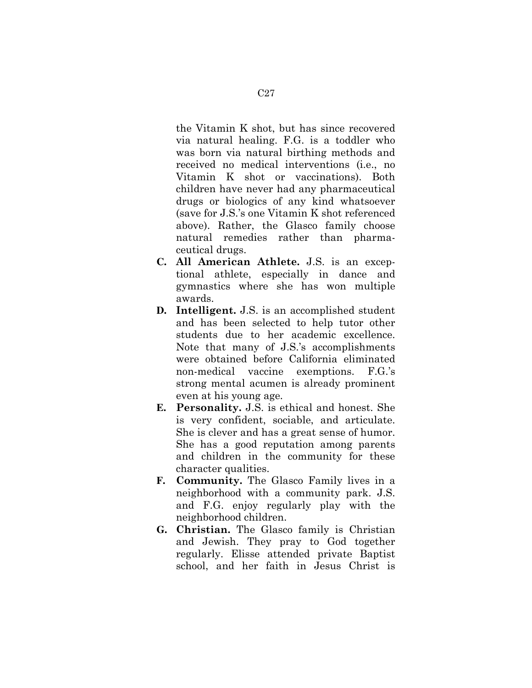the Vitamin K shot, but has since recovered via natural healing. F.G. is a toddler who was born via natural birthing methods and received no medical interventions (i.e., no Vitamin K shot or vaccinations). Both children have never had any pharmaceutical drugs or biologics of any kind whatsoever (save for J.S.'s one Vitamin K shot referenced above). Rather, the Glasco family choose natural remedies rather than pharmaceutical drugs.

- **C. All American Athlete.** J.S. is an exceptional athlete, especially in dance and gymnastics where she has won multiple awards.
- **D. Intelligent.** J.S. is an accomplished student and has been selected to help tutor other students due to her academic excellence. Note that many of J.S.'s accomplishments were obtained before California eliminated non-medical vaccine exemptions. F.G.'s strong mental acumen is already prominent even at his young age.
- **E. Personality.** J.S. is ethical and honest. She is very confident, sociable, and articulate. She is clever and has a great sense of humor. She has a good reputation among parents and children in the community for these character qualities.
- **F. Community.** The Glasco Family lives in a neighborhood with a community park. J.S. and F.G. enjoy regularly play with the neighborhood children.
- **G. Christian.** The Glasco family is Christian and Jewish. They pray to God together regularly. Elisse attended private Baptist school, and her faith in Jesus Christ is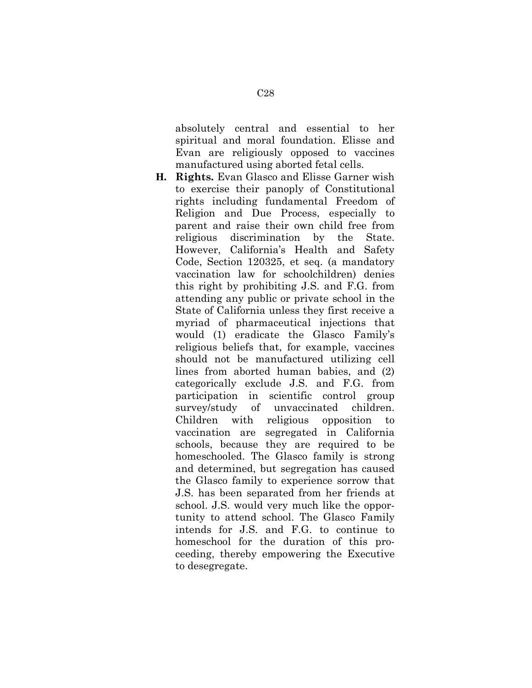absolutely central and essential to her spiritual and moral foundation. Elisse and Evan are religiously opposed to vaccines manufactured using aborted fetal cells.

**H. Rights.** Evan Glasco and Elisse Garner wish to exercise their panoply of Constitutional rights including fundamental Freedom of Religion and Due Process, especially to parent and raise their own child free from religious discrimination by the State. However, California's Health and Safety Code, Section 120325, et seq. (a mandatory vaccination law for schoolchildren) denies this right by prohibiting J.S. and F.G. from attending any public or private school in the State of California unless they first receive a myriad of pharmaceutical injections that would (1) eradicate the Glasco Family's religious beliefs that, for example, vaccines should not be manufactured utilizing cell lines from aborted human babies, and (2) categorically exclude J.S. and F.G. from participation in scientific control group survey/study of unvaccinated children. Children with religious opposition to vaccination are segregated in California schools, because they are required to be homeschooled. The Glasco family is strong and determined, but segregation has caused the Glasco family to experience sorrow that J.S. has been separated from her friends at school. J.S. would very much like the opportunity to attend school. The Glasco Family intends for J.S. and F.G. to continue to homeschool for the duration of this proceeding, thereby empowering the Executive to desegregate.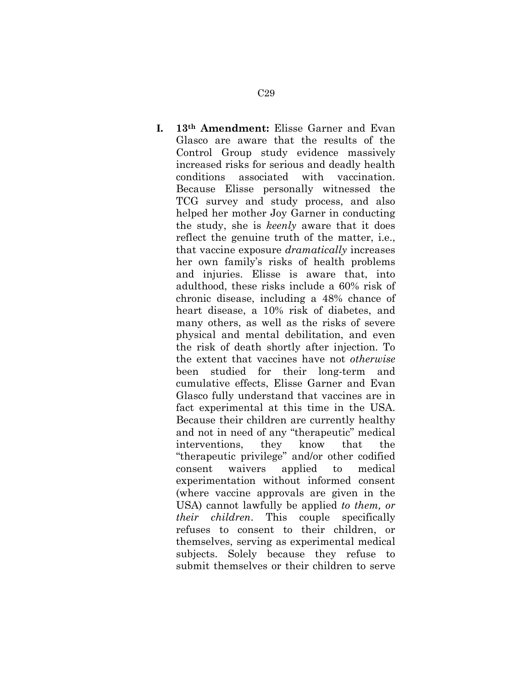**I. 13th Amendment:** Elisse Garner and Evan Glasco are aware that the results of the Control Group study evidence massively increased risks for serious and deadly health conditions associated with vaccination. Because Elisse personally witnessed the TCG survey and study process, and also helped her mother Joy Garner in conducting the study, she is *keenly* aware that it does reflect the genuine truth of the matter, i.e., that vaccine exposure *dramatically* increases her own family's risks of health problems and injuries. Elisse is aware that, into adulthood, these risks include a 60% risk of chronic disease, including a 48% chance of heart disease, a 10% risk of diabetes, and many others, as well as the risks of severe physical and mental debilitation, and even the risk of death shortly after injection. To the extent that vaccines have not *otherwise* been studied for their long-term and cumulative effects, Elisse Garner and Evan Glasco fully understand that vaccines are in fact experimental at this time in the USA. Because their children are currently healthy and not in need of any "therapeutic" medical interventions, they know that the "therapeutic privilege" and/or other codified consent waivers applied to medical experimentation without informed consent (where vaccine approvals are given in the USA) cannot lawfully be applied *to them, or their children*. This couple specifically refuses to consent to their children, or themselves, serving as experimental medical subjects. Solely because they refuse to

submit themselves or their children to serve

C29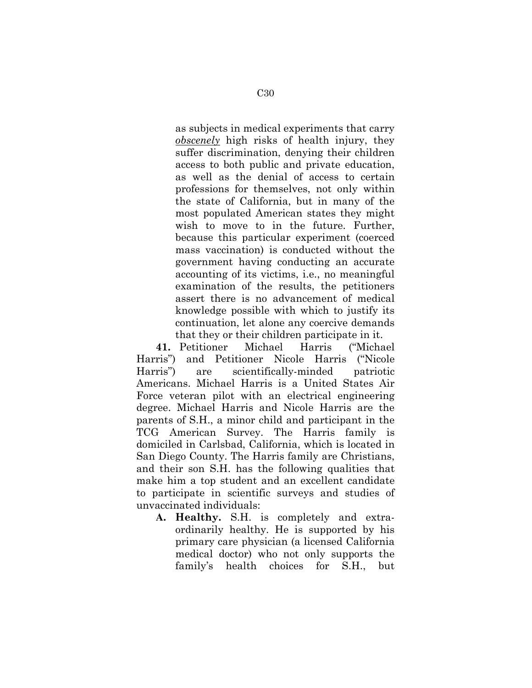as subjects in medical experiments that carry *obscenely* high risks of health injury, they suffer discrimination, denying their children access to both public and private education, as well as the denial of access to certain professions for themselves, not only within the state of California, but in many of the most populated American states they might wish to move to in the future. Further, because this particular experiment (coerced mass vaccination) is conducted without the government having conducting an accurate accounting of its victims, i.e., no meaningful examination of the results, the petitioners assert there is no advancement of medical knowledge possible with which to justify its continuation, let alone any coercive demands that they or their children participate in it.

**41.** Petitioner Michael Harris ("Michael Harris") and Petitioner Nicole Harris ("Nicole Harris") are scientifically-minded patriotic Americans. Michael Harris is a United States Air Force veteran pilot with an electrical engineering degree. Michael Harris and Nicole Harris are the parents of S.H., a minor child and participant in the TCG American Survey. The Harris family is domiciled in Carlsbad, California, which is located in San Diego County. The Harris family are Christians, and their son S.H. has the following qualities that make him a top student and an excellent candidate to participate in scientific surveys and studies of unvaccinated individuals:

**A. Healthy.** S.H. is completely and extraordinarily healthy. He is supported by his primary care physician (a licensed California medical doctor) who not only supports the family's health choices for S.H., but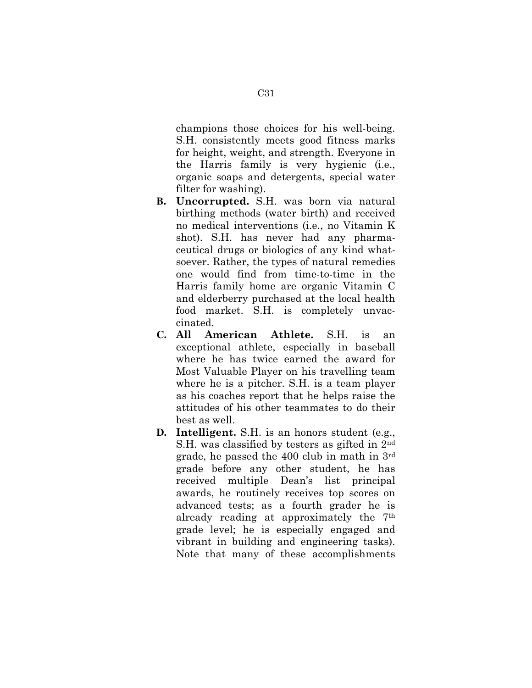champions those choices for his well-being. S.H. consistently meets good fitness marks for height, weight, and strength. Everyone in the Harris family is very hygienic (i.e., organic soaps and detergents, special water filter for washing).

- **B. Uncorrupted.** S.H. was born via natural birthing methods (water birth) and received no medical interventions (i.e., no Vitamin K shot). S.H. has never had any pharmaceutical drugs or biologics of any kind whatsoever. Rather, the types of natural remedies one would find from time-to-time in the Harris family home are organic Vitamin C and elderberry purchased at the local health food market. S.H. is completely unvaccinated.
- **C. All American Athlete.** S.H. is an exceptional athlete, especially in baseball where he has twice earned the award for Most Valuable Player on his travelling team where he is a pitcher. S.H. is a team player as his coaches report that he helps raise the attitudes of his other teammates to do their best as well.
- **D. Intelligent.** S.H. is an honors student (e.g., S.H. was classified by testers as gifted in 2nd grade, he passed the 400 club in math in 3rd grade before any other student, he has received multiple Dean's list principal awards, he routinely receives top scores on advanced tests; as a fourth grader he is already reading at approximately the 7th grade level; he is especially engaged and vibrant in building and engineering tasks). Note that many of these accomplishments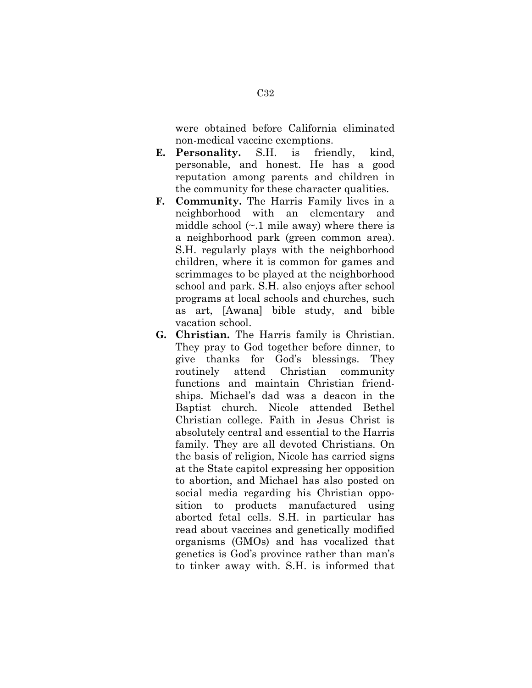were obtained before California eliminated non-medical vaccine exemptions.

- **E. Personality.** S.H. is friendly, kind, personable, and honest. He has a good reputation among parents and children in the community for these character qualities.
- **F. Community.** The Harris Family lives in a neighborhood with an elementary and middle school  $(\sim 1$  mile away) where there is a neighborhood park (green common area). S.H. regularly plays with the neighborhood children, where it is common for games and scrimmages to be played at the neighborhood school and park. S.H. also enjoys after school programs at local schools and churches, such as art, [Awana] bible study, and bible vacation school.
- **G. Christian.** The Harris family is Christian. They pray to God together before dinner, to give thanks for God's blessings. They routinely attend Christian community functions and maintain Christian friendships. Michael's dad was a deacon in the Baptist church. Nicole attended Bethel Christian college. Faith in Jesus Christ is absolutely central and essential to the Harris family. They are all devoted Christians. On the basis of religion, Nicole has carried signs at the State capitol expressing her opposition to abortion, and Michael has also posted on social media regarding his Christian opposition to products manufactured using aborted fetal cells. S.H. in particular has read about vaccines and genetically modified organisms (GMOs) and has vocalized that genetics is God's province rather than man's to tinker away with. S.H. is informed that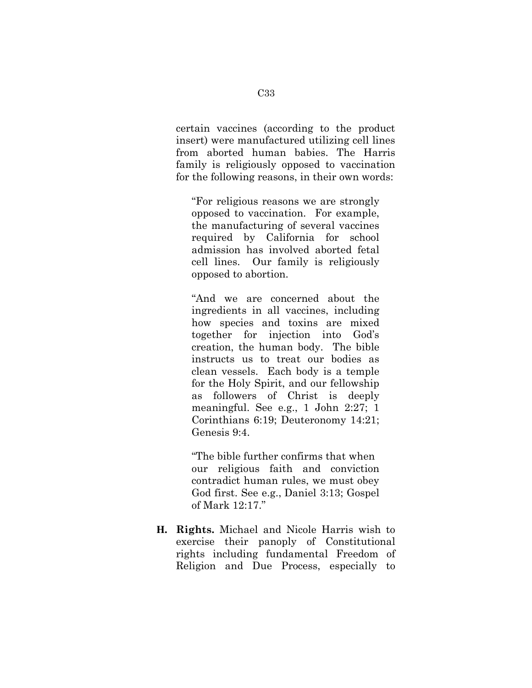certain vaccines (according to the product insert) were manufactured utilizing cell lines from aborted human babies. The Harris family is religiously opposed to vaccination for the following reasons, in their own words:

"For religious reasons we are strongly opposed to vaccination. For example, the manufacturing of several vaccines required by California for school admission has involved aborted fetal cell lines. Our family is religiously opposed to abortion.

"And we are concerned about the ingredients in all vaccines, including how species and toxins are mixed together for injection into God's creation, the human body. The bible instructs us to treat our bodies as clean vessels. Each body is a temple for the Holy Spirit, and our fellowship as followers of Christ is deeply meaningful. See e.g., 1 John 2:27; 1 Corinthians 6:19; Deuteronomy 14:21; Genesis 9:4.

"The bible further confirms that when our religious faith and conviction contradict human rules, we must obey God first. See e.g., Daniel 3:13; Gospel of Mark 12:17."

**H. Rights.** Michael and Nicole Harris wish to exercise their panoply of Constitutional rights including fundamental Freedom of Religion and Due Process, especially to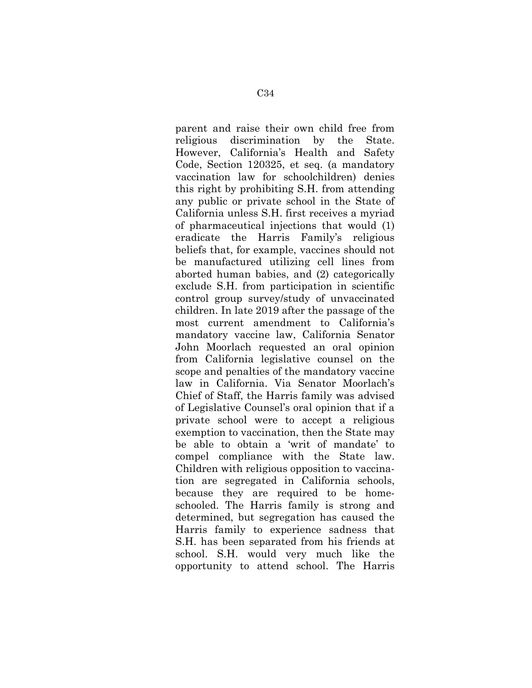parent and raise their own child free from religious discrimination by the State. However, California's Health and Safety Code, Section 120325, et seq. (a mandatory vaccination law for schoolchildren) denies this right by prohibiting S.H. from attending any public or private school in the State of California unless S.H. first receives a myriad of pharmaceutical injections that would (1) eradicate the Harris Family's religious beliefs that, for example, vaccines should not be manufactured utilizing cell lines from aborted human babies, and (2) categorically exclude S.H. from participation in scientific control group survey/study of unvaccinated children. In late 2019 after the passage of the most current amendment to California's mandatory vaccine law, California Senator John Moorlach requested an oral opinion from California legislative counsel on the scope and penalties of the mandatory vaccine law in California. Via Senator Moorlach's Chief of Staff, the Harris family was advised of Legislative Counsel's oral opinion that if a private school were to accept a religious exemption to vaccination, then the State may be able to obtain a 'writ of mandate' to compel compliance with the State law. Children with religious opposition to vaccination are segregated in California schools, because they are required to be homeschooled. The Harris family is strong and determined, but segregation has caused the Harris family to experience sadness that S.H. has been separated from his friends at school. S.H. would very much like the opportunity to attend school. The Harris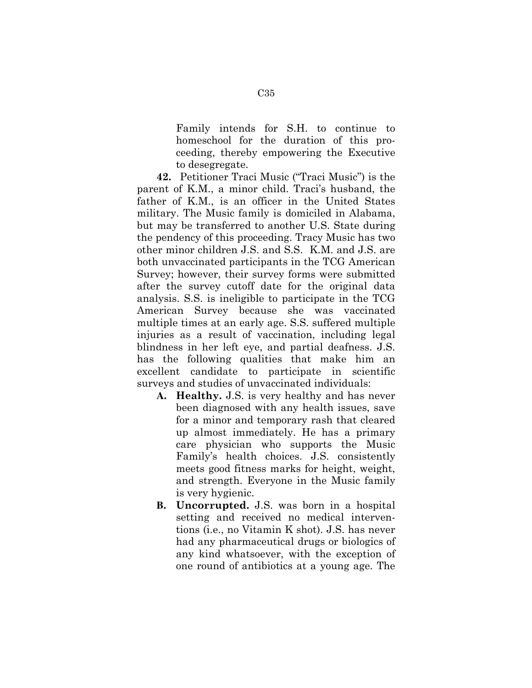Family intends for S.H. to continue to homeschool for the duration of this proceeding, thereby empowering the Executive to desegregate.

**42.** Petitioner Traci Music ("Traci Music") is the parent of K.M., a minor child. Traci's husband, the father of K.M., is an officer in the United States military. The Music family is domiciled in Alabama, but may be transferred to another U.S. State during the pendency of this proceeding. Tracy Music has two other minor children J.S. and S.S. K.M. and J.S. are both unvaccinated participants in the TCG American Survey; however, their survey forms were submitted after the survey cutoff date for the original data analysis. S.S. is ineligible to participate in the TCG American Survey because she was vaccinated multiple times at an early age. S.S. suffered multiple injuries as a result of vaccination, including legal blindness in her left eye, and partial deafness. J.S. has the following qualities that make him an excellent candidate to participate in scientific surveys and studies of unvaccinated individuals:

- **A. Healthy.** J.S. is very healthy and has never been diagnosed with any health issues, save for a minor and temporary rash that cleared up almost immediately. He has a primary care physician who supports the Music Family's health choices. J.S. consistently meets good fitness marks for height, weight, and strength. Everyone in the Music family is very hygienic.
- **B. Uncorrupted.** J.S. was born in a hospital setting and received no medical interventions (i.e., no Vitamin K shot). J.S. has never had any pharmaceutical drugs or biologics of any kind whatsoever, with the exception of one round of antibiotics at a young age. The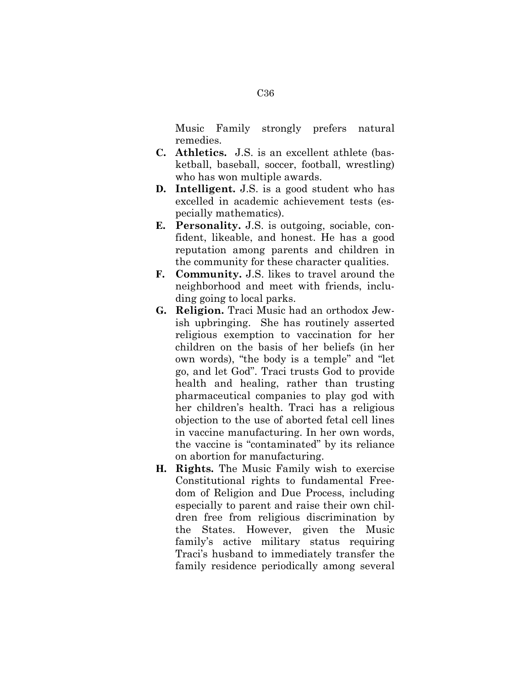Music Family strongly prefers natural remedies.

- **C. Athletics.** J.S. is an excellent athlete (basketball, baseball, soccer, football, wrestling) who has won multiple awards.
- **D. Intelligent.** J.S. is a good student who has excelled in academic achievement tests (especially mathematics).
- **E. Personality.** J.S. is outgoing, sociable, confident, likeable, and honest. He has a good reputation among parents and children in the community for these character qualities.
- **F. Community.** J.S. likes to travel around the neighborhood and meet with friends, including going to local parks.
- **G. Religion.** Traci Music had an orthodox Jewish upbringing. She has routinely asserted religious exemption to vaccination for her children on the basis of her beliefs (in her own words), "the body is a temple" and "let go, and let God". Traci trusts God to provide health and healing, rather than trusting pharmaceutical companies to play god with her children's health. Traci has a religious objection to the use of aborted fetal cell lines in vaccine manufacturing. In her own words, the vaccine is "contaminated" by its reliance on abortion for manufacturing.
- **H. Rights.** The Music Family wish to exercise Constitutional rights to fundamental Freedom of Religion and Due Process, including especially to parent and raise their own children free from religious discrimination by the States. However, given the Music family's active military status requiring Traci's husband to immediately transfer the family residence periodically among several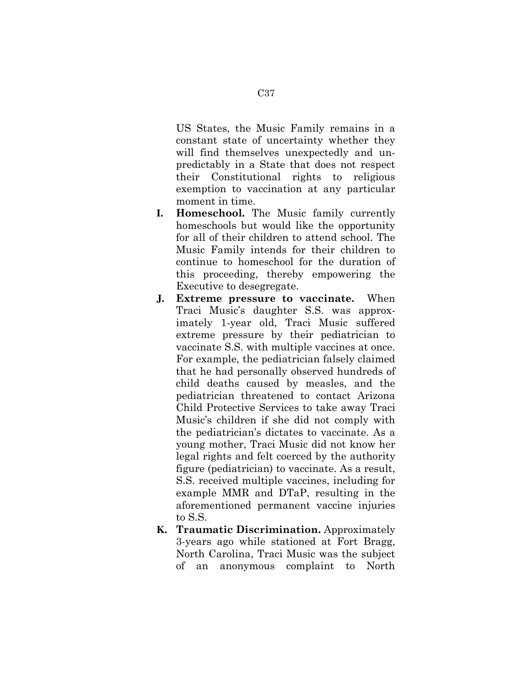US States, the Music Family remains in a constant state of uncertainty whether they will find themselves unexpectedly and unpredictably in a State that does not respect their Constitutional rights to religious exemption to vaccination at any particular moment in time.

- **I. Homeschool.** The Music family currently homeschools but would like the opportunity for all of their children to attend school. The Music Family intends for their children to continue to homeschool for the duration of this proceeding, thereby empowering the Executive to desegregate.
- **J. Extreme pressure to vaccinate.** When Traci Music's daughter S.S. was approximately 1-year old, Traci Music suffered extreme pressure by their pediatrician to vaccinate S.S. with multiple vaccines at once. For example, the pediatrician falsely claimed that he had personally observed hundreds of child deaths caused by measles, and the pediatrician threatened to contact Arizona Child Protective Services to take away Traci Music's children if she did not comply with the pediatrician's dictates to vaccinate. As a young mother, Traci Music did not know her legal rights and felt coerced by the authority figure (pediatrician) to vaccinate. As a result, S.S. received multiple vaccines, including for example MMR and DTaP, resulting in the aforementioned permanent vaccine injuries to S.S.
- **K. Traumatic Discrimination.** Approximately 3-years ago while stationed at Fort Bragg, North Carolina, Traci Music was the subject of an anonymous complaint to North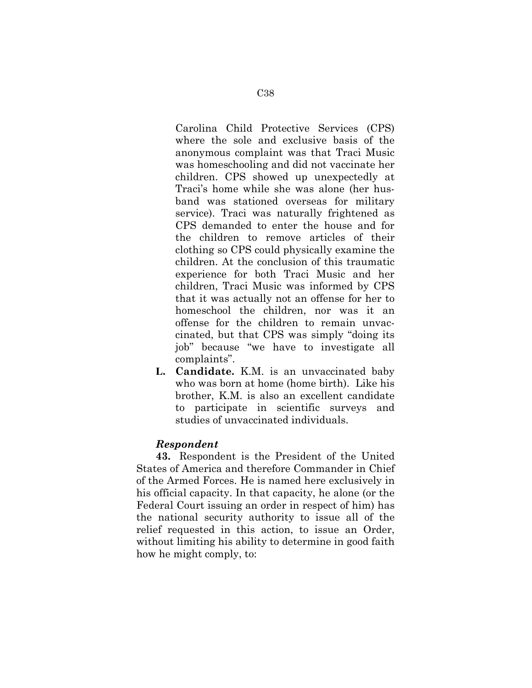Carolina Child Protective Services (CPS) where the sole and exclusive basis of the anonymous complaint was that Traci Music was homeschooling and did not vaccinate her children. CPS showed up unexpectedly at Traci's home while she was alone (her husband was stationed overseas for military service). Traci was naturally frightened as CPS demanded to enter the house and for the children to remove articles of their clothing so CPS could physically examine the children. At the conclusion of this traumatic experience for both Traci Music and her children, Traci Music was informed by CPS that it was actually not an offense for her to homeschool the children, nor was it an offense for the children to remain unvaccinated, but that CPS was simply "doing its job" because "we have to investigate all complaints".

**L. Candidate.** K.M. is an unvaccinated baby who was born at home (home birth). Like his brother, K.M. is also an excellent candidate to participate in scientific surveys and studies of unvaccinated individuals.

#### *Respondent*

**43.** Respondent is the President of the United States of America and therefore Commander in Chief of the Armed Forces. He is named here exclusively in his official capacity. In that capacity, he alone (or the Federal Court issuing an order in respect of him) has the national security authority to issue all of the relief requested in this action, to issue an Order, without limiting his ability to determine in good faith how he might comply, to: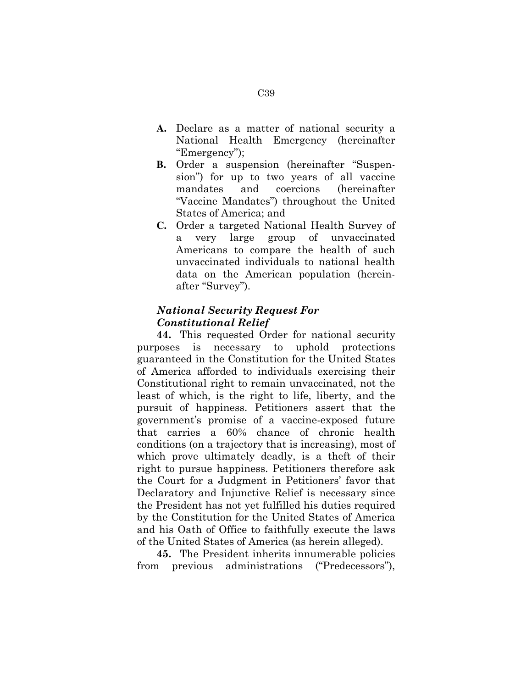- **A.** Declare as a matter of national security a National Health Emergency (hereinafter "Emergency");
- **B.** Order a suspension (hereinafter "Suspension") for up to two years of all vaccine mandates and coercions (hereinafter "Vaccine Mandates") throughout the United States of America; and
- **C.** Order a targeted National Health Survey of a very large group of unvaccinated Americans to compare the health of such unvaccinated individuals to national health data on the American population (hereinafter "Survey").

# *National Security Request For Constitutional Relief*

**44.** This requested Order for national security purposes is necessary to uphold protections guaranteed in the Constitution for the United States of America afforded to individuals exercising their Constitutional right to remain unvaccinated, not the least of which, is the right to life, liberty, and the pursuit of happiness. Petitioners assert that the government's promise of a vaccine-exposed future that carries a 60% chance of chronic health conditions (on a trajectory that is increasing), most of which prove ultimately deadly, is a theft of their right to pursue happiness. Petitioners therefore ask the Court for a Judgment in Petitioners' favor that Declaratory and Injunctive Relief is necessary since the President has not yet fulfilled his duties required by the Constitution for the United States of America and his Oath of Office to faithfully execute the laws of the United States of America (as herein alleged).

**45.** The President inherits innumerable policies from previous administrations ("Predecessors"),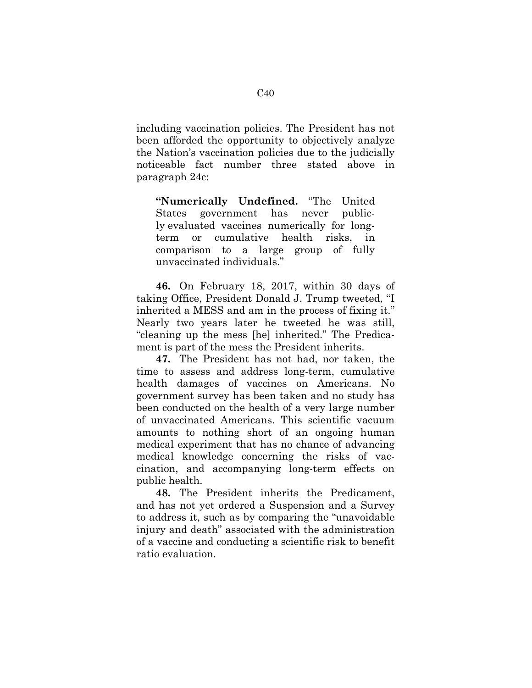including vaccination policies. The President has not been afforded the opportunity to objectively analyze the Nation's vaccination policies due to the judicially noticeable fact number three stated above in paragraph 24c:

**"Numerically Undefined.** "The United States government has never publicly evaluated vaccines numerically for longterm or cumulative health risks, in comparison to a large group of fully unvaccinated individuals."

**46.** On February 18, 2017, within 30 days of taking Office, President Donald J. Trump tweeted, "I inherited a MESS and am in the process of fixing it." Nearly two years later he tweeted he was still, "cleaning up the mess [he] inherited." The Predicament is part of the mess the President inherits.

**47.** The President has not had, nor taken, the time to assess and address long-term, cumulative health damages of vaccines on Americans. No government survey has been taken and no study has been conducted on the health of a very large number of unvaccinated Americans. This scientific vacuum amounts to nothing short of an ongoing human medical experiment that has no chance of advancing medical knowledge concerning the risks of vaccination, and accompanying long-term effects on public health.

**48.** The President inherits the Predicament, and has not yet ordered a Suspension and a Survey to address it, such as by comparing the "unavoidable injury and death" associated with the administration of a vaccine and conducting a scientific risk to benefit ratio evaluation.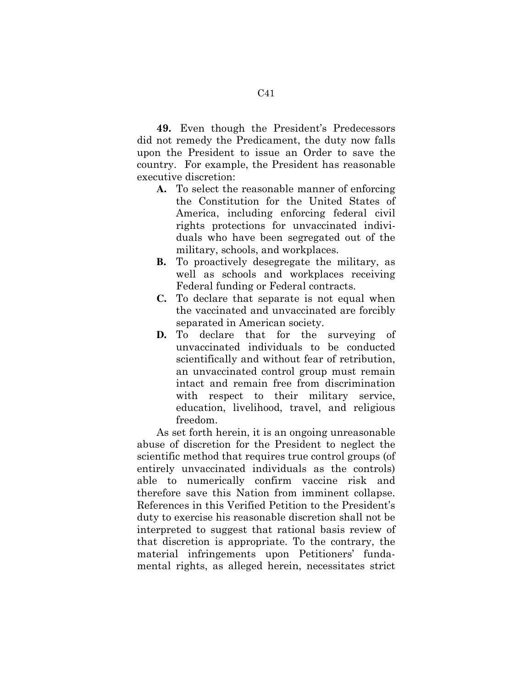**49.** Even though the President's Predecessors did not remedy the Predicament, the duty now falls upon the President to issue an Order to save the country. For example, the President has reasonable executive discretion:

- **A.** To select the reasonable manner of enforcing the Constitution for the United States of America, including enforcing federal civil rights protections for unvaccinated individuals who have been segregated out of the military, schools, and workplaces.
- **B.** To proactively desegregate the military, as well as schools and workplaces receiving Federal funding or Federal contracts.
- **C.** To declare that separate is not equal when the vaccinated and unvaccinated are forcibly separated in American society.
- **D.** To declare that for the surveying of unvaccinated individuals to be conducted scientifically and without fear of retribution, an unvaccinated control group must remain intact and remain free from discrimination with respect to their military service, education, livelihood, travel, and religious freedom.

As set forth herein, it is an ongoing unreasonable abuse of discretion for the President to neglect the scientific method that requires true control groups (of entirely unvaccinated individuals as the controls) able to numerically confirm vaccine risk and therefore save this Nation from imminent collapse. References in this Verified Petition to the President's duty to exercise his reasonable discretion shall not be interpreted to suggest that rational basis review of that discretion is appropriate. To the contrary, the material infringements upon Petitioners' fundamental rights, as alleged herein, necessitates strict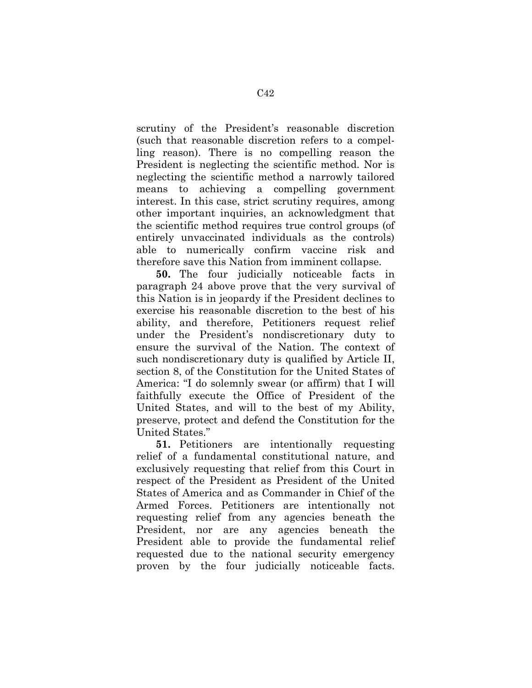scrutiny of the President's reasonable discretion (such that reasonable discretion refers to a compelling reason). There is no compelling reason the President is neglecting the scientific method. Nor is neglecting the scientific method a narrowly tailored means to achieving a compelling government interest. In this case, strict scrutiny requires, among other important inquiries, an acknowledgment that the scientific method requires true control groups (of entirely unvaccinated individuals as the controls) able to numerically confirm vaccine risk and therefore save this Nation from imminent collapse.

**50.** The four judicially noticeable facts in paragraph 24 above prove that the very survival of this Nation is in jeopardy if the President declines to exercise his reasonable discretion to the best of his ability, and therefore, Petitioners request relief under the President's nondiscretionary duty to ensure the survival of the Nation. The context of such nondiscretionary duty is qualified by Article II, section 8, of the Constitution for the United States of America: "I do solemnly swear (or affirm) that I will faithfully execute the Office of President of the United States, and will to the best of my Ability, preserve, protect and defend the Constitution for the United States."

**51.** Petitioners are intentionally requesting relief of a fundamental constitutional nature, and exclusively requesting that relief from this Court in respect of the President as President of the United States of America and as Commander in Chief of the Armed Forces. Petitioners are intentionally not requesting relief from any agencies beneath the President, nor are any agencies beneath the President able to provide the fundamental relief requested due to the national security emergency proven by the four judicially noticeable facts.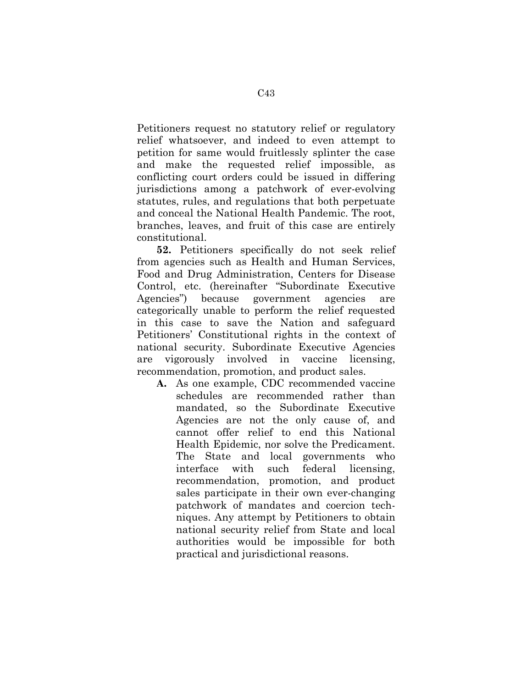Petitioners request no statutory relief or regulatory relief whatsoever, and indeed to even attempt to petition for same would fruitlessly splinter the case and make the requested relief impossible, as conflicting court orders could be issued in differing jurisdictions among a patchwork of ever-evolving statutes, rules, and regulations that both perpetuate and conceal the National Health Pandemic. The root, branches, leaves, and fruit of this case are entirely constitutional.

**52.** Petitioners specifically do not seek relief from agencies such as Health and Human Services, Food and Drug Administration, Centers for Disease Control, etc. (hereinafter "Subordinate Executive Agencies") because government agencies are categorically unable to perform the relief requested in this case to save the Nation and safeguard Petitioners' Constitutional rights in the context of national security. Subordinate Executive Agencies are vigorously involved in vaccine licensing, recommendation, promotion, and product sales.

**A.** As one example, CDC recommended vaccine schedules are recommended rather than mandated, so the Subordinate Executive Agencies are not the only cause of, and cannot offer relief to end this National Health Epidemic, nor solve the Predicament. The State and local governments who interface with such federal licensing, recommendation, promotion, and product sales participate in their own ever-changing patchwork of mandates and coercion techniques. Any attempt by Petitioners to obtain national security relief from State and local authorities would be impossible for both practical and jurisdictional reasons.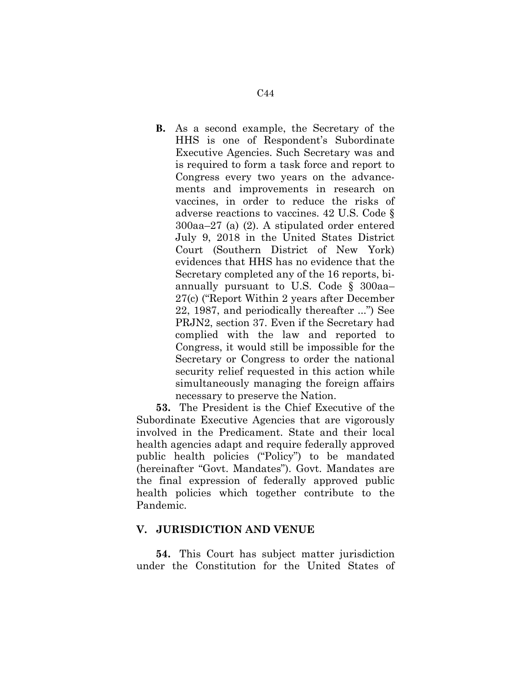**B.** As a second example, the Secretary of the HHS is one of Respondent's Subordinate Executive Agencies. Such Secretary was and is required to form a task force and report to Congress every two years on the advancements and improvements in research on vaccines, in order to reduce the risks of adverse reactions to vaccines. 42 U.S. Code § 300aa–27 (a) (2). A stipulated order entered July 9, 2018 in the United States District Court (Southern District of New York) evidences that HHS has no evidence that the Secretary completed any of the 16 reports, biannually pursuant to U.S. Code § 300aa– 27(c) ("Report Within 2 years after December 22, 1987, and periodically thereafter ...") See PRJN2, section 37. Even if the Secretary had complied with the law and reported to Congress, it would still be impossible for the Secretary or Congress to order the national security relief requested in this action while simultaneously managing the foreign affairs necessary to preserve the Nation.

**53.** The President is the Chief Executive of the Subordinate Executive Agencies that are vigorously involved in the Predicament. State and their local health agencies adapt and require federally approved public health policies ("Policy") to be mandated (hereinafter "Govt. Mandates"). Govt. Mandates are the final expression of federally approved public health policies which together contribute to the Pandemic.

#### **V. JURISDICTION AND VENUE**

**54.** This Court has subject matter jurisdiction under the Constitution for the United States of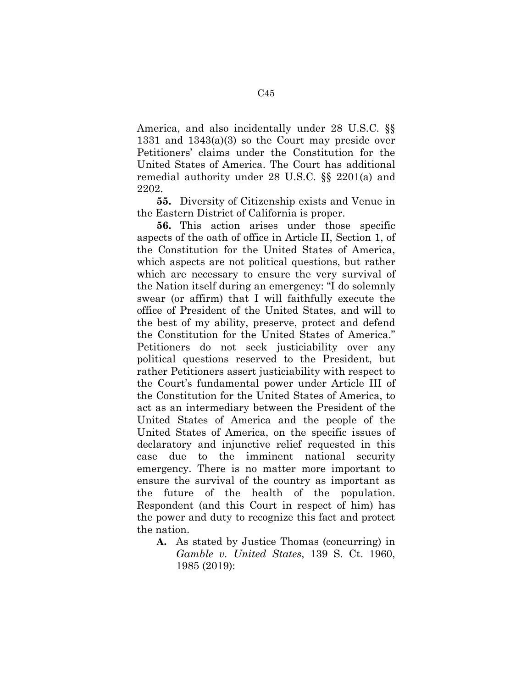America, and also incidentally under 28 U.S.C. §§ 1331 and 1343(a)(3) so the Court may preside over Petitioners' claims under the Constitution for the United States of America. The Court has additional remedial authority under 28 U.S.C. §§ 2201(a) and 2202.

**55.** Diversity of Citizenship exists and Venue in the Eastern District of California is proper.

**56.** This action arises under those specific aspects of the oath of office in Article II, Section 1, of the Constitution for the United States of America, which aspects are not political questions, but rather which are necessary to ensure the very survival of the Nation itself during an emergency: "I do solemnly swear (or affirm) that I will faithfully execute the office of President of the United States, and will to the best of my ability, preserve, protect and defend the Constitution for the United States of America." Petitioners do not seek justiciability over any political questions reserved to the President, but rather Petitioners assert justiciability with respect to the Court's fundamental power under Article III of the Constitution for the United States of America, to act as an intermediary between the President of the United States of America and the people of the United States of America, on the specific issues of declaratory and injunctive relief requested in this case due to the imminent national security emergency. There is no matter more important to ensure the survival of the country as important as the future of the health of the population. Respondent (and this Court in respect of him) has the power and duty to recognize this fact and protect the nation.

**A.** As stated by Justice Thomas (concurring) in *Gamble v. United States*, 139 S. Ct. 1960, 1985 (2019):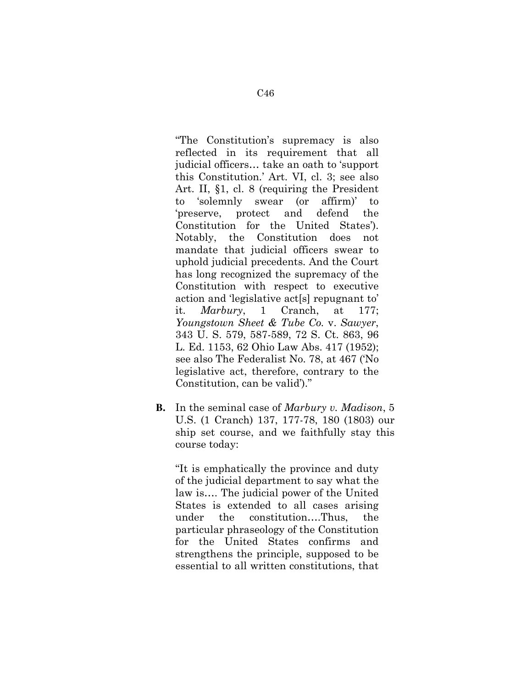"The Constitution's supremacy is also reflected in its requirement that all judicial officers… take an oath to 'support this Constitution.' Art. VI, cl. 3; see also Art. II, §1, cl. 8 (requiring the President to 'solemnly swear (or affirm)' to 'preserve, protect and defend the Constitution for the United States'). Notably, the Constitution does not mandate that judicial officers swear to uphold judicial precedents. And the Court has long recognized the supremacy of the Constitution with respect to executive action and 'legislative act[s] repugnant to' it. *Marbury*, 1 Cranch, at 177; *Youngstown Sheet & Tube Co.* v. *Sawyer*, 343 U. S. 579, 587-589, 72 S. Ct. 863, 96 L. Ed. 1153, 62 Ohio Law Abs. 417 (1952); see also The Federalist No. 78, at 467 ('No legislative act, therefore, contrary to the Constitution, can be valid')."

**B.** In the seminal case of *Marbury v. Madison*, 5 U.S. (1 Cranch) 137, 177-78, 180 (1803) our ship set course, and we faithfully stay this course today:

"It is emphatically the province and duty of the judicial department to say what the law is…. The judicial power of the United States is extended to all cases arising under the constitution….Thus, the particular phraseology of the Constitution for the United States confirms and strengthens the principle, supposed to be essential to all written constitutions, that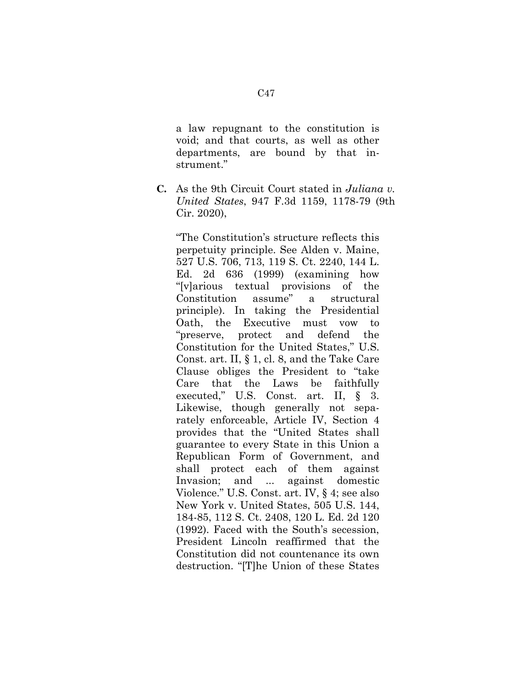a law repugnant to the constitution is void; and that courts, as well as other departments, are bound by that instrument."

**C.** As the 9th Circuit Court stated in *Juliana v. United States*, 947 F.3d 1159, 1178-79 (9th Cir. 2020),

"The Constitution's structure reflects this perpetuity principle. See Alden v. Maine, 527 U.S. 706, 713, 119 S. Ct. 2240, 144 L. Ed. 2d 636 (1999) (examining how "[v]arious textual provisions of the Constitution assume" a structural principle). In taking the Presidential Oath, the Executive must vow to "preserve, protect and defend the Constitution for the United States," U.S. Const. art. II, § 1, cl. 8, and the Take Care Clause obliges the President to "take Care that the Laws be faithfully executed," U.S. Const. art. II, § 3. Likewise, though generally not separately enforceable, Article IV, Section 4 provides that the "United States shall guarantee to every State in this Union a Republican Form of Government, and shall protect each of them against Invasion; and ... against domestic Violence." U.S. Const. art. IV, § 4; see also New York v. United States, 505 U.S. 144, 184-85, 112 S. Ct. 2408, 120 L. Ed. 2d 120 (1992). Faced with the South's secession, President Lincoln reaffirmed that the Constitution did not countenance its own destruction. "[T]he Union of these States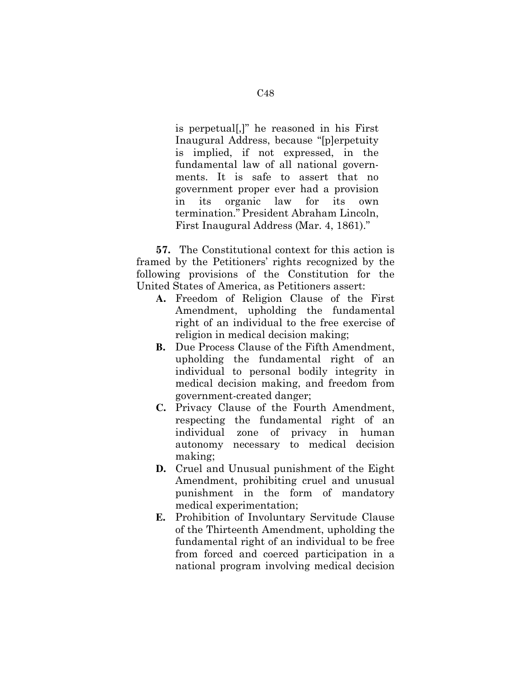is perpetual[,]" he reasoned in his First Inaugural Address, because "[p]erpetuity is implied, if not expressed, in the fundamental law of all national governments. It is safe to assert that no government proper ever had a provision in its organic law for its own termination." President Abraham Lincoln, First Inaugural Address (Mar. 4, 1861)."

**57.** The Constitutional context for this action is framed by the Petitioners' rights recognized by the following provisions of the Constitution for the United States of America, as Petitioners assert:

- **A.** Freedom of Religion Clause of the First Amendment, upholding the fundamental right of an individual to the free exercise of religion in medical decision making;
- **B.** Due Process Clause of the Fifth Amendment, upholding the fundamental right of an individual to personal bodily integrity in medical decision making, and freedom from government-created danger;
- **C.** Privacy Clause of the Fourth Amendment, respecting the fundamental right of an individual zone of privacy in human autonomy necessary to medical decision making;
- **D.** Cruel and Unusual punishment of the Eight Amendment, prohibiting cruel and unusual punishment in the form of mandatory medical experimentation;
- **E.** Prohibition of Involuntary Servitude Clause of the Thirteenth Amendment, upholding the fundamental right of an individual to be free from forced and coerced participation in a national program involving medical decision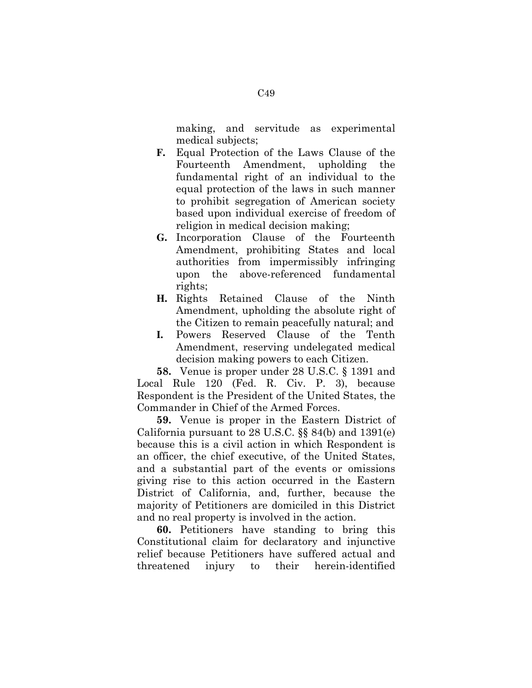making, and servitude as experimental medical subjects;

- **F.** Equal Protection of the Laws Clause of the Fourteenth Amendment, upholding the fundamental right of an individual to the equal protection of the laws in such manner to prohibit segregation of American society based upon individual exercise of freedom of religion in medical decision making;
- **G.** Incorporation Clause of the Fourteenth Amendment, prohibiting States and local authorities from impermissibly infringing upon the above-referenced fundamental rights;
- **H.** Rights Retained Clause of the Ninth Amendment, upholding the absolute right of the Citizen to remain peacefully natural; and
- **I.** Powers Reserved Clause of the Tenth Amendment, reserving undelegated medical decision making powers to each Citizen.

**58.** Venue is proper under 28 U.S.C. § 1391 and Local Rule 120 (Fed. R. Civ. P. 3), because Respondent is the President of the United States, the Commander in Chief of the Armed Forces.

**59.** Venue is proper in the Eastern District of California pursuant to 28 U.S.C. §§ 84(b) and 1391(e) because this is a civil action in which Respondent is an officer, the chief executive, of the United States, and a substantial part of the events or omissions giving rise to this action occurred in the Eastern District of California, and, further, because the majority of Petitioners are domiciled in this District and no real property is involved in the action.

**60.** Petitioners have standing to bring this Constitutional claim for declaratory and injunctive relief because Petitioners have suffered actual and threatened injury to their herein-identified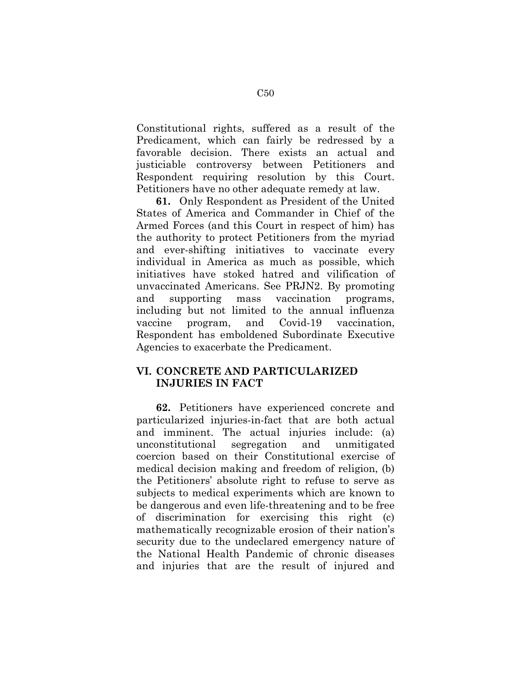Constitutional rights, suffered as a result of the Predicament, which can fairly be redressed by a favorable decision. There exists an actual and justiciable controversy between Petitioners and Respondent requiring resolution by this Court. Petitioners have no other adequate remedy at law.

**61.** Only Respondent as President of the United States of America and Commander in Chief of the Armed Forces (and this Court in respect of him) has the authority to protect Petitioners from the myriad and ever-shifting initiatives to vaccinate every individual in America as much as possible, which initiatives have stoked hatred and vilification of unvaccinated Americans. See PRJN2. By promoting and supporting mass vaccination programs, including but not limited to the annual influenza vaccine program, and Covid-19 vaccination, Respondent has emboldened Subordinate Executive Agencies to exacerbate the Predicament.

# **VI. CONCRETE AND PARTICULARIZED INJURIES IN FACT**

**62.** Petitioners have experienced concrete and particularized injuries-in-fact that are both actual and imminent. The actual injuries include: (a) unconstitutional segregation and unmitigated coercion based on their Constitutional exercise of medical decision making and freedom of religion, (b) the Petitioners' absolute right to refuse to serve as subjects to medical experiments which are known to be dangerous and even life-threatening and to be free of discrimination for exercising this right (c) mathematically recognizable erosion of their nation's security due to the undeclared emergency nature of the National Health Pandemic of chronic diseases and injuries that are the result of injured and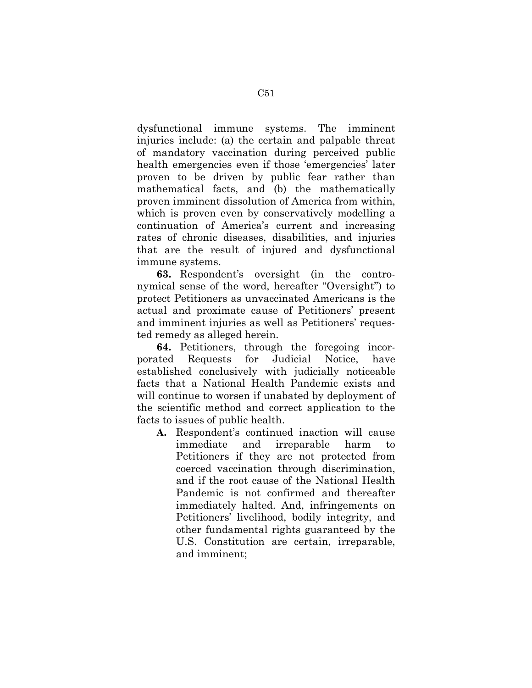dysfunctional immune systems. The imminent injuries include: (a) the certain and palpable threat of mandatory vaccination during perceived public health emergencies even if those 'emergencies' later proven to be driven by public fear rather than mathematical facts, and (b) the mathematically proven imminent dissolution of America from within, which is proven even by conservatively modelling a continuation of America's current and increasing rates of chronic diseases, disabilities, and injuries that are the result of injured and dysfunctional immune systems.

**63.** Respondent's oversight (in the contronymical sense of the word, hereafter "Oversight") to protect Petitioners as unvaccinated Americans is the actual and proximate cause of Petitioners' present and imminent injuries as well as Petitioners' requested remedy as alleged herein.

**64.** Petitioners, through the foregoing incorporated Requests for Judicial Notice, have established conclusively with judicially noticeable facts that a National Health Pandemic exists and will continue to worsen if unabated by deployment of the scientific method and correct application to the facts to issues of public health.

**A.** Respondent's continued inaction will cause immediate and irreparable harm to Petitioners if they are not protected from coerced vaccination through discrimination, and if the root cause of the National Health Pandemic is not confirmed and thereafter immediately halted. And, infringements on Petitioners' livelihood, bodily integrity, and other fundamental rights guaranteed by the U.S. Constitution are certain, irreparable, and imminent;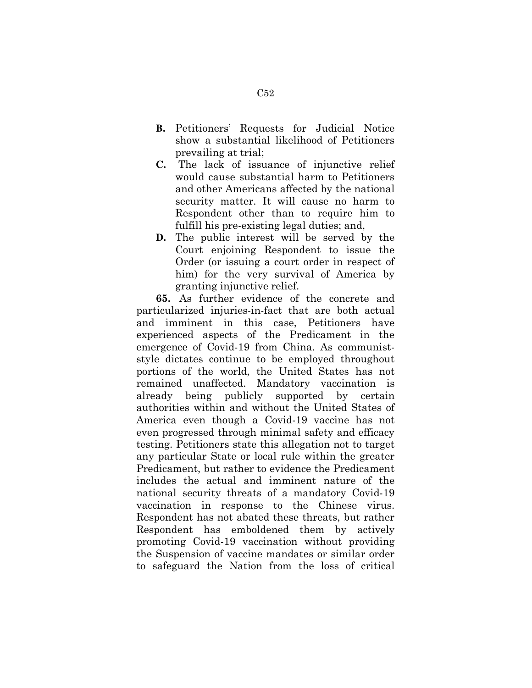- **B.** Petitioners' Requests for Judicial Notice show a substantial likelihood of Petitioners prevailing at trial;
- **C.** The lack of issuance of injunctive relief would cause substantial harm to Petitioners and other Americans affected by the national security matter. It will cause no harm to Respondent other than to require him to fulfill his pre-existing legal duties; and,
- **D.** The public interest will be served by the Court enjoining Respondent to issue the Order (or issuing a court order in respect of him) for the very survival of America by granting injunctive relief.

**65.** As further evidence of the concrete and particularized injuries-in-fact that are both actual and imminent in this case, Petitioners have experienced aspects of the Predicament in the emergence of Covid-19 from China. As communiststyle dictates continue to be employed throughout portions of the world, the United States has not remained unaffected. Mandatory vaccination is already being publicly supported by certain authorities within and without the United States of America even though a Covid-19 vaccine has not even progressed through minimal safety and efficacy testing. Petitioners state this allegation not to target any particular State or local rule within the greater Predicament, but rather to evidence the Predicament includes the actual and imminent nature of the national security threats of a mandatory Covid-19 vaccination in response to the Chinese virus. Respondent has not abated these threats, but rather Respondent has emboldened them by actively promoting Covid-19 vaccination without providing the Suspension of vaccine mandates or similar order to safeguard the Nation from the loss of critical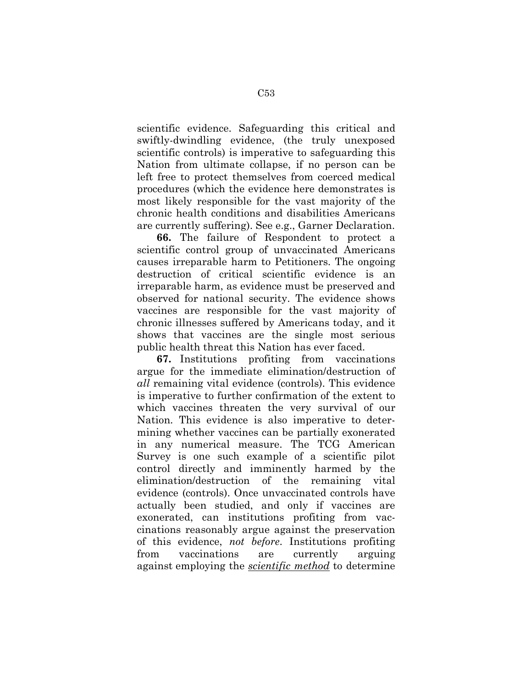scientific evidence. Safeguarding this critical and swiftly-dwindling evidence, (the truly unexposed scientific controls) is imperative to safeguarding this Nation from ultimate collapse, if no person can be left free to protect themselves from coerced medical procedures (which the evidence here demonstrates is most likely responsible for the vast majority of the chronic health conditions and disabilities Americans are currently suffering). See e.g., Garner Declaration.

**66.** The failure of Respondent to protect a scientific control group of unvaccinated Americans causes irreparable harm to Petitioners. The ongoing destruction of critical scientific evidence is an irreparable harm, as evidence must be preserved and observed for national security. The evidence shows vaccines are responsible for the vast majority of chronic illnesses suffered by Americans today, and it shows that vaccines are the single most serious public health threat this Nation has ever faced.

**67.** Institutions profiting from vaccinations argue for the immediate elimination/destruction of *all* remaining vital evidence (controls). This evidence is imperative to further confirmation of the extent to which vaccines threaten the very survival of our Nation. This evidence is also imperative to determining whether vaccines can be partially exonerated in any numerical measure. The TCG American Survey is one such example of a scientific pilot control directly and imminently harmed by the elimination/destruction of the remaining vital evidence (controls). Once unvaccinated controls have actually been studied, and only if vaccines are exonerated, can institutions profiting from vaccinations reasonably argue against the preservation of this evidence, *not before*. Institutions profiting from vaccinations are currently arguing against employing the *scientific method* to determine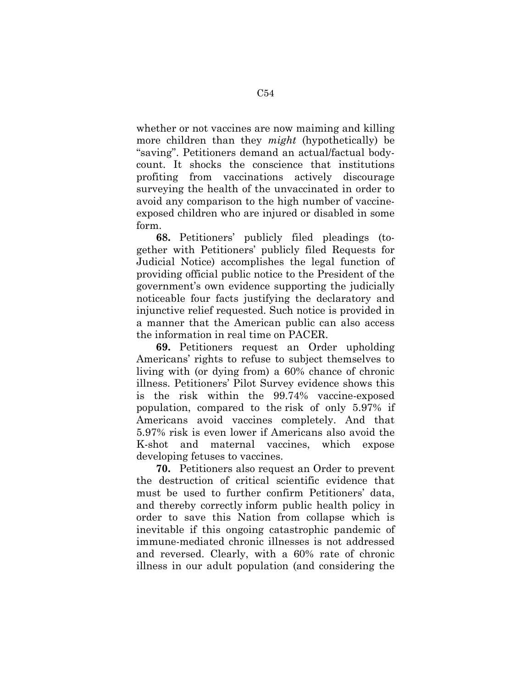whether or not vaccines are now maiming and killing more children than they *might* (hypothetically) be "saving". Petitioners demand an actual/factual bodycount. It shocks the conscience that institutions profiting from vaccinations actively discourage surveying the health of the unvaccinated in order to avoid any comparison to the high number of vaccineexposed children who are injured or disabled in some form.

**68.** Petitioners' publicly filed pleadings (together with Petitioners' publicly filed Requests for Judicial Notice) accomplishes the legal function of providing official public notice to the President of the government's own evidence supporting the judicially noticeable four facts justifying the declaratory and injunctive relief requested. Such notice is provided in a manner that the American public can also access the information in real time on PACER.

**69.** Petitioners request an Order upholding Americans' rights to refuse to subject themselves to living with (or dying from) a 60% chance of chronic illness. Petitioners' Pilot Survey evidence shows this is the risk within the 99.74% vaccine-exposed population, compared to the risk of only 5.97% if Americans avoid vaccines completely. And that 5.97% risk is even lower if Americans also avoid the K-shot and maternal vaccines, which expose developing fetuses to vaccines.

**70.** Petitioners also request an Order to prevent the destruction of critical scientific evidence that must be used to further confirm Petitioners' data, and thereby correctly inform public health policy in order to save this Nation from collapse which is inevitable if this ongoing catastrophic pandemic of immune-mediated chronic illnesses is not addressed and reversed. Clearly, with a 60% rate of chronic illness in our adult population (and considering the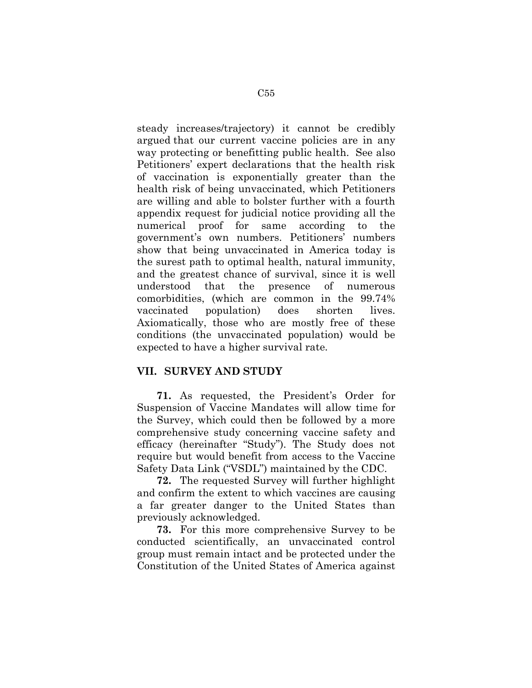steady increases/trajectory) it cannot be credibly argued that our current vaccine policies are in any way protecting or benefitting public health. See also Petitioners' expert declarations that the health risk of vaccination is exponentially greater than the health risk of being unvaccinated, which Petitioners are willing and able to bolster further with a fourth appendix request for judicial notice providing all the numerical proof for same according to the government's own numbers. Petitioners' numbers show that being unvaccinated in America today is the surest path to optimal health, natural immunity, and the greatest chance of survival, since it is well understood that the presence of numerous comorbidities, (which are common in the 99.74% vaccinated population) does shorten lives. Axiomatically, those who are mostly free of these conditions (the unvaccinated population) would be expected to have a higher survival rate.

#### **VII. SURVEY AND STUDY**

**71.** As requested, the President's Order for Suspension of Vaccine Mandates will allow time for the Survey, which could then be followed by a more comprehensive study concerning vaccine safety and efficacy (hereinafter "Study"). The Study does not require but would benefit from access to the Vaccine Safety Data Link ("VSDL") maintained by the CDC.

**72.** The requested Survey will further highlight and confirm the extent to which vaccines are causing a far greater danger to the United States than previously acknowledged.

**73.** For this more comprehensive Survey to be conducted scientifically, an unvaccinated control group must remain intact and be protected under the Constitution of the United States of America against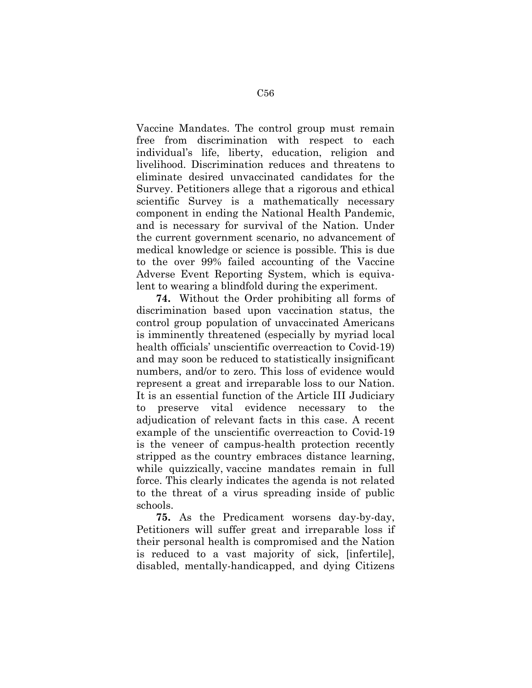Vaccine Mandates. The control group must remain free from discrimination with respect to each individual's life, liberty, education, religion and livelihood. Discrimination reduces and threatens to eliminate desired unvaccinated candidates for the Survey. Petitioners allege that a rigorous and ethical scientific Survey is a mathematically necessary component in ending the National Health Pandemic, and is necessary for survival of the Nation. Under the current government scenario, no advancement of medical knowledge or science is possible. This is due to the over 99% failed accounting of the Vaccine Adverse Event Reporting System, which is equivalent to wearing a blindfold during the experiment.

**74.** Without the Order prohibiting all forms of discrimination based upon vaccination status, the control group population of unvaccinated Americans is imminently threatened (especially by myriad local health officials' unscientific overreaction to Covid-19) and may soon be reduced to statistically insignificant numbers, and/or to zero. This loss of evidence would represent a great and irreparable loss to our Nation. It is an essential function of the Article III Judiciary to preserve vital evidence necessary to the adjudication of relevant facts in this case. A recent example of the unscientific overreaction to Covid-19 is the veneer of campus-health protection recently stripped as the country embraces distance learning, while quizzically, vaccine mandates remain in full force. This clearly indicates the agenda is not related to the threat of a virus spreading inside of public schools.

**75.** As the Predicament worsens day-by-day, Petitioners will suffer great and irreparable loss if their personal health is compromised and the Nation is reduced to a vast majority of sick, [infertile], disabled, mentally-handicapped, and dying Citizens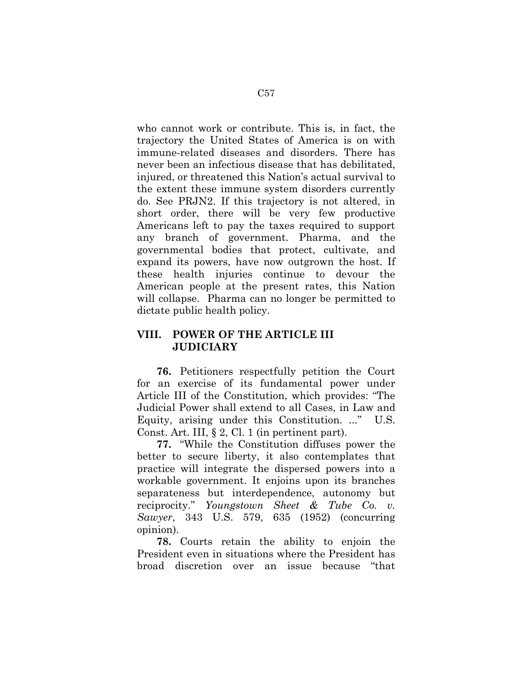who cannot work or contribute. This is, in fact, the trajectory the United States of America is on with immune-related diseases and disorders. There has never been an infectious disease that has debilitated, injured, or threatened this Nation's actual survival to the extent these immune system disorders currently do. See PRJN2. If this trajectory is not altered, in short order, there will be very few productive Americans left to pay the taxes required to support any branch of government. Pharma, and the governmental bodies that protect, cultivate, and expand its powers, have now outgrown the host. If these health injuries continue to devour the American people at the present rates, this Nation will collapse. Pharma can no longer be permitted to dictate public health policy.

# **VIII. POWER OF THE ARTICLE III JUDICIARY**

**76.** Petitioners respectfully petition the Court for an exercise of its fundamental power under Article III of the Constitution, which provides: "The Judicial Power shall extend to all Cases, in Law and Equity, arising under this Constitution. ..." U.S. Const. Art. III, § 2, Cl. 1 (in pertinent part).

**77.** "While the Constitution diffuses power the better to secure liberty, it also contemplates that practice will integrate the dispersed powers into a workable government. It enjoins upon its branches separateness but interdependence, autonomy but reciprocity." *Youngstown Sheet & Tube Co. v. Sawyer*, 343 U.S. 579, 635 (1952) (concurring opinion).

**78.** Courts retain the ability to enjoin the President even in situations where the President has broad discretion over an issue because "that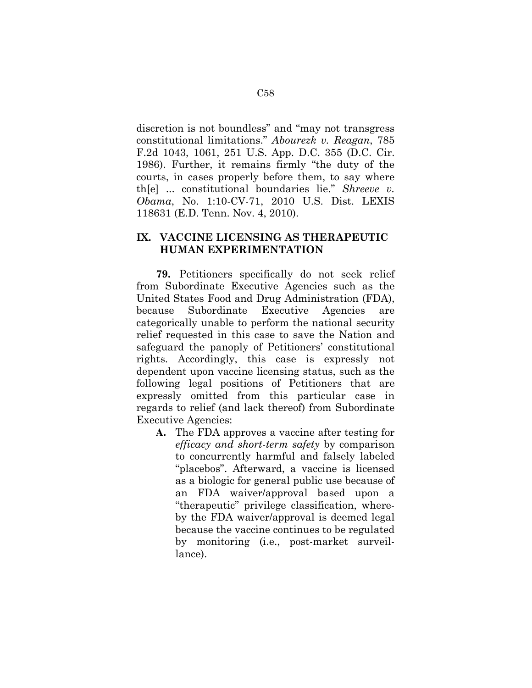discretion is not boundless" and "may not transgress constitutional limitations." *Abourezk v. Reagan*, 785 F.2d 1043, 1061, 251 U.S. App. D.C. 355 (D.C. Cir. 1986). Further, it remains firmly "the duty of the courts, in cases properly before them, to say where th[e] ... constitutional boundaries lie." *Shreeve v. Obama*, No. 1:10-CV-71, 2010 U.S. Dist. LEXIS 118631 (E.D. Tenn. Nov. 4, 2010).

### **IX. VACCINE LICENSING AS THERAPEUTIC HUMAN EXPERIMENTATION**

**79.** Petitioners specifically do not seek relief from Subordinate Executive Agencies such as the United States Food and Drug Administration (FDA), because Subordinate Executive Agencies are categorically unable to perform the national security relief requested in this case to save the Nation and safeguard the panoply of Petitioners' constitutional rights. Accordingly, this case is expressly not dependent upon vaccine licensing status, such as the following legal positions of Petitioners that are expressly omitted from this particular case in regards to relief (and lack thereof) from Subordinate Executive Agencies:

**A.** The FDA approves a vaccine after testing for *efficacy and short-term safety* by comparison to concurrently harmful and falsely labeled "placebos". Afterward, a vaccine is licensed as a biologic for general public use because of an FDA waiver/approval based upon a "therapeutic" privilege classification, whereby the FDA waiver/approval is deemed legal because the vaccine continues to be regulated by monitoring (i.e., post-market surveillance).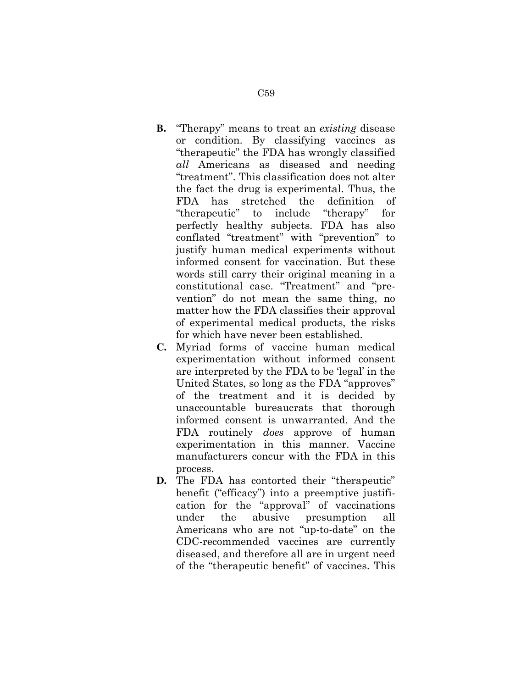- **B.** "Therapy" means to treat an *existing* disease or condition. By classifying vaccines as "therapeutic" the FDA has wrongly classified *all* Americans as diseased and needing "treatment". This classification does not alter the fact the drug is experimental. Thus, the FDA has stretched the definition of "therapeutic" to include "therapy" for perfectly healthy subjects. FDA has also conflated "treatment" with "prevention" to justify human medical experiments without informed consent for vaccination. But these words still carry their original meaning in a constitutional case. "Treatment" and "prevention" do not mean the same thing, no matter how the FDA classifies their approval of experimental medical products, the risks for which have never been established.
- **C.** Myriad forms of vaccine human medical experimentation without informed consent are interpreted by the FDA to be 'legal' in the United States, so long as the FDA "approves" of the treatment and it is decided by unaccountable bureaucrats that thorough informed consent is unwarranted. And the FDA routinely *does* approve of human experimentation in this manner. Vaccine manufacturers concur with the FDA in this process.
- **D.** The FDA has contorted their "therapeutic" benefit ("efficacy") into a preemptive justification for the "approval" of vaccinations under the abusive presumption all Americans who are not "up-to-date" on the CDC-recommended vaccines are currently diseased, and therefore all are in urgent need of the "therapeutic benefit" of vaccines. This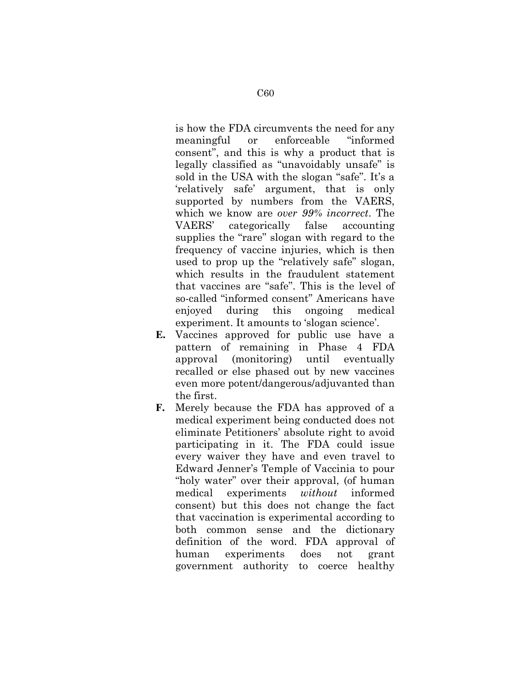is how the FDA circumvents the need for any meaningful or enforceable "informed consent", and this is why a product that is legally classified as "unavoidably unsafe" is sold in the USA with the slogan "safe". It's a 'relatively safe' argument, that is only supported by numbers from the VAERS, which we know are *over 99% incorrect*. The VAERS' categorically false accounting supplies the "rare" slogan with regard to the frequency of vaccine injuries, which is then used to prop up the "relatively safe" slogan, which results in the fraudulent statement that vaccines are "safe". This is the level of so-called "informed consent" Americans have enjoyed during this ongoing medical experiment. It amounts to 'slogan science'.

- **E.** Vaccines approved for public use have a pattern of remaining in Phase 4 FDA approval (monitoring) until eventually recalled or else phased out by new vaccines even more potent/dangerous/adjuvanted than the first.
- **F.** Merely because the FDA has approved of a medical experiment being conducted does not eliminate Petitioners' absolute right to avoid participating in it. The FDA could issue every waiver they have and even travel to Edward Jenner's Temple of Vaccinia to pour "holy water" over their approval, (of human medical experiments *without* informed consent) but this does not change the fact that vaccination is experimental according to both common sense and the dictionary definition of the word. FDA approval of human experiments does not grant government authority to coerce healthy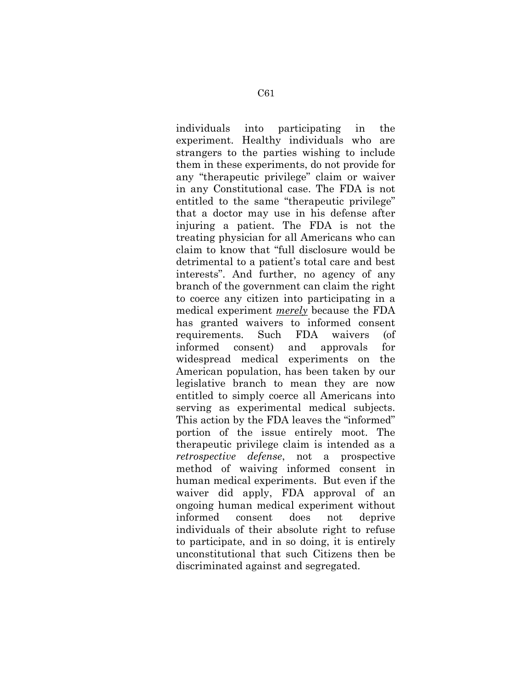individuals into participating in the experiment. Healthy individuals who are strangers to the parties wishing to include them in these experiments, do not provide for any "therapeutic privilege" claim or waiver in any Constitutional case. The FDA is not entitled to the same "therapeutic privilege" that a doctor may use in his defense after injuring a patient. The FDA is not the treating physician for all Americans who can claim to know that "full disclosure would be detrimental to a patient's total care and best interests". And further, no agency of any branch of the government can claim the right to coerce any citizen into participating in a medical experiment *merely* because the FDA has granted waivers to informed consent requirements. Such FDA waivers (of informed consent) and approvals for widespread medical experiments on the American population, has been taken by our legislative branch to mean they are now entitled to simply coerce all Americans into serving as experimental medical subjects. This action by the FDA leaves the "informed" portion of the issue entirely moot. The therapeutic privilege claim is intended as a *retrospective defense*, not a prospective method of waiving informed consent in human medical experiments. But even if the waiver did apply, FDA approval of an ongoing human medical experiment without informed consent does not deprive individuals of their absolute right to refuse to participate, and in so doing, it is entirely unconstitutional that such Citizens then be discriminated against and segregated.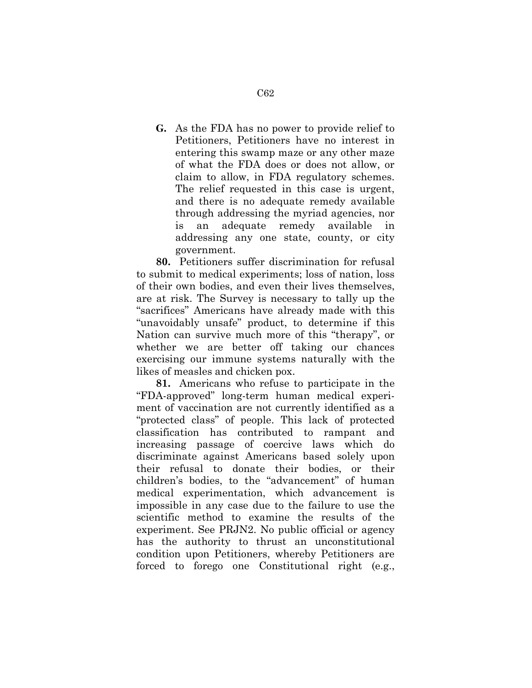**G.** As the FDA has no power to provide relief to Petitioners, Petitioners have no interest in entering this swamp maze or any other maze of what the FDA does or does not allow, or claim to allow, in FDA regulatory schemes. The relief requested in this case is urgent, and there is no adequate remedy available through addressing the myriad agencies, nor is an adequate remedy available in addressing any one state, county, or city government.

**80.** Petitioners suffer discrimination for refusal to submit to medical experiments; loss of nation, loss of their own bodies, and even their lives themselves, are at risk. The Survey is necessary to tally up the "sacrifices" Americans have already made with this "unavoidably unsafe" product, to determine if this Nation can survive much more of this "therapy", or whether we are better off taking our chances exercising our immune systems naturally with the likes of measles and chicken pox.

**81.** Americans who refuse to participate in the "FDA-approved" long-term human medical experiment of vaccination are not currently identified as a "protected class" of people. This lack of protected classification has contributed to rampant and increasing passage of coercive laws which do discriminate against Americans based solely upon their refusal to donate their bodies, or their children's bodies, to the "advancement" of human medical experimentation, which advancement is impossible in any case due to the failure to use the scientific method to examine the results of the experiment. See PRJN2. No public official or agency has the authority to thrust an unconstitutional condition upon Petitioners, whereby Petitioners are forced to forego one Constitutional right (e.g.,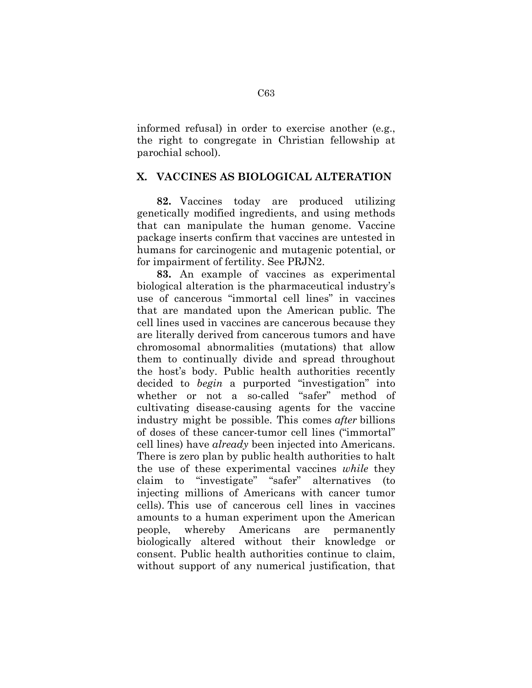informed refusal) in order to exercise another (e.g., the right to congregate in Christian fellowship at parochial school).

### **X. VACCINES AS BIOLOGICAL ALTERATION**

**82.** Vaccines today are produced utilizing genetically modified ingredients, and using methods that can manipulate the human genome. Vaccine package inserts confirm that vaccines are untested in humans for carcinogenic and mutagenic potential, or for impairment of fertility. See PRJN2.

**83.** An example of vaccines as experimental biological alteration is the pharmaceutical industry's use of cancerous "immortal cell lines" in vaccines that are mandated upon the American public. The cell lines used in vaccines are cancerous because they are literally derived from cancerous tumors and have chromosomal abnormalities (mutations) that allow them to continually divide and spread throughout the host's body. Public health authorities recently decided to *begin* a purported "investigation" into whether or not a so-called "safer" method of cultivating disease-causing agents for the vaccine industry might be possible. This comes *after* billions of doses of these cancer-tumor cell lines ("immortal" cell lines) have *already* been injected into Americans. There is zero plan by public health authorities to halt the use of these experimental vaccines *while* they claim to "investigate" "safer" alternatives (to injecting millions of Americans with cancer tumor cells). This use of cancerous cell lines in vaccines amounts to a human experiment upon the American people, whereby Americans are permanently biologically altered without their knowledge or consent. Public health authorities continue to claim, without support of any numerical justification, that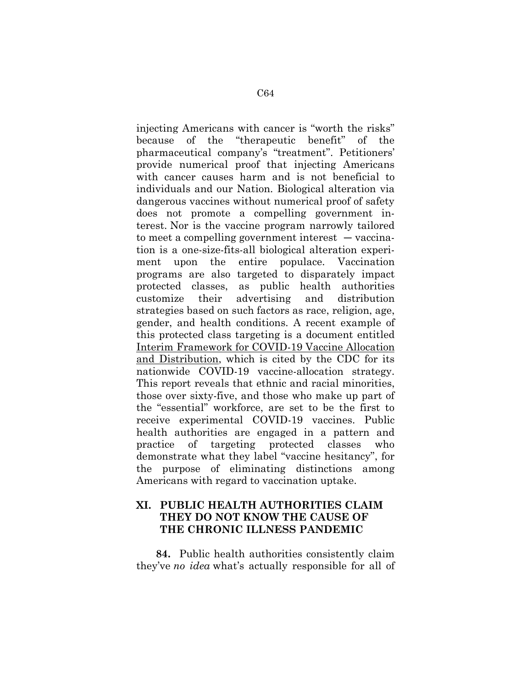injecting Americans with cancer is "worth the risks" because of the "therapeutic benefit" of the pharmaceutical company's "treatment". Petitioners' provide numerical proof that injecting Americans with cancer causes harm and is not beneficial to individuals and our Nation. Biological alteration via dangerous vaccines without numerical proof of safety does not promote a compelling government interest. Nor is the vaccine program narrowly tailored to meet a compelling government interest — vaccination is a one-size-fits-all biological alteration experiment upon the entire populace. Vaccination programs are also targeted to disparately impact protected classes, as public health authorities customize their advertising and distribution strategies based on such factors as race, religion, age, gender, and health conditions. A recent example of this protected class targeting is a document entitled Interim Framework for COVID-19 Vaccine Allocation and Distribution, which is cited by the CDC for its nationwide COVID-19 vaccine-allocation strategy. This report reveals that ethnic and racial minorities, those over sixty-five, and those who make up part of the "essential" workforce, are set to be the first to receive experimental COVID-19 vaccines. Public health authorities are engaged in a pattern and practice of targeting protected classes who demonstrate what they label "vaccine hesitancy", for the purpose of eliminating distinctions among Americans with regard to vaccination uptake.

### **XI. PUBLIC HEALTH AUTHORITIES CLAIM THEY DO NOT KNOW THE CAUSE OF THE CHRONIC ILLNESS PANDEMIC**

**84.** Public health authorities consistently claim they've *no idea* what's actually responsible for all of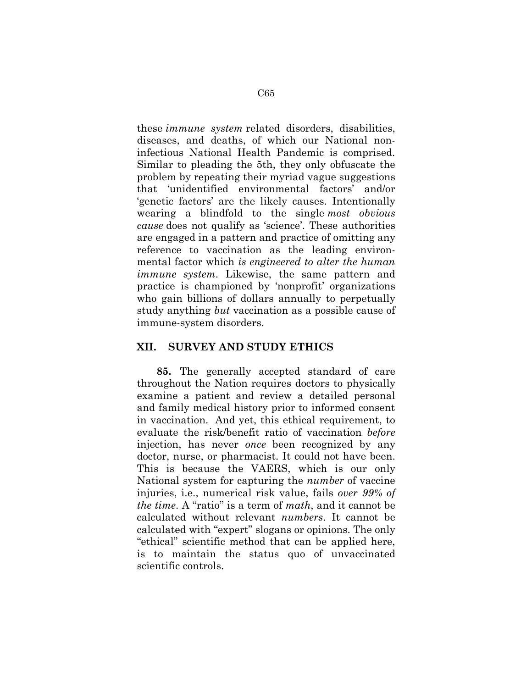these *immune system* related disorders, disabilities, diseases, and deaths, of which our National noninfectious National Health Pandemic is comprised. Similar to pleading the 5th, they only obfuscate the problem by repeating their myriad vague suggestions that 'unidentified environmental factors' and/or 'genetic factors' are the likely causes. Intentionally wearing a blindfold to the single *most obvious cause* does not qualify as 'science'. These authorities are engaged in a pattern and practice of omitting any reference to vaccination as the leading environmental factor which *is engineered to alter the human immune system*. Likewise, the same pattern and practice is championed by 'nonprofit' organizations who gain billions of dollars annually to perpetually study anything *but* vaccination as a possible cause of immune-system disorders.

#### **XII. SURVEY AND STUDY ETHICS**

**85.** The generally accepted standard of care throughout the Nation requires doctors to physically examine a patient and review a detailed personal and family medical history prior to informed consent in vaccination. And yet, this ethical requirement, to evaluate the risk/benefit ratio of vaccination *before* injection, has never *once* been recognized by any doctor, nurse, or pharmacist. It could not have been. This is because the VAERS, which is our only National system for capturing the *number* of vaccine injuries, i.e., numerical risk value, fails *over 99% of the time*. A "ratio" is a term of *math*, and it cannot be calculated without relevant *numbers*. It cannot be calculated with "expert" slogans or opinions. The only "ethical" scientific method that can be applied here, is to maintain the status quo of unvaccinated scientific controls.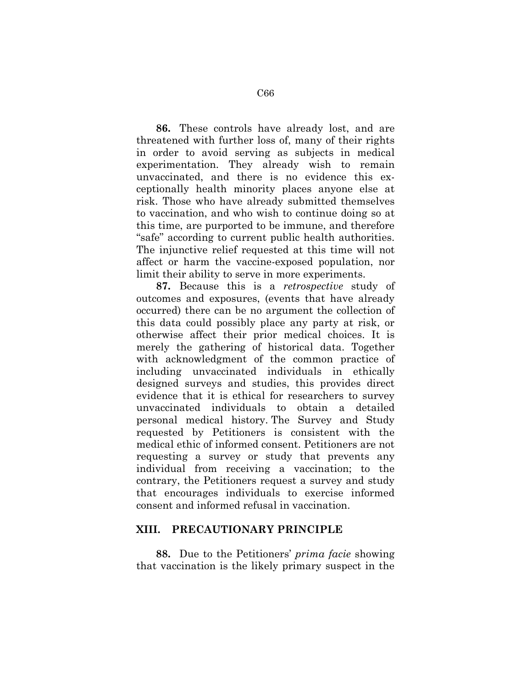**86.** These controls have already lost, and are threatened with further loss of, many of their rights in order to avoid serving as subjects in medical experimentation. They already wish to remain unvaccinated, and there is no evidence this exceptionally health minority places anyone else at risk. Those who have already submitted themselves to vaccination, and who wish to continue doing so at this time, are purported to be immune, and therefore "safe" according to current public health authorities. The injunctive relief requested at this time will not affect or harm the vaccine-exposed population, nor limit their ability to serve in more experiments.

**87.** Because this is a *retrospective* study of outcomes and exposures, (events that have already occurred) there can be no argument the collection of this data could possibly place any party at risk, or otherwise affect their prior medical choices. It is merely the gathering of historical data. Together with acknowledgment of the common practice of including unvaccinated individuals in ethically designed surveys and studies, this provides direct evidence that it is ethical for researchers to survey unvaccinated individuals to obtain a detailed personal medical history. The Survey and Study requested by Petitioners is consistent with the medical ethic of informed consent. Petitioners are not requesting a survey or study that prevents any individual from receiving a vaccination; to the contrary, the Petitioners request a survey and study that encourages individuals to exercise informed consent and informed refusal in vaccination.

#### **XIII. PRECAUTIONARY PRINCIPLE**

**88.** Due to the Petitioners' *prima facie* showing that vaccination is the likely primary suspect in the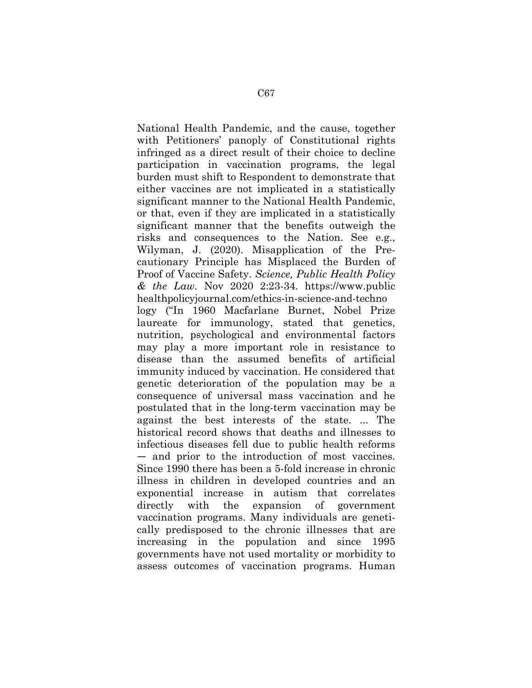National Health Pandemic, and the cause, together with Petitioners' panoply of Constitutional rights infringed as a direct result of their choice to decline participation in vaccination programs, the legal burden must shift to Respondent to demonstrate that either vaccines are not implicated in a statistically significant manner to the National Health Pandemic, or that, even if they are implicated in a statistically significant manner that the benefits outweigh the risks and consequences to the Nation. See e.g., Wilyman, J. (2020). Misapplication of the Precautionary Principle has Misplaced the Burden of Proof of Vaccine Safety. *Science, Public Health Policy & the Law.* Nov 2020 2:23-34. https://www.public healthpolicyjournal.com/ethics-in-science-and-techno logy ("In 1960 Macfarlane Burnet, Nobel Prize laureate for immunology, stated that genetics, nutrition, psychological and environmental factors may play a more important role in resistance to disease than the assumed benefits of artificial immunity induced by vaccination. He considered that genetic deterioration of the population may be a consequence of universal mass vaccination and he postulated that in the long-term vaccination may be against the best interests of the state. ... The historical record shows that deaths and illnesses to infectious diseases fell due to public health reforms — and prior to the introduction of most vaccines. Since 1990 there has been a 5-fold increase in chronic illness in children in developed countries and an exponential increase in autism that correlates directly with the expansion of government vaccination programs. Many individuals are genetically predisposed to the chronic illnesses that are increasing in the population and since 1995 governments have not used mortality or morbidity to assess outcomes of vaccination programs. Human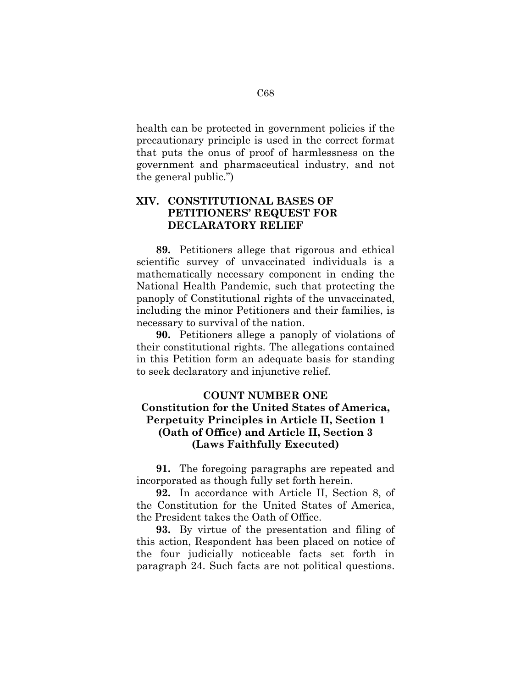health can be protected in government policies if the precautionary principle is used in the correct format that puts the onus of proof of harmlessness on the government and pharmaceutical industry, and not the general public.")

# **XIV. CONSTITUTIONAL BASES OF PETITIONERS' REQUEST FOR DECLARATORY RELIEF**

**89.** Petitioners allege that rigorous and ethical scientific survey of unvaccinated individuals is a mathematically necessary component in ending the National Health Pandemic, such that protecting the panoply of Constitutional rights of the unvaccinated, including the minor Petitioners and their families, is necessary to survival of the nation.

**90.** Petitioners allege a panoply of violations of their constitutional rights. The allegations contained in this Petition form an adequate basis for standing to seek declaratory and injunctive relief.

#### **COUNT NUMBER ONE**

### **Constitution for the United States of America, Perpetuity Principles in Article II, Section 1 (Oath of Office) and Article II, Section 3 (Laws Faithfully Executed)**

**91.** The foregoing paragraphs are repeated and incorporated as though fully set forth herein.

**92.** In accordance with Article II, Section 8, of the Constitution for the United States of America, the President takes the Oath of Office.

**93.** By virtue of the presentation and filing of this action, Respondent has been placed on notice of the four judicially noticeable facts set forth in paragraph 24. Such facts are not political questions.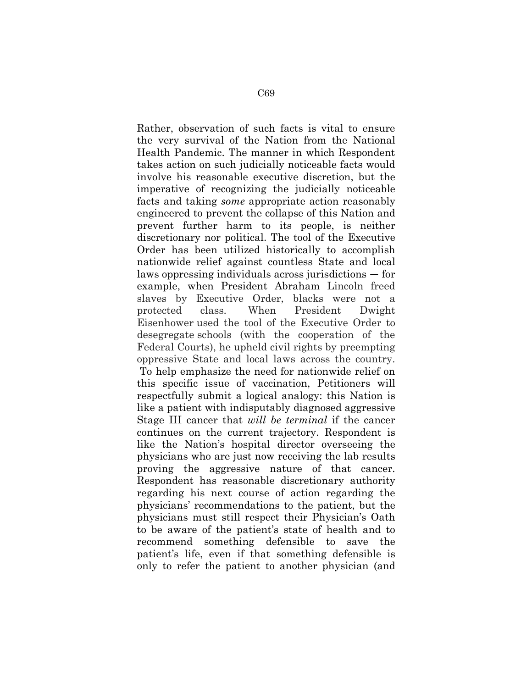Rather, observation of such facts is vital to ensure the very survival of the Nation from the National Health Pandemic. The manner in which Respondent takes action on such judicially noticeable facts would involve his reasonable executive discretion, but the imperative of recognizing the judicially noticeable facts and taking *some* appropriate action reasonably engineered to prevent the collapse of this Nation and prevent further harm to its people, is neither discretionary nor political. The tool of the Executive Order has been utilized historically to accomplish nationwide relief against countless State and local laws oppressing individuals across jurisdictions — for example, when President Abraham Lincoln freed slaves by Executive Order, blacks were not a protected class. When President Dwight Eisenhower used the tool of the Executive Order to desegregate schools (with the cooperation of the Federal Courts), he upheld civil rights by preempting oppressive State and local laws across the country. To help emphasize the need for nationwide relief on this specific issue of vaccination, Petitioners will respectfully submit a logical analogy: this Nation is like a patient with indisputably diagnosed aggressive Stage III cancer that *will be terminal* if the cancer continues on the current trajectory. Respondent is like the Nation's hospital director overseeing the physicians who are just now receiving the lab results proving the aggressive nature of that cancer. Respondent has reasonable discretionary authority regarding his next course of action regarding the physicians' recommendations to the patient, but the physicians must still respect their Physician's Oath to be aware of the patient's state of health and to recommend something defensible to save the patient's life, even if that something defensible is only to refer the patient to another physician (and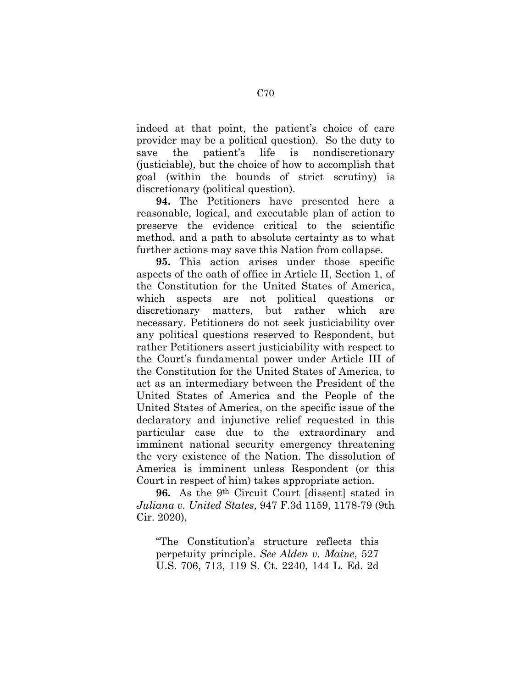indeed at that point, the patient's choice of care provider may be a political question). So the duty to save the patient's life is nondiscretionary (justiciable), but the choice of how to accomplish that goal (within the bounds of strict scrutiny) is discretionary (political question).

**94.** The Petitioners have presented here a reasonable, logical, and executable plan of action to preserve the evidence critical to the scientific method, and a path to absolute certainty as to what further actions may save this Nation from collapse.

**95.** This action arises under those specific aspects of the oath of office in Article II, Section 1, of the Constitution for the United States of America, which aspects are not political questions or discretionary matters, but rather which are necessary. Petitioners do not seek justiciability over any political questions reserved to Respondent, but rather Petitioners assert justiciability with respect to the Court's fundamental power under Article III of the Constitution for the United States of America, to act as an intermediary between the President of the United States of America and the People of the United States of America, on the specific issue of the declaratory and injunctive relief requested in this particular case due to the extraordinary and imminent national security emergency threatening the very existence of the Nation. The dissolution of America is imminent unless Respondent (or this Court in respect of him) takes appropriate action.

**96.** As the 9th Circuit Court [dissent] stated in *Juliana v. United States*, 947 F.3d 1159, 1178-79 (9th Cir. 2020),

"The Constitution's structure reflects this perpetuity principle. *See Alden v. Maine*, 527 U.S. 706, 713, 119 S. Ct. 2240, 144 L. Ed. 2d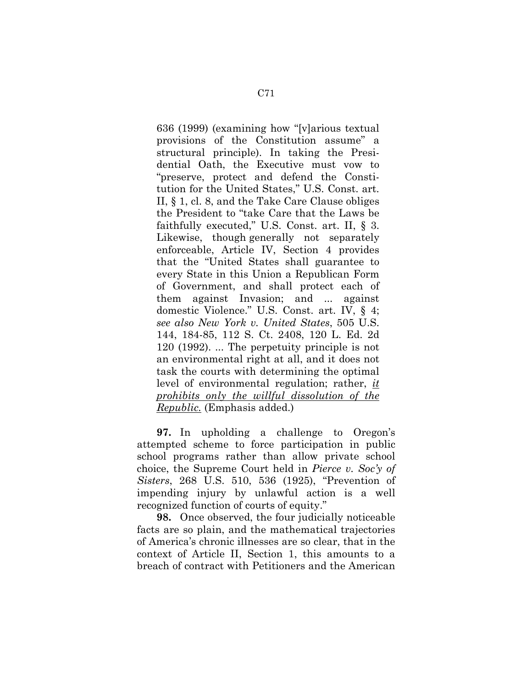636 (1999) (examining how "[v]arious textual provisions of the Constitution assume" a structural principle). In taking the Presidential Oath, the Executive must vow to "preserve, protect and defend the Constitution for the United States," U.S. Const. art. II, § 1, cl. 8, and the Take Care Clause obliges the President to "take Care that the Laws be faithfully executed," U.S. Const. art. II, § 3. Likewise, though generally not separately enforceable, Article IV, Section 4 provides that the "United States shall guarantee to every State in this Union a Republican Form of Government, and shall protect each of them against Invasion; and ... against domestic Violence." U.S. Const. art. IV, § 4; *see also New York v. United States*, 505 U.S. 144, 184-85, 112 S. Ct. 2408, 120 L. Ed. 2d 120 (1992). ... The perpetuity principle is not an environmental right at all, and it does not task the courts with determining the optimal level of environmental regulation; rather, *it prohibits only the willful dissolution of the Republic.* (Emphasis added.)

**97.** In upholding a challenge to Oregon's attempted scheme to force participation in public school programs rather than allow private school choice, the Supreme Court held in *Pierce v. Soc'y of Sisters*, 268 U.S. 510, 536 (1925), "Prevention of impending injury by unlawful action is a well recognized function of courts of equity."

**98.** Once observed, the four judicially noticeable facts are so plain, and the mathematical trajectories of America's chronic illnesses are so clear, that in the context of Article II, Section 1, this amounts to a breach of contract with Petitioners and the American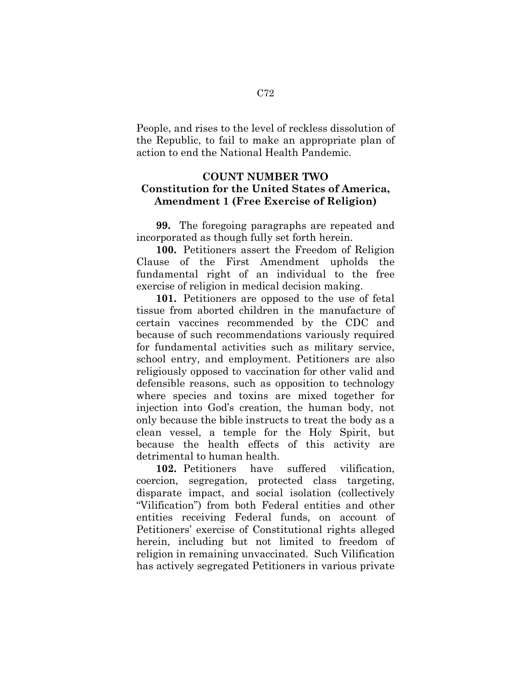People, and rises to the level of reckless dissolution of the Republic, to fail to make an appropriate plan of action to end the National Health Pandemic.

### **COUNT NUMBER TWO Constitution for the United States of America, Amendment 1 (Free Exercise of Religion)**

**99.** The foregoing paragraphs are repeated and incorporated as though fully set forth herein.

**100.** Petitioners assert the Freedom of Religion Clause of the First Amendment upholds the fundamental right of an individual to the free exercise of religion in medical decision making.

**101.** Petitioners are opposed to the use of fetal tissue from aborted children in the manufacture of certain vaccines recommended by the CDC and because of such recommendations variously required for fundamental activities such as military service, school entry, and employment. Petitioners are also religiously opposed to vaccination for other valid and defensible reasons, such as opposition to technology where species and toxins are mixed together for injection into God's creation, the human body, not only because the bible instructs to treat the body as a clean vessel, a temple for the Holy Spirit, but because the health effects of this activity are detrimental to human health.

**102.** Petitioners have suffered vilification, coercion, segregation, protected class targeting, disparate impact, and social isolation (collectively "Vilification") from both Federal entities and other entities receiving Federal funds, on account of Petitioners' exercise of Constitutional rights alleged herein, including but not limited to freedom of religion in remaining unvaccinated. Such Vilification has actively segregated Petitioners in various private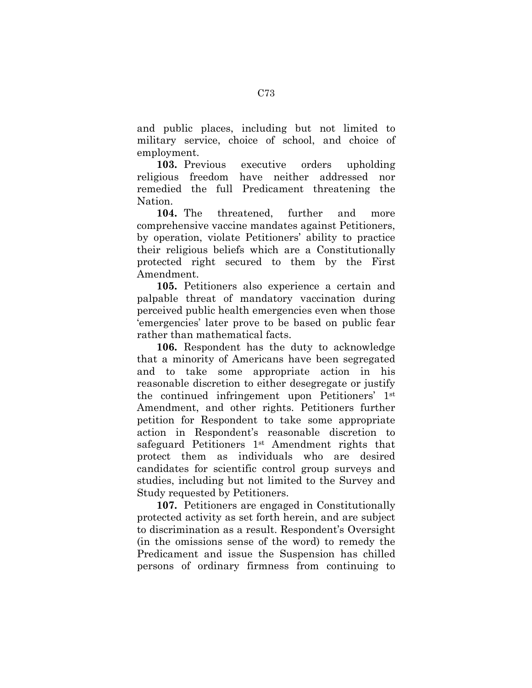and public places, including but not limited to military service, choice of school, and choice of employment.

**103.** Previous executive orders upholding religious freedom have neither addressed nor remedied the full Predicament threatening the Nation.

**104.** The threatened, further and more comprehensive vaccine mandates against Petitioners, by operation, violate Petitioners' ability to practice their religious beliefs which are a Constitutionally protected right secured to them by the First Amendment.

**105.** Petitioners also experience a certain and palpable threat of mandatory vaccination during perceived public health emergencies even when those 'emergencies' later prove to be based on public fear rather than mathematical facts.

**106.** Respondent has the duty to acknowledge that a minority of Americans have been segregated and to take some appropriate action in his reasonable discretion to either desegregate or justify the continued infringement upon Petitioners' 1st Amendment, and other rights. Petitioners further petition for Respondent to take some appropriate action in Respondent's reasonable discretion to safeguard Petitioners 1st Amendment rights that protect them as individuals who are desired candidates for scientific control group surveys and studies, including but not limited to the Survey and Study requested by Petitioners.

**107.** Petitioners are engaged in Constitutionally protected activity as set forth herein, and are subject to discrimination as a result. Respondent's Oversight (in the omissions sense of the word) to remedy the Predicament and issue the Suspension has chilled persons of ordinary firmness from continuing to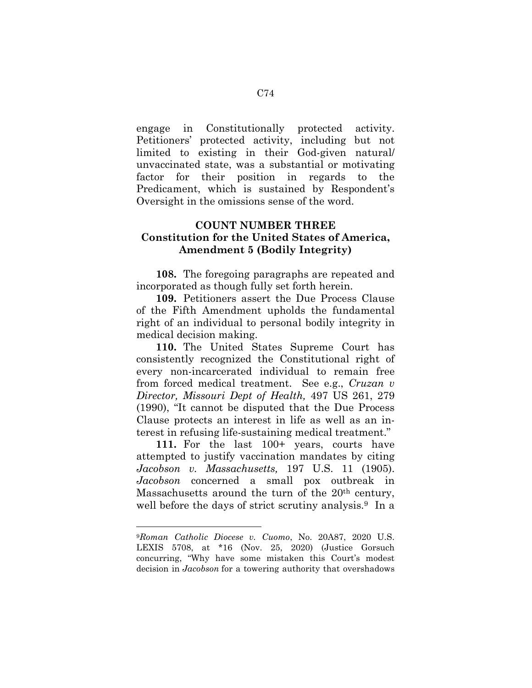engage in Constitutionally protected activity. Petitioners' protected activity, including but not limited to existing in their God-given natural/ unvaccinated state, was a substantial or motivating factor for their position in regards to the Predicament, which is sustained by Respondent's Oversight in the omissions sense of the word.

# **COUNT NUMBER THREE Constitution for the United States of America, Amendment 5 (Bodily Integrity)**

**108.** The foregoing paragraphs are repeated and incorporated as though fully set forth herein.

**109.** Petitioners assert the Due Process Clause of the Fifth Amendment upholds the fundamental right of an individual to personal bodily integrity in medical decision making.

**110.** The United States Supreme Court has consistently recognized the Constitutional right of every non-incarcerated individual to remain free from forced medical treatment. See e.g., *Cruzan v Director, Missouri Dept of Health,* 497 US 261, 279 (1990), "It cannot be disputed that the Due Process Clause protects an interest in life as well as an interest in refusing life-sustaining medical treatment."

**111.** For the last 100+ years, courts have attempted to justify vaccination mandates by citing *Jacobson v. Massachusetts,* 197 U.S. 11 (1905). *Jacobson* concerned a small pox outbreak in Massachusetts around the turn of the 20<sup>th</sup> century, well before the days of strict scrutiny analysis.<sup>9</sup> In a

 $\overline{a}$ 

<sup>9</sup>*Roman Catholic Diocese v. Cuomo*, No. 20A87, 2020 U.S. LEXIS 5708, at \*16 (Nov. 25, 2020) (Justice Gorsuch concurring, "Why have some mistaken this Court's modest decision in *Jacobson* for a towering authority that overshadows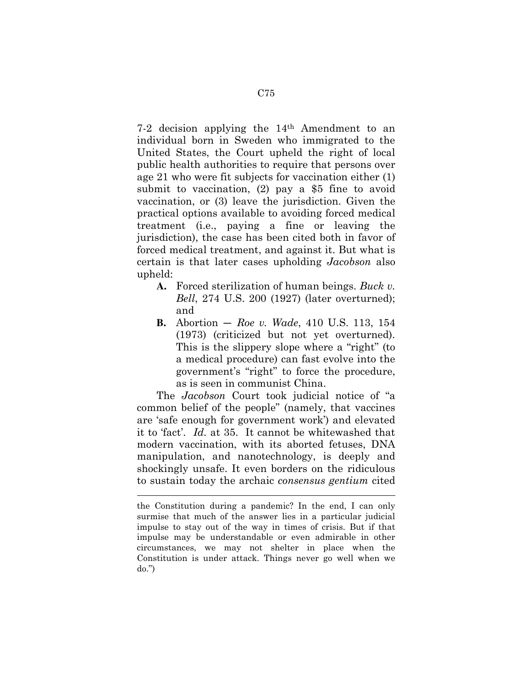7-2 decision applying the 14th Amendment to an individual born in Sweden who immigrated to the United States, the Court upheld the right of local public health authorities to require that persons over age 21 who were fit subjects for vaccination either (1) submit to vaccination, (2) pay a \$5 fine to avoid vaccination, or (3) leave the jurisdiction. Given the practical options available to avoiding forced medical treatment (i.e., paying a fine or leaving the jurisdiction), the case has been cited both in favor of forced medical treatment, and against it. But what is certain is that later cases upholding *Jacobson* also upheld:

- **A.** Forced sterilization of human beings. *Buck v. Bell*, 274 U.S. 200 (1927) (later overturned); and
- **B.** Abortion *Roe v. Wade*, 410 U.S. 113, 154 (1973) (criticized but not yet overturned). This is the slippery slope where a "right" (to a medical procedure) can fast evolve into the government's "right" to force the procedure, as is seen in communist China.

The *Jacobson* Court took judicial notice of "a common belief of the people" (namely, that vaccines are 'safe enough for government work') and elevated it to 'fact'. *Id.* at 35. It cannot be whitewashed that modern vaccination, with its aborted fetuses, DNA manipulation, and nanotechnology, is deeply and shockingly unsafe. It even borders on the ridiculous to sustain today the archaic *consensus gentium* cited

 $\overline{a}$ 

the Constitution during a pandemic? In the end, I can only surmise that much of the answer lies in a particular judicial impulse to stay out of the way in times of crisis. But if that impulse may be understandable or even admirable in other circumstances, we may not shelter in place when the Constitution is under attack. Things never go well when we do.")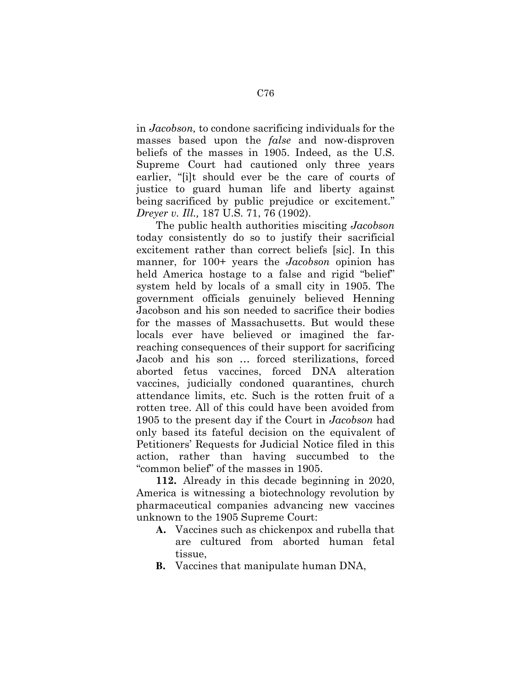in *Jacobson,* to condone sacrificing individuals for the masses based upon the *false* and now-disproven beliefs of the masses in 1905. Indeed, as the U.S. Supreme Court had cautioned only three years earlier, "[i]t should ever be the care of courts of justice to guard human life and liberty against being sacrificed by public prejudice or excitement." *Dreyer v. Ill.,* 187 U.S. 71, 76 (1902).

The public health authorities misciting *Jacobson* today consistently do so to justify their sacrificial excitement rather than correct beliefs [sic]. In this manner, for 100+ years the *Jacobson* opinion has held America hostage to a false and rigid "belief" system held by locals of a small city in 1905. The government officials genuinely believed Henning Jacobson and his son needed to sacrifice their bodies for the masses of Massachusetts. But would these locals ever have believed or imagined the farreaching consequences of their support for sacrificing Jacob and his son … forced sterilizations, forced aborted fetus vaccines, forced DNA alteration vaccines, judicially condoned quarantines, church attendance limits, etc. Such is the rotten fruit of a rotten tree. All of this could have been avoided from 1905 to the present day if the Court in *Jacobson* had only based its fateful decision on the equivalent of Petitioners' Requests for Judicial Notice filed in this action, rather than having succumbed to the "common belief" of the masses in 1905.

**112.** Already in this decade beginning in 2020, America is witnessing a biotechnology revolution by pharmaceutical companies advancing new vaccines unknown to the 1905 Supreme Court:

- **A.** Vaccines such as chickenpox and rubella that are cultured from aborted human fetal tissue,
- **B.** Vaccines that manipulate human DNA,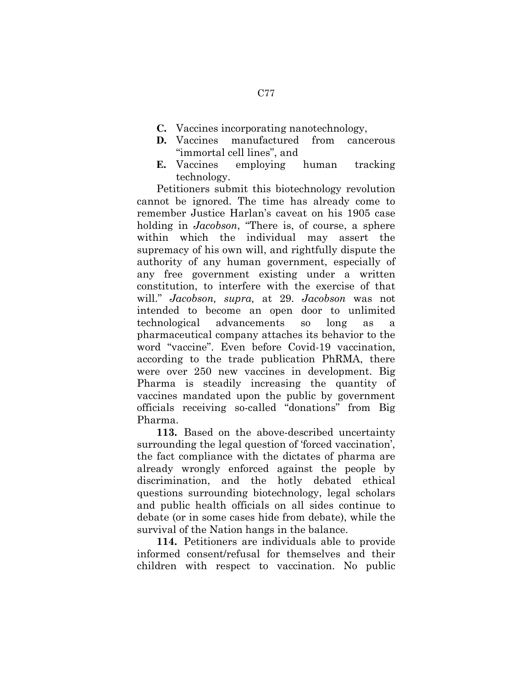- **C.** Vaccines incorporating nanotechnology,
- **D.** Vaccines manufactured from cancerous "immortal cell lines", and
- **E.** Vaccines employing human tracking technology.

Petitioners submit this biotechnology revolution cannot be ignored. The time has already come to remember Justice Harlan's caveat on his 1905 case holding in *Jacobson*, "There is, of course, a sphere within which the individual may assert the supremacy of his own will, and rightfully dispute the authority of any human government, especially of any free government existing under a written constitution, to interfere with the exercise of that will." *Jacobson, supra,* at 29. *Jacobson* was not intended to become an open door to unlimited technological advancements so long as pharmaceutical company attaches its behavior to the word "vaccine". Even before Covid-19 vaccination, according to the trade publication PhRMA, there were over 250 new vaccines in development. Big Pharma is steadily increasing the quantity of vaccines mandated upon the public by government officials receiving so-called "donations" from Big Pharma.

**113.** Based on the above-described uncertainty surrounding the legal question of 'forced vaccination', the fact compliance with the dictates of pharma are already wrongly enforced against the people by discrimination, and the hotly debated ethical questions surrounding biotechnology, legal scholars and public health officials on all sides continue to debate (or in some cases hide from debate), while the survival of the Nation hangs in the balance.

**114.** Petitioners are individuals able to provide informed consent/refusal for themselves and their children with respect to vaccination. No public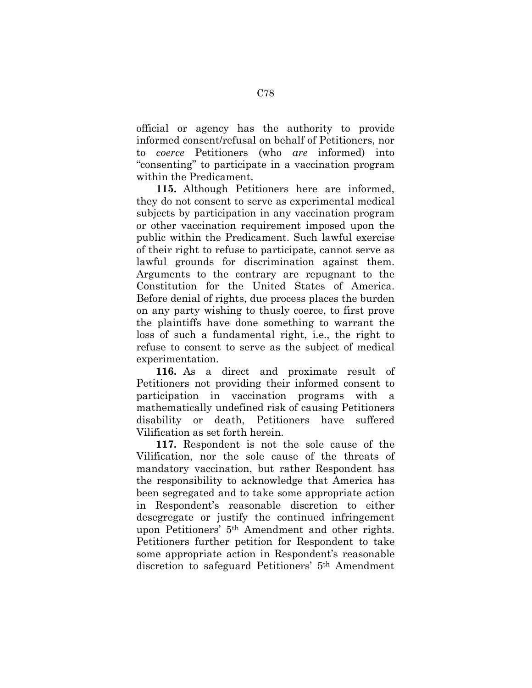official or agency has the authority to provide informed consent/refusal on behalf of Petitioners, nor to *coerce* Petitioners (who *are* informed) into "consenting" to participate in a vaccination program within the Predicament.

**115.** Although Petitioners here are informed, they do not consent to serve as experimental medical subjects by participation in any vaccination program or other vaccination requirement imposed upon the public within the Predicament. Such lawful exercise of their right to refuse to participate, cannot serve as lawful grounds for discrimination against them. Arguments to the contrary are repugnant to the Constitution for the United States of America. Before denial of rights, due process places the burden on any party wishing to thusly coerce, to first prove the plaintiffs have done something to warrant the loss of such a fundamental right, i.e., the right to refuse to consent to serve as the subject of medical experimentation.

**116.** As a direct and proximate result of Petitioners not providing their informed consent to participation in vaccination programs with a mathematically undefined risk of causing Petitioners disability or death, Petitioners have suffered Vilification as set forth herein.

**117.** Respondent is not the sole cause of the Vilification, nor the sole cause of the threats of mandatory vaccination, but rather Respondent has the responsibility to acknowledge that America has been segregated and to take some appropriate action in Respondent's reasonable discretion to either desegregate or justify the continued infringement upon Petitioners' 5th Amendment and other rights. Petitioners further petition for Respondent to take some appropriate action in Respondent's reasonable discretion to safeguard Petitioners' 5th Amendment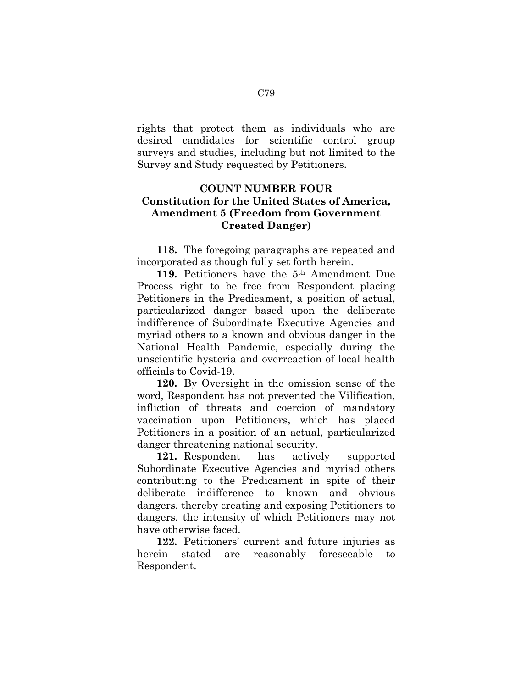rights that protect them as individuals who are desired candidates for scientific control group surveys and studies, including but not limited to the Survey and Study requested by Petitioners.

# **COUNT NUMBER FOUR Constitution for the United States of America, Amendment 5 (Freedom from Government Created Danger)**

**118.** The foregoing paragraphs are repeated and incorporated as though fully set forth herein.

**119.** Petitioners have the 5th Amendment Due Process right to be free from Respondent placing Petitioners in the Predicament, a position of actual, particularized danger based upon the deliberate indifference of Subordinate Executive Agencies and myriad others to a known and obvious danger in the National Health Pandemic, especially during the unscientific hysteria and overreaction of local health officials to Covid-19.

**120.** By Oversight in the omission sense of the word, Respondent has not prevented the Vilification, infliction of threats and coercion of mandatory vaccination upon Petitioners, which has placed Petitioners in a position of an actual, particularized danger threatening national security.

**121.** Respondent has actively supported Subordinate Executive Agencies and myriad others contributing to the Predicament in spite of their deliberate indifference to known and obvious dangers, thereby creating and exposing Petitioners to dangers, the intensity of which Petitioners may not have otherwise faced.

**122.** Petitioners' current and future injuries as herein stated are reasonably foreseeable to Respondent.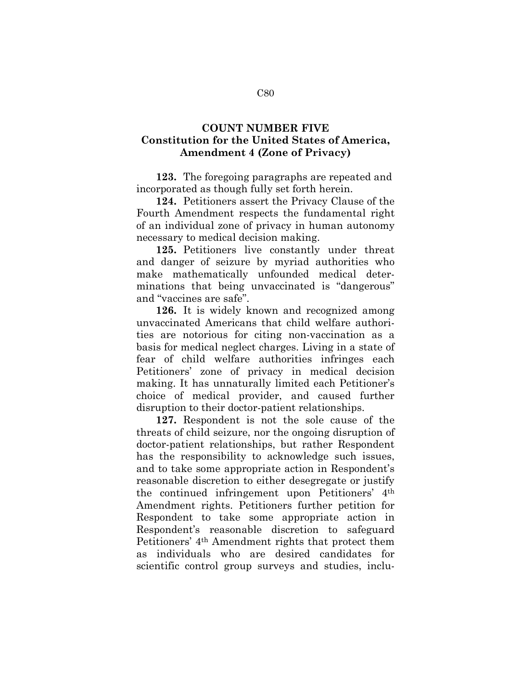## **COUNT NUMBER FIVE Constitution for the United States of America, Amendment 4 (Zone of Privacy)**

**123.** The foregoing paragraphs are repeated and incorporated as though fully set forth herein.

**124.** Petitioners assert the Privacy Clause of the Fourth Amendment respects the fundamental right of an individual zone of privacy in human autonomy necessary to medical decision making.

**125.** Petitioners live constantly under threat and danger of seizure by myriad authorities who make mathematically unfounded medical determinations that being unvaccinated is "dangerous" and "vaccines are safe".

**126.** It is widely known and recognized among unvaccinated Americans that child welfare authorities are notorious for citing non-vaccination as a basis for medical neglect charges. Living in a state of fear of child welfare authorities infringes each Petitioners' zone of privacy in medical decision making. It has unnaturally limited each Petitioner's choice of medical provider, and caused further disruption to their doctor-patient relationships.

**127.** Respondent is not the sole cause of the threats of child seizure, nor the ongoing disruption of doctor-patient relationships, but rather Respondent has the responsibility to acknowledge such issues, and to take some appropriate action in Respondent's reasonable discretion to either desegregate or justify the continued infringement upon Petitioners' 4th Amendment rights. Petitioners further petition for Respondent to take some appropriate action in Respondent's reasonable discretion to safeguard Petitioners' 4th Amendment rights that protect them as individuals who are desired candidates for scientific control group surveys and studies, inclu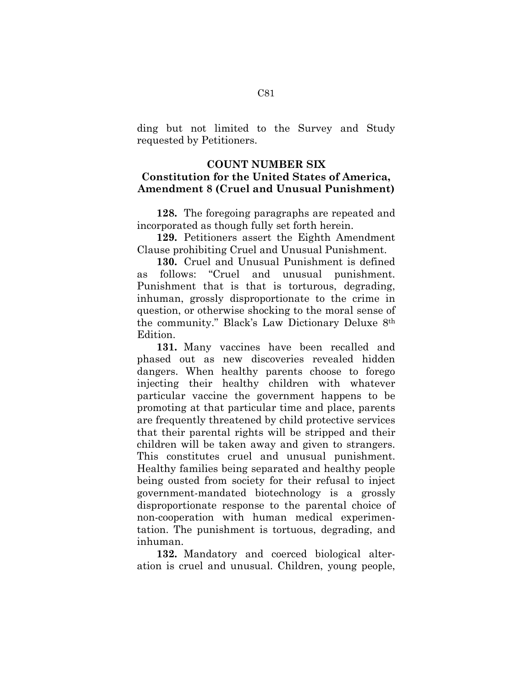ding but not limited to the Survey and Study requested by Petitioners.

#### **COUNT NUMBER SIX**

## **Constitution for the United States of America, Amendment 8 (Cruel and Unusual Punishment)**

**128.** The foregoing paragraphs are repeated and incorporated as though fully set forth herein.

**129.** Petitioners assert the Eighth Amendment Clause prohibiting Cruel and Unusual Punishment.

**130.** Cruel and Unusual Punishment is defined as follows: "Cruel and unusual punishment. Punishment that is that is torturous, degrading, inhuman, grossly disproportionate to the crime in question, or otherwise shocking to the moral sense of the community." Black's Law Dictionary Deluxe 8th Edition.

**131.** Many vaccines have been recalled and phased out as new discoveries revealed hidden dangers. When healthy parents choose to forego injecting their healthy children with whatever particular vaccine the government happens to be promoting at that particular time and place, parents are frequently threatened by child protective services that their parental rights will be stripped and their children will be taken away and given to strangers. This constitutes cruel and unusual punishment. Healthy families being separated and healthy people being ousted from society for their refusal to inject government-mandated biotechnology is a grossly disproportionate response to the parental choice of non-cooperation with human medical experimentation. The punishment is tortuous, degrading, and inhuman.

**132.** Mandatory and coerced biological alteration is cruel and unusual. Children, young people,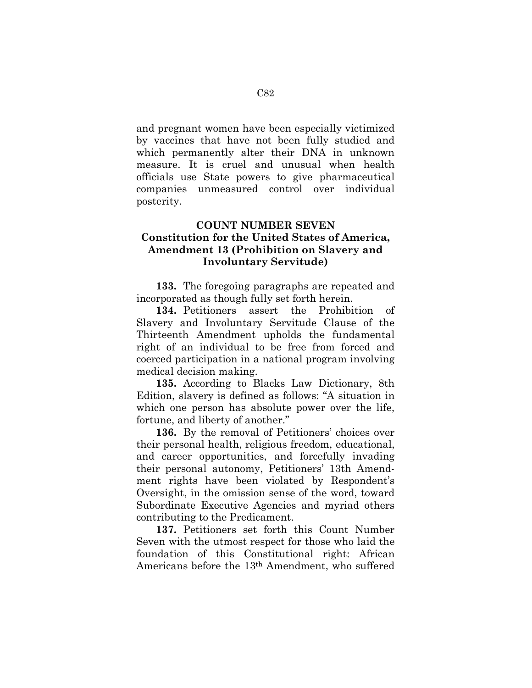and pregnant women have been especially victimized by vaccines that have not been fully studied and which permanently alter their DNA in unknown measure. It is cruel and unusual when health officials use State powers to give pharmaceutical companies unmeasured control over individual posterity.

# **COUNT NUMBER SEVEN Constitution for the United States of America, Amendment 13 (Prohibition on Slavery and Involuntary Servitude)**

**133.** The foregoing paragraphs are repeated and incorporated as though fully set forth herein.

**134.** Petitioners assert the Prohibition of Slavery and Involuntary Servitude Clause of the Thirteenth Amendment upholds the fundamental right of an individual to be free from forced and coerced participation in a national program involving medical decision making.

**135.** According to Blacks Law Dictionary, 8th Edition, slavery is defined as follows: "A situation in which one person has absolute power over the life, fortune, and liberty of another."

**136.** By the removal of Petitioners' choices over their personal health, religious freedom, educational, and career opportunities, and forcefully invading their personal autonomy, Petitioners' 13th Amendment rights have been violated by Respondent's Oversight, in the omission sense of the word, toward Subordinate Executive Agencies and myriad others contributing to the Predicament.

**137.** Petitioners set forth this Count Number Seven with the utmost respect for those who laid the foundation of this Constitutional right: African Americans before the 13th Amendment, who suffered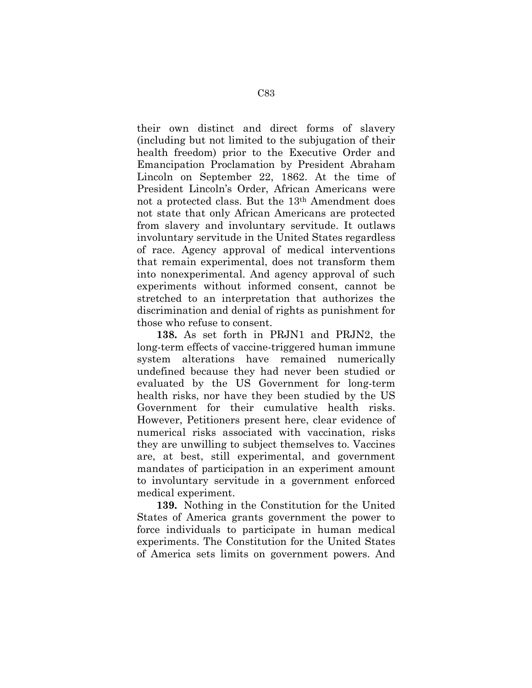their own distinct and direct forms of slavery (including but not limited to the subjugation of their health freedom) prior to the Executive Order and Emancipation Proclamation by President Abraham Lincoln on September 22, 1862. At the time of President Lincoln's Order, African Americans were not a protected class. But the 13th Amendment does not state that only African Americans are protected from slavery and involuntary servitude. It outlaws involuntary servitude in the United States regardless of race. Agency approval of medical interventions that remain experimental, does not transform them into nonexperimental. And agency approval of such experiments without informed consent, cannot be stretched to an interpretation that authorizes the discrimination and denial of rights as punishment for those who refuse to consent.

**138.** As set forth in PRJN1 and PRJN2, the long-term effects of vaccine-triggered human immune system alterations have remained numerically undefined because they had never been studied or evaluated by the US Government for long-term health risks, nor have they been studied by the US Government for their cumulative health risks. However, Petitioners present here, clear evidence of numerical risks associated with vaccination, risks they are unwilling to subject themselves to. Vaccines are, at best, still experimental, and government mandates of participation in an experiment amount to involuntary servitude in a government enforced medical experiment.

**139.** Nothing in the Constitution for the United States of America grants government the power to force individuals to participate in human medical experiments. The Constitution for the United States of America sets limits on government powers. And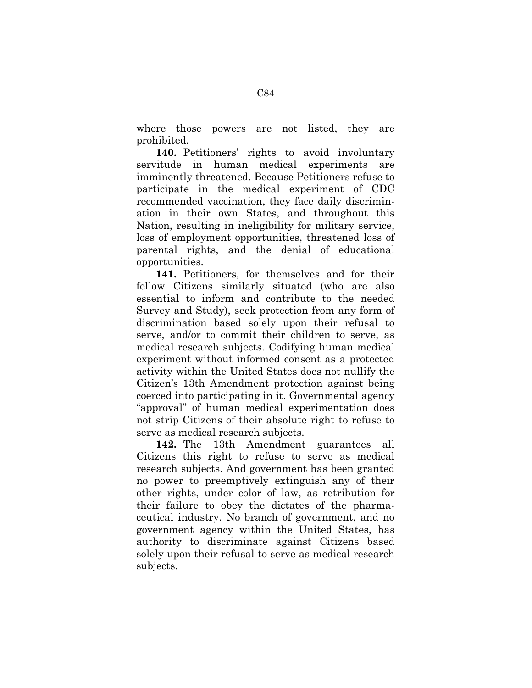where those powers are not listed, they are prohibited.

**140.** Petitioners' rights to avoid involuntary servitude in human medical experiments are imminently threatened. Because Petitioners refuse to participate in the medical experiment of CDC recommended vaccination, they face daily discrimination in their own States, and throughout this Nation, resulting in ineligibility for military service, loss of employment opportunities, threatened loss of parental rights, and the denial of educational opportunities.

**141.** Petitioners, for themselves and for their fellow Citizens similarly situated (who are also essential to inform and contribute to the needed Survey and Study), seek protection from any form of discrimination based solely upon their refusal to serve, and/or to commit their children to serve, as medical research subjects. Codifying human medical experiment without informed consent as a protected activity within the United States does not nullify the Citizen's 13th Amendment protection against being coerced into participating in it. Governmental agency "approval" of human medical experimentation does not strip Citizens of their absolute right to refuse to serve as medical research subjects.

**142.** The 13th Amendment guarantees all Citizens this right to refuse to serve as medical research subjects. And government has been granted no power to preemptively extinguish any of their other rights, under color of law, as retribution for their failure to obey the dictates of the pharmaceutical industry. No branch of government, and no government agency within the United States, has authority to discriminate against Citizens based solely upon their refusal to serve as medical research subjects.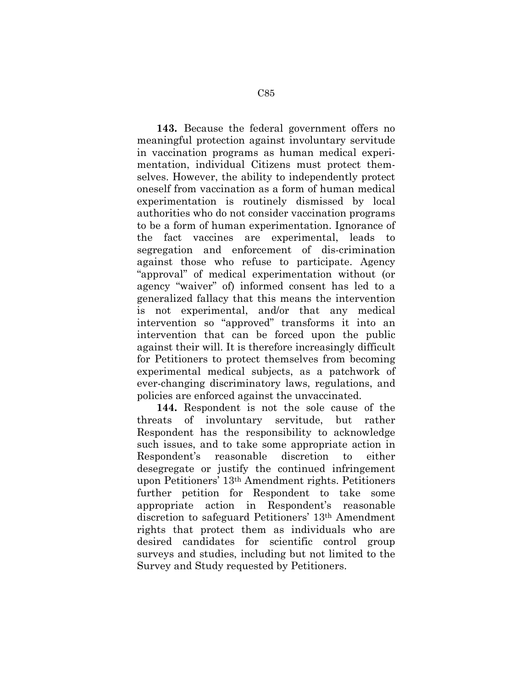**143.** Because the federal government offers no meaningful protection against involuntary servitude in vaccination programs as human medical experimentation, individual Citizens must protect themselves. However, the ability to independently protect oneself from vaccination as a form of human medical experimentation is routinely dismissed by local authorities who do not consider vaccination programs to be a form of human experimentation. Ignorance of the fact vaccines are experimental, leads to segregation and enforcement of dis-crimination against those who refuse to participate. Agency "approval" of medical experimentation without (or agency "waiver" of) informed consent has led to a generalized fallacy that this means the intervention is not experimental, and/or that any medical intervention so "approved" transforms it into an intervention that can be forced upon the public against their will. It is therefore increasingly difficult for Petitioners to protect themselves from becoming experimental medical subjects, as a patchwork of ever-changing discriminatory laws, regulations, and policies are enforced against the unvaccinated.

**144.** Respondent is not the sole cause of the threats of involuntary servitude, but rather Respondent has the responsibility to acknowledge such issues, and to take some appropriate action in Respondent's reasonable discretion to either desegregate or justify the continued infringement upon Petitioners' 13th Amendment rights. Petitioners further petition for Respondent to take some appropriate action in Respondent's reasonable discretion to safeguard Petitioners' 13th Amendment rights that protect them as individuals who are desired candidates for scientific control group surveys and studies, including but not limited to the Survey and Study requested by Petitioners.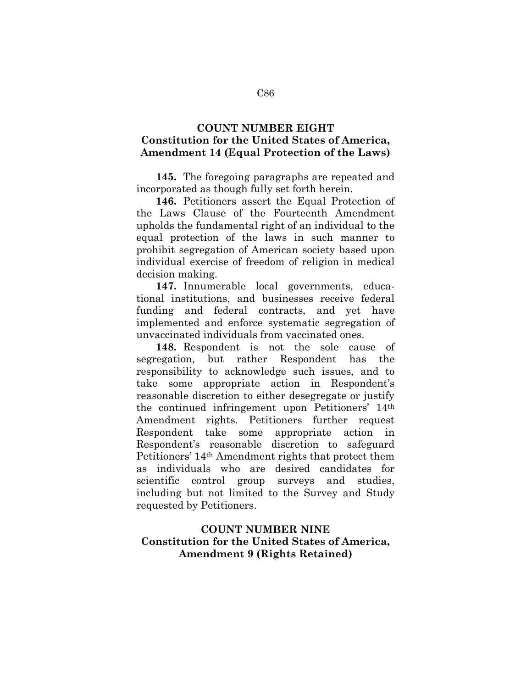## **COUNT NUMBER EIGHT Constitution for the United States of America, Amendment 14 (Equal Protection of the Laws)**

**145.** The foregoing paragraphs are repeated and incorporated as though fully set forth herein.

**146.** Petitioners assert the Equal Protection of the Laws Clause of the Fourteenth Amendment upholds the fundamental right of an individual to the equal protection of the laws in such manner to prohibit segregation of American society based upon individual exercise of freedom of religion in medical decision making.

**147.** Innumerable local governments, educational institutions, and businesses receive federal funding and federal contracts, and yet have implemented and enforce systematic segregation of unvaccinated individuals from vaccinated ones.

**148.** Respondent is not the sole cause of segregation, but rather Respondent has the responsibility to acknowledge such issues, and to take some appropriate action in Respondent's reasonable discretion to either desegregate or justify the continued infringement upon Petitioners' 14th Amendment rights. Petitioners further request Respondent take some appropriate action in Respondent's reasonable discretion to safeguard Petitioners' 14th Amendment rights that protect them as individuals who are desired candidates for scientific control group surveys and studies, including but not limited to the Survey and Study requested by Petitioners.

# **COUNT NUMBER NINE Constitution for the United States of America, Amendment 9 (Rights Retained)**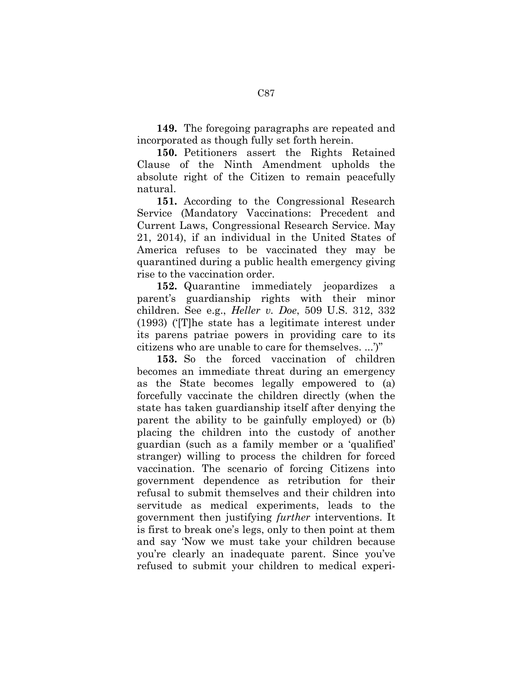**149.** The foregoing paragraphs are repeated and incorporated as though fully set forth herein.

**150.** Petitioners assert the Rights Retained Clause of the Ninth Amendment upholds the absolute right of the Citizen to remain peacefully natural.

**151.** According to the Congressional Research Service (Mandatory Vaccinations: Precedent and Current Laws, Congressional Research Service. May 21, 2014), if an individual in the United States of America refuses to be vaccinated they may be quarantined during a public health emergency giving rise to the vaccination order.

**152.** Quarantine immediately jeopardizes a parent's guardianship rights with their minor children. See e.g., *Heller v. Doe*, 509 U.S. 312, 332 (1993) ('[T]he state has a legitimate interest under its parens patriae powers in providing care to its citizens who are unable to care for themselves. ...')"

**153.** So the forced vaccination of children becomes an immediate threat during an emergency as the State becomes legally empowered to (a) forcefully vaccinate the children directly (when the state has taken guardianship itself after denying the parent the ability to be gainfully employed) or (b) placing the children into the custody of another guardian (such as a family member or a 'qualified' stranger) willing to process the children for forced vaccination. The scenario of forcing Citizens into government dependence as retribution for their refusal to submit themselves and their children into servitude as medical experiments, leads to the government then justifying *further* interventions. It is first to break one's legs, only to then point at them and say 'Now we must take your children because you're clearly an inadequate parent. Since you've refused to submit your children to medical experi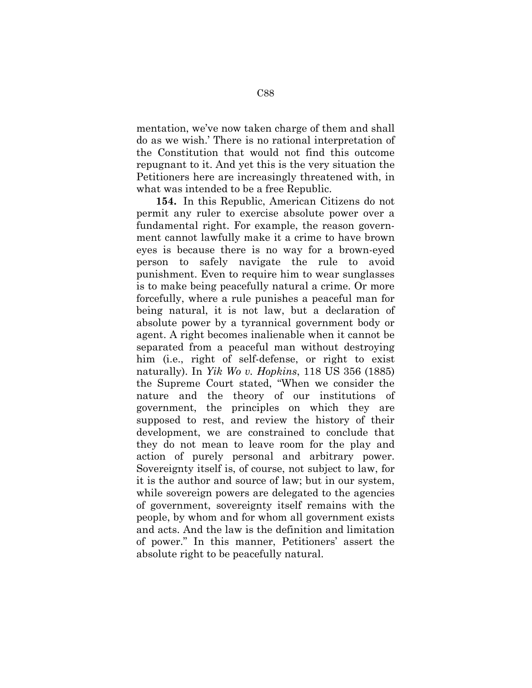mentation, we've now taken charge of them and shall do as we wish.' There is no rational interpretation of the Constitution that would not find this outcome repugnant to it. And yet this is the very situation the Petitioners here are increasingly threatened with, in what was intended to be a free Republic.

**154.** In this Republic, American Citizens do not permit any ruler to exercise absolute power over a fundamental right. For example, the reason government cannot lawfully make it a crime to have brown eyes is because there is no way for a brown-eyed person to safely navigate the rule to avoid punishment. Even to require him to wear sunglasses is to make being peacefully natural a crime. Or more forcefully, where a rule punishes a peaceful man for being natural, it is not law, but a declaration of absolute power by a tyrannical government body or agent. A right becomes inalienable when it cannot be separated from a peaceful man without destroying him (i.e., right of self-defense, or right to exist naturally). In *Yik Wo v. Hopkins*, 118 US 356 (1885) the Supreme Court stated, "When we consider the nature and the theory of our institutions of government, the principles on which they are supposed to rest, and review the history of their development, we are constrained to conclude that they do not mean to leave room for the play and action of purely personal and arbitrary power. Sovereignty itself is, of course, not subject to law, for it is the author and source of law; but in our system, while sovereign powers are delegated to the agencies of government, sovereignty itself remains with the people, by whom and for whom all government exists and acts. And the law is the definition and limitation of power." In this manner, Petitioners' assert the absolute right to be peacefully natural.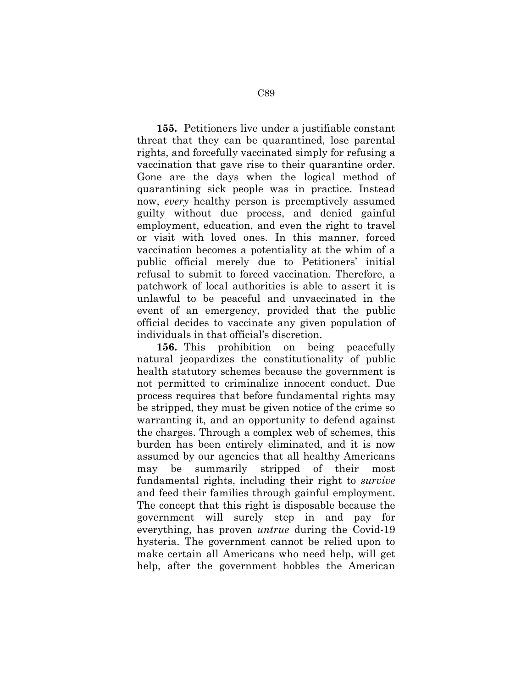**155.** Petitioners live under a justifiable constant threat that they can be quarantined, lose parental rights, and forcefully vaccinated simply for refusing a vaccination that gave rise to their quarantine order. Gone are the days when the logical method of quarantining sick people was in practice. Instead now, *every* healthy person is preemptively assumed guilty without due process, and denied gainful employment, education, and even the right to travel or visit with loved ones. In this manner, forced vaccination becomes a potentiality at the whim of a public official merely due to Petitioners' initial refusal to submit to forced vaccination. Therefore, a patchwork of local authorities is able to assert it is unlawful to be peaceful and unvaccinated in the event of an emergency, provided that the public official decides to vaccinate any given population of individuals in that official's discretion.

**156.** This prohibition on being peacefully natural jeopardizes the constitutionality of public health statutory schemes because the government is not permitted to criminalize innocent conduct. Due process requires that before fundamental rights may be stripped, they must be given notice of the crime so warranting it, and an opportunity to defend against the charges. Through a complex web of schemes, this burden has been entirely eliminated, and it is now assumed by our agencies that all healthy Americans may be summarily stripped of their most fundamental rights, including their right to *survive* and feed their families through gainful employment. The concept that this right is disposable because the government will surely step in and pay for everything, has proven *untrue* during the Covid-19 hysteria. The government cannot be relied upon to make certain all Americans who need help, will get help, after the government hobbles the American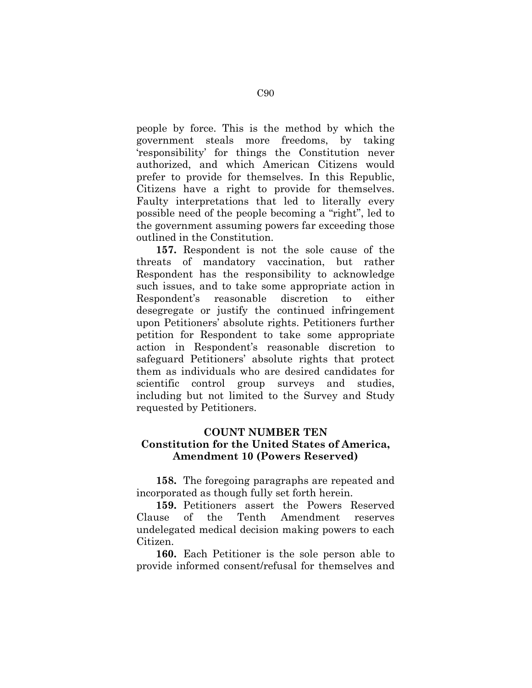people by force. This is the method by which the government steals more freedoms, by taking 'responsibility' for things the Constitution never authorized, and which American Citizens would prefer to provide for themselves. In this Republic, Citizens have a right to provide for themselves. Faulty interpretations that led to literally every possible need of the people becoming a "right", led to the government assuming powers far exceeding those outlined in the Constitution.

**157.** Respondent is not the sole cause of the threats of mandatory vaccination, but rather Respondent has the responsibility to acknowledge such issues, and to take some appropriate action in Respondent's reasonable discretion to either desegregate or justify the continued infringement upon Petitioners' absolute rights. Petitioners further petition for Respondent to take some appropriate action in Respondent's reasonable discretion to safeguard Petitioners' absolute rights that protect them as individuals who are desired candidates for scientific control group surveys and studies, including but not limited to the Survey and Study requested by Petitioners.

# **COUNT NUMBER TEN Constitution for the United States of America, Amendment 10 (Powers Reserved)**

**158.** The foregoing paragraphs are repeated and incorporated as though fully set forth herein.

**159.** Petitioners assert the Powers Reserved Clause of the Tenth Amendment reserves undelegated medical decision making powers to each Citizen.

**160.** Each Petitioner is the sole person able to provide informed consent/refusal for themselves and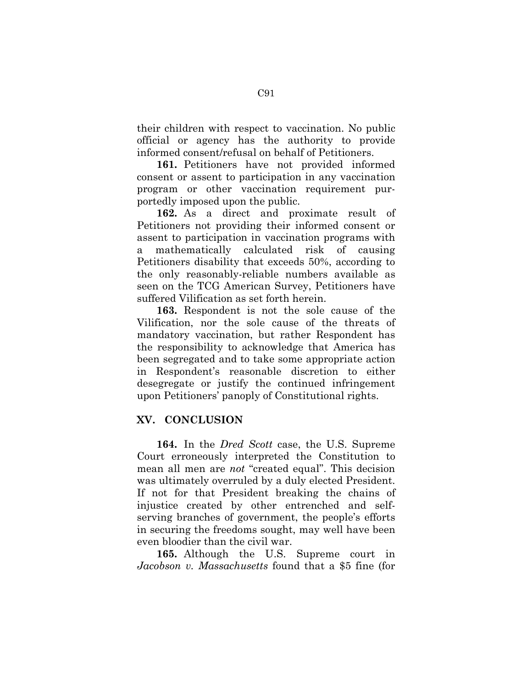their children with respect to vaccination. No public official or agency has the authority to provide informed consent/refusal on behalf of Petitioners.

**161.** Petitioners have not provided informed consent or assent to participation in any vaccination program or other vaccination requirement purportedly imposed upon the public.

**162.** As a direct and proximate result of Petitioners not providing their informed consent or assent to participation in vaccination programs with a mathematically calculated risk of causing Petitioners disability that exceeds 50%, according to the only reasonably-reliable numbers available as seen on the TCG American Survey, Petitioners have suffered Vilification as set forth herein.

**163.** Respondent is not the sole cause of the Vilification, nor the sole cause of the threats of mandatory vaccination, but rather Respondent has the responsibility to acknowledge that America has been segregated and to take some appropriate action in Respondent's reasonable discretion to either desegregate or justify the continued infringement upon Petitioners' panoply of Constitutional rights.

## **XV. CONCLUSION**

**164.** In the *Dred Scott* case, the U.S. Supreme Court erroneously interpreted the Constitution to mean all men are *not* "created equal". This decision was ultimately overruled by a duly elected President. If not for that President breaking the chains of injustice created by other entrenched and selfserving branches of government, the people's efforts in securing the freedoms sought, may well have been even bloodier than the civil war.

**165.** Although the U.S. Supreme court in *Jacobson v. Massachusetts* found that a \$5 fine (for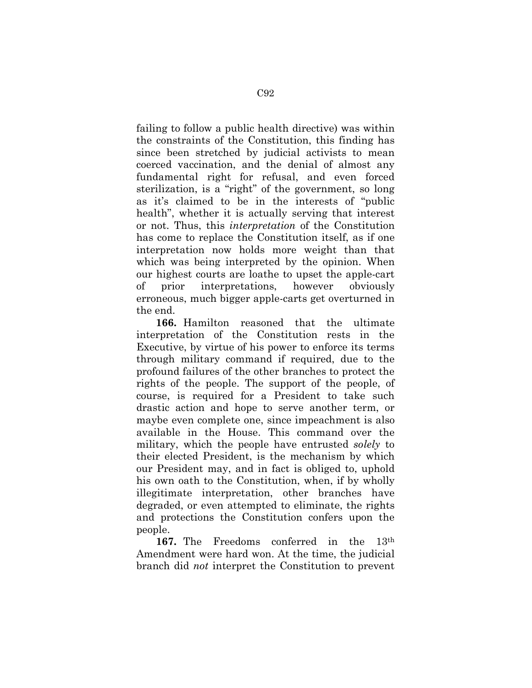failing to follow a public health directive) was within the constraints of the Constitution, this finding has since been stretched by judicial activists to mean coerced vaccination, and the denial of almost any fundamental right for refusal, and even forced sterilization, is a "right" of the government, so long as it's claimed to be in the interests of "public health", whether it is actually serving that interest or not. Thus, this *interpretation* of the Constitution has come to replace the Constitution itself, as if one interpretation now holds more weight than that which was being interpreted by the opinion. When our highest courts are loathe to upset the apple-cart of prior interpretations, however obviously erroneous, much bigger apple-carts get overturned in the end.

**166.** Hamilton reasoned that the ultimate interpretation of the Constitution rests in the Executive, by virtue of his power to enforce its terms through military command if required, due to the profound failures of the other branches to protect the rights of the people. The support of the people, of course, is required for a President to take such drastic action and hope to serve another term, or maybe even complete one, since impeachment is also available in the House. This command over the military, which the people have entrusted *solely* to their elected President, is the mechanism by which our President may, and in fact is obliged to, uphold his own oath to the Constitution, when, if by wholly illegitimate interpretation, other branches have degraded, or even attempted to eliminate, the rights and protections the Constitution confers upon the people.

**167.** The Freedoms conferred in the 13th Amendment were hard won. At the time, the judicial branch did *not* interpret the Constitution to prevent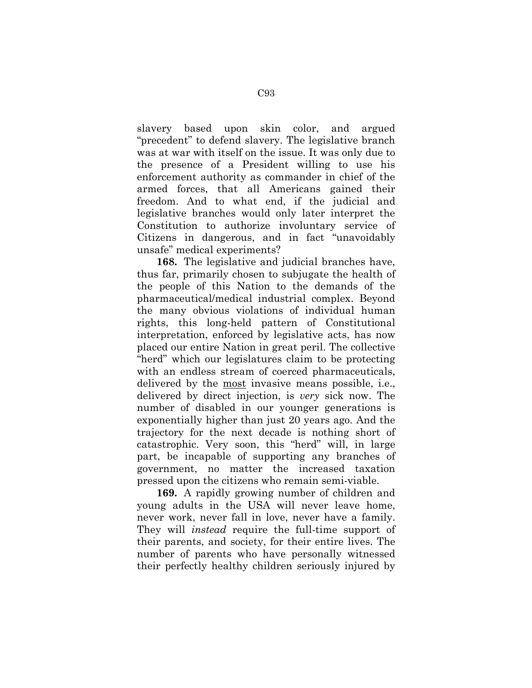slavery based upon skin color, and argued "precedent" to defend slavery. The legislative branch was at war with itself on the issue. It was only due to the presence of a President willing to use his enforcement authority as commander in chief of the armed forces, that all Americans gained their freedom. And to what end, if the judicial and legislative branches would only later interpret the Constitution to authorize involuntary service of Citizens in dangerous, and in fact "unavoidably unsafe" medical experiments?

**168.** The legislative and judicial branches have, thus far, primarily chosen to subjugate the health of the people of this Nation to the demands of the pharmaceutical/medical industrial complex. Beyond the many obvious violations of individual human rights, this long-held pattern of Constitutional interpretation, enforced by legislative acts, has now placed our entire Nation in great peril. The collective "herd" which our legislatures claim to be protecting with an endless stream of coerced pharmaceuticals, delivered by the most invasive means possible, i.e., delivered by direct injection, is *very* sick now. The number of disabled in our younger generations is exponentially higher than just 20 years ago. And the trajectory for the next decade is nothing short of catastrophic. Very soon, this "herd" will, in large part, be incapable of supporting any branches of government, no matter the increased taxation pressed upon the citizens who remain semi-viable.

**169.** A rapidly growing number of children and young adults in the USA will never leave home, never work, never fall in love, never have a family. They will *instead* require the full-time support of their parents, and society, for their entire lives. The number of parents who have personally witnessed their perfectly healthy children seriously injured by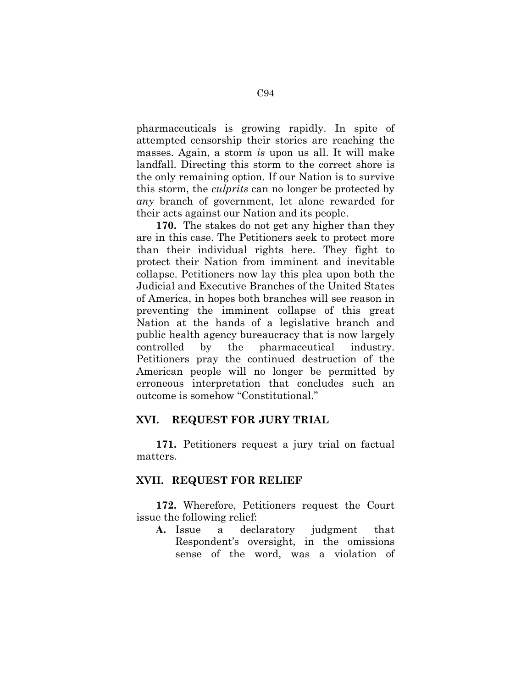pharmaceuticals is growing rapidly. In spite of attempted censorship their stories are reaching the masses. Again, a storm *is* upon us all. It will make landfall. Directing this storm to the correct shore is the only remaining option. If our Nation is to survive this storm, the *culprits* can no longer be protected by *any* branch of government, let alone rewarded for their acts against our Nation and its people.

**170.** The stakes do not get any higher than they are in this case. The Petitioners seek to protect more than their individual rights here. They fight to protect their Nation from imminent and inevitable collapse. Petitioners now lay this plea upon both the Judicial and Executive Branches of the United States of America, in hopes both branches will see reason in preventing the imminent collapse of this great Nation at the hands of a legislative branch and public health agency bureaucracy that is now largely controlled by the pharmaceutical industry. Petitioners pray the continued destruction of the American people will no longer be permitted by erroneous interpretation that concludes such an outcome is somehow "Constitutional."

## **XVI. REQUEST FOR JURY TRIAL**

**171.** Petitioners request a jury trial on factual matters.

#### **XVII. REQUEST FOR RELIEF**

**172.** Wherefore, Petitioners request the Court issue the following relief:

**A.** Issue a declaratory judgment that Respondent's oversight, in the omissions sense of the word, was a violation of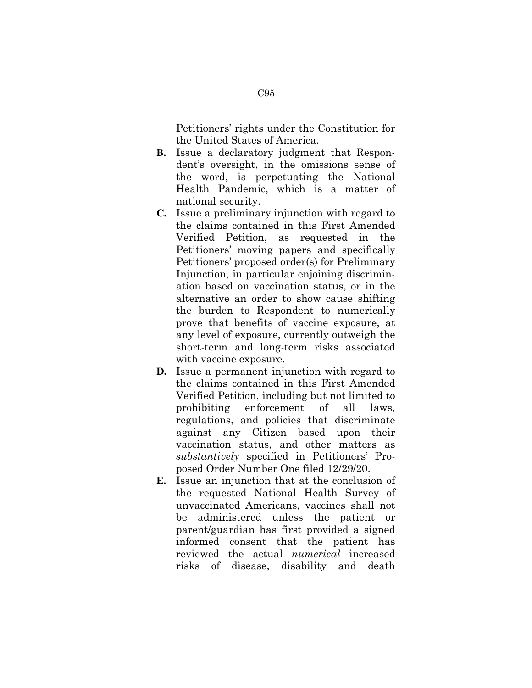Petitioners' rights under the Constitution for the United States of America.

- **B.** Issue a declaratory judgment that Respondent's oversight, in the omissions sense of the word, is perpetuating the National Health Pandemic, which is a matter of national security.
- **C.** Issue a preliminary injunction with regard to the claims contained in this First Amended Verified Petition, as requested in the Petitioners' moving papers and specifically Petitioners' proposed order(s) for Preliminary Injunction, in particular enjoining discrimination based on vaccination status, or in the alternative an order to show cause shifting the burden to Respondent to numerically prove that benefits of vaccine exposure, at any level of exposure, currently outweigh the short-term and long-term risks associated with vaccine exposure.
- **D.** Issue a permanent injunction with regard to the claims contained in this First Amended Verified Petition, including but not limited to prohibiting enforcement of all laws, regulations, and policies that discriminate against any Citizen based upon their vaccination status, and other matters as *substantively* specified in Petitioners' Proposed Order Number One filed 12/29/20.
- **E.** Issue an injunction that at the conclusion of the requested National Health Survey of unvaccinated Americans, vaccines shall not be administered unless the patient or parent/guardian has first provided a signed informed consent that the patient has reviewed the actual *numerical* increased risks of disease, disability and death